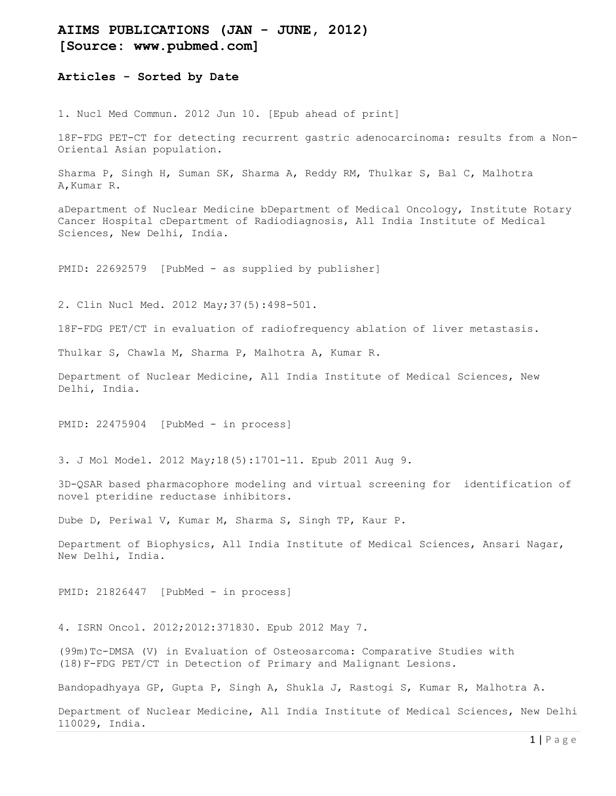## AIIMS PUBLICATIONS (JAN - JUNE, 2012) [Source: www.pubmed.com]

Articles - Sorted by Date

1. Nucl Med Commun. 2012 Jun 10. [Epub ahead of print]

18F-FDG PET-CT for detecting recurrent gastric adenocarcinoma: results from a Non-Oriental Asian population.

Sharma P, Singh H, Suman SK, Sharma A, Reddy RM, Thulkar S, Bal C, Malhotra A,Kumar R.

aDepartment of Nuclear Medicine bDepartment of Medical Oncology, Institute Rotary Cancer Hospital cDepartment of Radiodiagnosis, All India Institute of Medical Sciences, New Delhi, India.

PMID: 22692579 [PubMed - as supplied by publisher]

2. Clin Nucl Med. 2012 May;37(5):498-501.

18F-FDG PET/CT in evaluation of radiofrequency ablation of liver metastasis.

Thulkar S, Chawla M, Sharma P, Malhotra A, Kumar R.

Department of Nuclear Medicine, All India Institute of Medical Sciences, New Delhi, India.

PMID: 22475904 [PubMed - in process]

3. J Mol Model. 2012 May;18(5):1701-11. Epub 2011 Aug 9.

3D-QSAR based pharmacophore modeling and virtual screening for identification of novel pteridine reductase inhibitors.

Dube D, Periwal V, Kumar M, Sharma S, Singh TP, Kaur P.

Department of Biophysics, All India Institute of Medical Sciences, Ansari Nagar, New Delhi, India.

PMID: 21826447 [PubMed - in process]

4. ISRN Oncol. 2012;2012:371830. Epub 2012 May 7.

(99m)Tc-DMSA (V) in Evaluation of Osteosarcoma: Comparative Studies with (18)F-FDG PET/CT in Detection of Primary and Malignant Lesions.

Bandopadhyaya GP, Gupta P, Singh A, Shukla J, Rastogi S, Kumar R, Malhotra A.

Department of Nuclear Medicine, All India Institute of Medical Sciences, New Delhi 110029, India.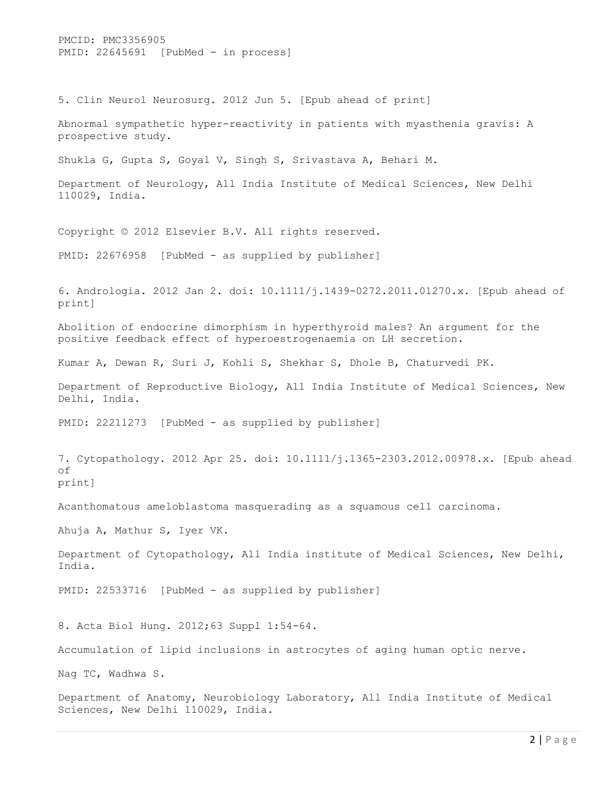PMCID: PMC3356905 PMID: 22645691 [PubMed - in process] 5. Clin Neurol Neurosurg. 2012 Jun 5. [Epub ahead of print] Abnormal sympathetic hyper-reactivity in patients with myasthenia gravis: A prospective study. Shukla G, Gupta S, Goyal V, Singh S, Srivastava A, Behari M. Department of Neurology, All India Institute of Medical Sciences, New Delhi 110029, India. Copyright © 2012 Elsevier B.V. All rights reserved. PMID: 22676958 [PubMed - as supplied by publisher] 6. Andrologia. 2012 Jan 2. doi: 10.1111/j.1439-0272.2011.01270.x. [Epub ahead of print] Abolition of endocrine dimorphism in hyperthyroid males? An argument for the positive feedback effect of hyperoestrogenaemia on LH secretion. Kumar A, Dewan R, Suri J, Kohli S, Shekhar S, Dhole B, Chaturvedi PK. Department of Reproductive Biology, All India Institute of Medical Sciences, New Delhi, India. PMID: 22211273 [PubMed - as supplied by publisher] 7. Cytopathology. 2012 Apr 25. doi: 10.1111/j.1365-2303.2012.00978.x. [Epub ahead of print] Acanthomatous ameloblastoma masquerading as a squamous cell carcinoma. Ahuja A, Mathur S, Iyer VK. Department of Cytopathology, All India institute of Medical Sciences, New Delhi, India. PMID: 22533716 [PubMed - as supplied by publisher] 8. Acta Biol Hung. 2012;63 Suppl 1:54-64. Accumulation of lipid inclusions in astrocytes of aging human optic nerve. Nag TC, Wadhwa S. Department of Anatomy, Neurobiology Laboratory, All India Institute of Medical Sciences, New Delhi 110029, India.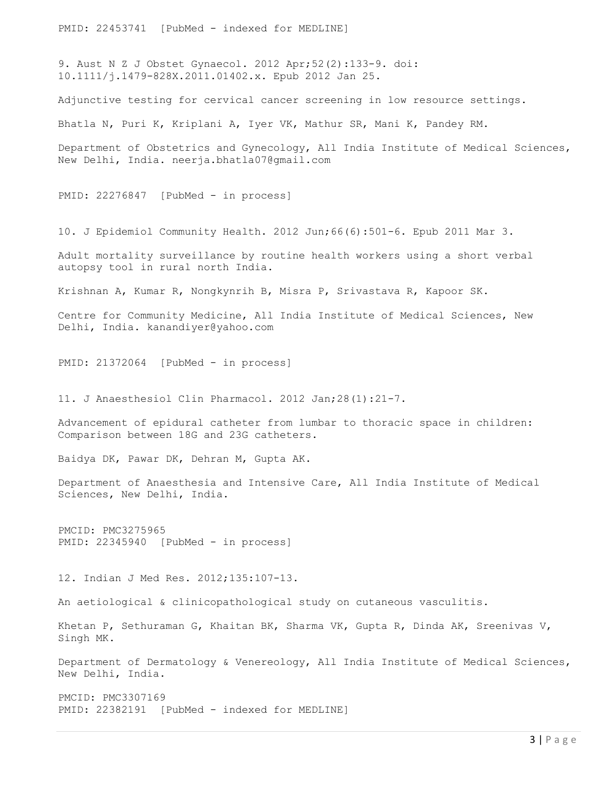PMID: 22453741 [PubMed - indexed for MEDLINE]

9. Aust N Z J Obstet Gynaecol. 2012 Apr;52(2):133-9. doi: 10.1111/j.1479-828X.2011.01402.x. Epub 2012 Jan 25.

Adjunctive testing for cervical cancer screening in low resource settings.

Bhatla N, Puri K, Kriplani A, Iyer VK, Mathur SR, Mani K, Pandey RM.

Department of Obstetrics and Gynecology, All India Institute of Medical Sciences, New Delhi, India. neerja.bhatla07@gmail.com

PMID: 22276847 [PubMed - in process]

10. J Epidemiol Community Health. 2012 Jun;66(6):501-6. Epub 2011 Mar 3.

Adult mortality surveillance by routine health workers using a short verbal autopsy tool in rural north India.

Krishnan A, Kumar R, Nongkynrih B, Misra P, Srivastava R, Kapoor SK.

Centre for Community Medicine, All India Institute of Medical Sciences, New Delhi, India. kanandiyer@yahoo.com

PMID: 21372064 [PubMed - in process]

11. J Anaesthesiol Clin Pharmacol. 2012 Jan;28(1):21-7.

Advancement of epidural catheter from lumbar to thoracic space in children: Comparison between 18G and 23G catheters.

Baidya DK, Pawar DK, Dehran M, Gupta AK.

Department of Anaesthesia and Intensive Care, All India Institute of Medical Sciences, New Delhi, India.

PMCID: PMC3275965 PMID: 22345940 [PubMed - in process]

12. Indian J Med Res. 2012;135:107-13.

An aetiological & clinicopathological study on cutaneous vasculitis.

Khetan P, Sethuraman G, Khaitan BK, Sharma VK, Gupta R, Dinda AK, Sreenivas V, Singh MK.

Department of Dermatology & Venereology, All India Institute of Medical Sciences, New Delhi, India.

PMCID: PMC3307169 PMID: 22382191 [PubMed - indexed for MEDLINE]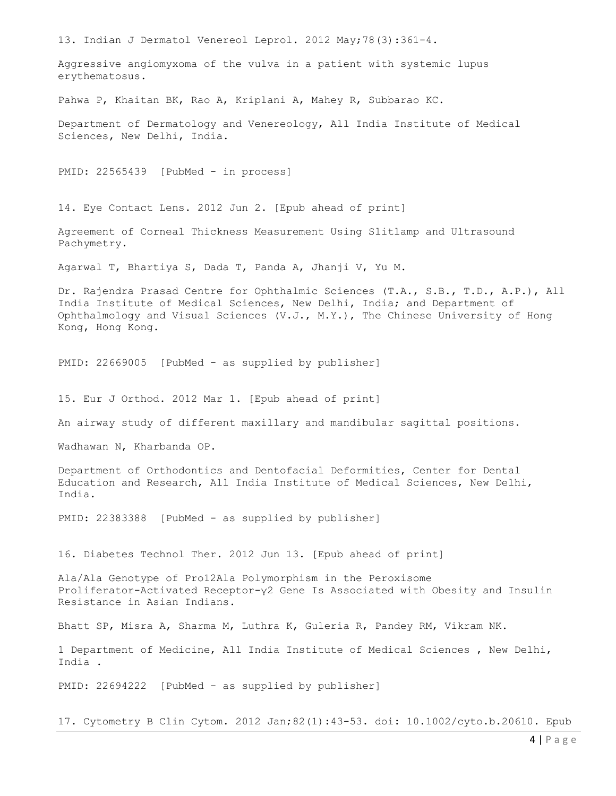13. Indian J Dermatol Venereol Leprol. 2012 May;78(3):361-4. Aggressive angiomyxoma of the vulva in a patient with systemic lupus erythematosus. Pahwa P, Khaitan BK, Rao A, Kriplani A, Mahey R, Subbarao KC. Department of Dermatology and Venereology, All India Institute of Medical Sciences, New Delhi, India. PMID: 22565439 [PubMed - in process] 14. Eye Contact Lens. 2012 Jun 2. [Epub ahead of print] Agreement of Corneal Thickness Measurement Using Slitlamp and Ultrasound Pachymetry. Agarwal T, Bhartiya S, Dada T, Panda A, Jhanji V, Yu M. Dr. Rajendra Prasad Centre for Ophthalmic Sciences (T.A., S.B., T.D., A.P.), All India Institute of Medical Sciences, New Delhi, India; and Department of Ophthalmology and Visual Sciences (V.J., M.Y.), The Chinese University of Hong Kong, Hong Kong. PMID: 22669005 [PubMed - as supplied by publisher] 15. Eur J Orthod. 2012 Mar 1. [Epub ahead of print] An airway study of different maxillary and mandibular sagittal positions. Wadhawan N, Kharbanda OP. Department of Orthodontics and Dentofacial Deformities, Center for Dental Education and Research, All India Institute of Medical Sciences, New Delhi, India. PMID: 22383388 [PubMed - as supplied by publisher] 16. Diabetes Technol Ther. 2012 Jun 13. [Epub ahead of print] Ala/Ala Genotype of Pro12Ala Polymorphism in the Peroxisome Proliferator-Activated Receptor-γ2 Gene Is Associated with Obesity and Insulin Resistance in Asian Indians. Bhatt SP, Misra A, Sharma M, Luthra K, Guleria R, Pandey RM, Vikram NK. 1 Department of Medicine, All India Institute of Medical Sciences , New Delhi, India . PMID: 22694222 [PubMed - as supplied by publisher]

17. Cytometry B Clin Cytom. 2012 Jan;82(1):43-53. doi: 10.1002/cyto.b.20610. Epub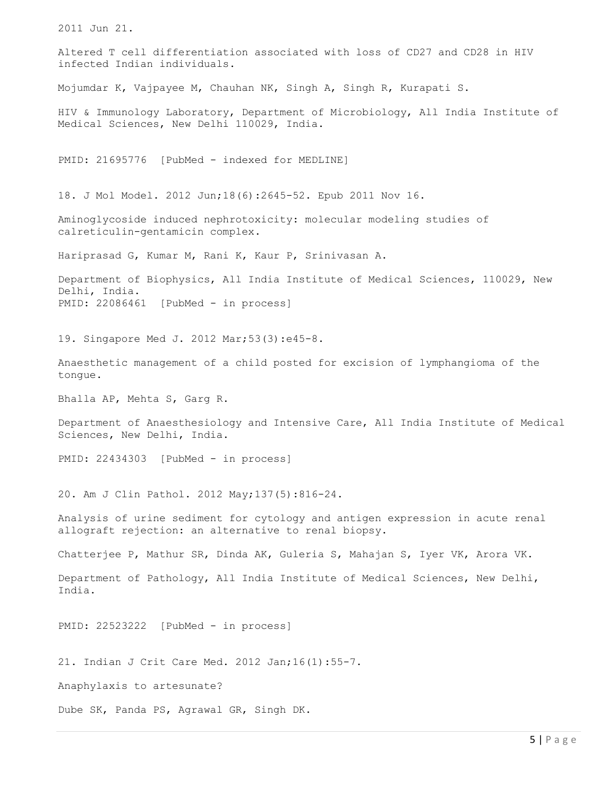2011 Jun 21. Altered T cell differentiation associated with loss of CD27 and CD28 in HIV infected Indian individuals. Mojumdar K, Vajpayee M, Chauhan NK, Singh A, Singh R, Kurapati S. HIV & Immunology Laboratory, Department of Microbiology, All India Institute of Medical Sciences, New Delhi 110029, India. PMID: 21695776 [PubMed - indexed for MEDLINE] 18. J Mol Model. 2012 Jun;18(6):2645-52. Epub 2011 Nov 16. Aminoglycoside induced nephrotoxicity: molecular modeling studies of calreticulin-gentamicin complex. Hariprasad G, Kumar M, Rani K, Kaur P, Srinivasan A. Department of Biophysics, All India Institute of Medical Sciences, 110029, New Delhi, India. PMID: 22086461 [PubMed - in process] 19. Singapore Med J. 2012 Mar;53(3):e45-8. Anaesthetic management of a child posted for excision of lymphangioma of the tongue. Bhalla AP, Mehta S, Garg R. Department of Anaesthesiology and Intensive Care, All India Institute of Medical Sciences, New Delhi, India. PMID: 22434303 [PubMed - in process] 20. Am J Clin Pathol. 2012 May;137(5):816-24. Analysis of urine sediment for cytology and antigen expression in acute renal allograft rejection: an alternative to renal biopsy. Chatterjee P, Mathur SR, Dinda AK, Guleria S, Mahajan S, Iyer VK, Arora VK. Department of Pathology, All India Institute of Medical Sciences, New Delhi, India. PMID: 22523222 [PubMed - in process] 21. Indian J Crit Care Med. 2012 Jan;16(1):55-7. Anaphylaxis to artesunate? Dube SK, Panda PS, Agrawal GR, Singh DK.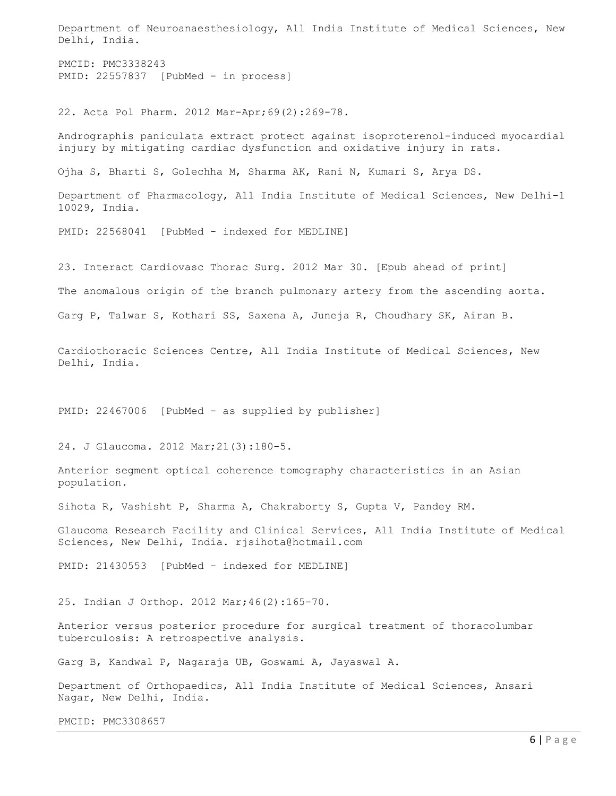Department of Neuroanaesthesiology, All India Institute of Medical Sciences, New Delhi, India.

PMCID: PMC3338243 PMID: 22557837 [PubMed - in process]

22. Acta Pol Pharm. 2012 Mar-Apr;69(2):269-78.

Andrographis paniculata extract protect against isoproterenol-induced myocardial injury by mitigating cardiac dysfunction and oxidative injury in rats.

Ojha S, Bharti S, Golechha M, Sharma AK, Rani N, Kumari S, Arya DS.

Department of Pharmacology, All India Institute of Medical Sciences, New Delhi-1 10029, India.

PMID: 22568041 [PubMed - indexed for MEDLINE]

23. Interact Cardiovasc Thorac Surg. 2012 Mar 30. [Epub ahead of print]

The anomalous origin of the branch pulmonary artery from the ascending aorta.

Garg P, Talwar S, Kothari SS, Saxena A, Juneja R, Choudhary SK, Airan B.

Cardiothoracic Sciences Centre, All India Institute of Medical Sciences, New Delhi, India.

PMID: 22467006 [PubMed - as supplied by publisher]

24. J Glaucoma. 2012 Mar;21(3):180-5.

Anterior segment optical coherence tomography characteristics in an Asian population.

Sihota R, Vashisht P, Sharma A, Chakraborty S, Gupta V, Pandey RM.

Glaucoma Research Facility and Clinical Services, All India Institute of Medical Sciences, New Delhi, India. rjsihota@hotmail.com

PMID: 21430553 [PubMed - indexed for MEDLINE]

25. Indian J Orthop. 2012 Mar;46(2):165-70.

Anterior versus posterior procedure for surgical treatment of thoracolumbar tuberculosis: A retrospective analysis.

Garg B, Kandwal P, Nagaraja UB, Goswami A, Jayaswal A.

Department of Orthopaedics, All India Institute of Medical Sciences, Ansari Nagar, New Delhi, India.

PMCID: PMC3308657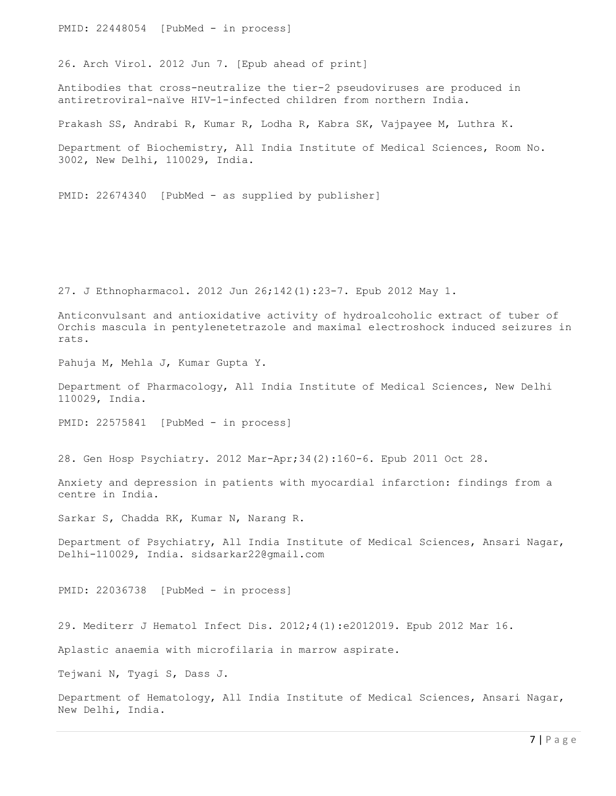PMID: 22448054 [PubMed - in process]

26. Arch Virol. 2012 Jun 7. [Epub ahead of print]

Antibodies that cross-neutralize the tier-2 pseudoviruses are produced in antiretroviral-naïve HIV-1-infected children from northern India.

Prakash SS, Andrabi R, Kumar R, Lodha R, Kabra SK, Vajpayee M, Luthra K.

Department of Biochemistry, All India Institute of Medical Sciences, Room No. 3002, New Delhi, 110029, India.

PMID: 22674340 [PubMed - as supplied by publisher]

27. J Ethnopharmacol. 2012 Jun 26;142(1):23-7. Epub 2012 May 1.

Anticonvulsant and antioxidative activity of hydroalcoholic extract of tuber of Orchis mascula in pentylenetetrazole and maximal electroshock induced seizures in rats.

Pahuja M, Mehla J, Kumar Gupta Y.

Department of Pharmacology, All India Institute of Medical Sciences, New Delhi 110029, India.

PMID: 22575841 [PubMed - in process]

28. Gen Hosp Psychiatry. 2012 Mar-Apr;34(2):160-6. Epub 2011 Oct 28.

Anxiety and depression in patients with myocardial infarction: findings from a centre in India.

Sarkar S, Chadda RK, Kumar N, Narang R.

Department of Psychiatry, All India Institute of Medical Sciences, Ansari Nagar, Delhi-110029, India. sidsarkar22@gmail.com

PMID: 22036738 [PubMed - in process]

29. Mediterr J Hematol Infect Dis. 2012;4(1):e2012019. Epub 2012 Mar 16.

Aplastic anaemia with microfilaria in marrow aspirate.

Tejwani N, Tyagi S, Dass J.

Department of Hematology, All India Institute of Medical Sciences, Ansari Nagar, New Delhi, India.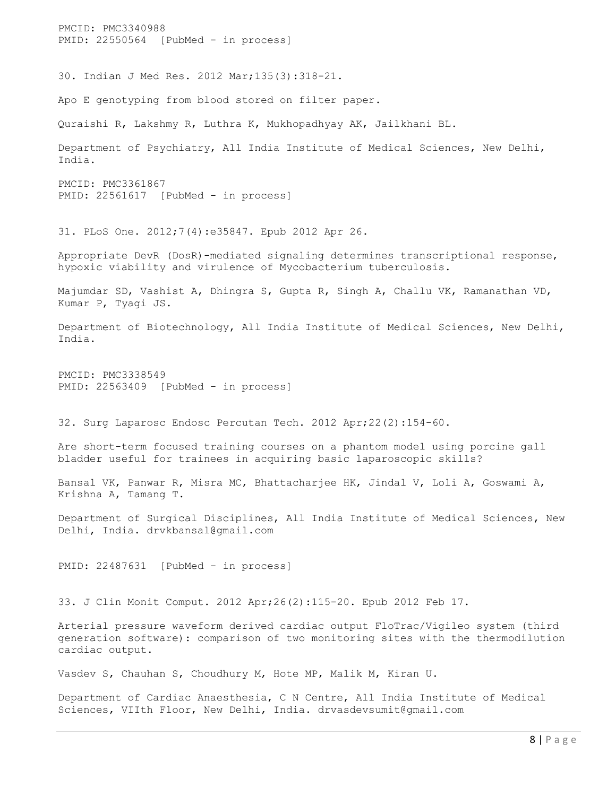PMCID: PMC3340988 PMID: 22550564 [PubMed - in process] 30. Indian J Med Res. 2012 Mar;135(3):318-21. Apo E genotyping from blood stored on filter paper. Quraishi R, Lakshmy R, Luthra K, Mukhopadhyay AK, Jailkhani BL. Department of Psychiatry, All India Institute of Medical Sciences, New Delhi, India. PMCID: PMC3361867 PMID: 22561617 [PubMed - in process] 31. PLoS One. 2012;7(4):e35847. Epub 2012 Apr 26. Appropriate DevR (DosR)-mediated signaling determines transcriptional response, hypoxic viability and virulence of Mycobacterium tuberculosis. Majumdar SD, Vashist A, Dhingra S, Gupta R, Singh A, Challu VK, Ramanathan VD, Kumar P, Tyagi JS. Department of Biotechnology, All India Institute of Medical Sciences, New Delhi, India. PMCID: PMC3338549 PMID: 22563409 [PubMed - in process] 32. Surg Laparosc Endosc Percutan Tech. 2012 Apr;22(2):154-60. Are short-term focused training courses on a phantom model using porcine gall bladder useful for trainees in acquiring basic laparoscopic skills? Bansal VK, Panwar R, Misra MC, Bhattacharjee HK, Jindal V, Loli A, Goswami A, Krishna A, Tamang T. Department of Surgical Disciplines, All India Institute of Medical Sciences, New Delhi, India. drvkbansal@gmail.com PMID: 22487631 [PubMed - in process] 33. J Clin Monit Comput. 2012 Apr;26(2):115-20. Epub 2012 Feb 17. Arterial pressure waveform derived cardiac output FloTrac/Vigileo system (third generation software): comparison of two monitoring sites with the thermodilution cardiac output. Vasdev S, Chauhan S, Choudhury M, Hote MP, Malik M, Kiran U. Department of Cardiac Anaesthesia, C N Centre, All India Institute of Medical Sciences, VIIth Floor, New Delhi, India. drvasdevsumit@gmail.com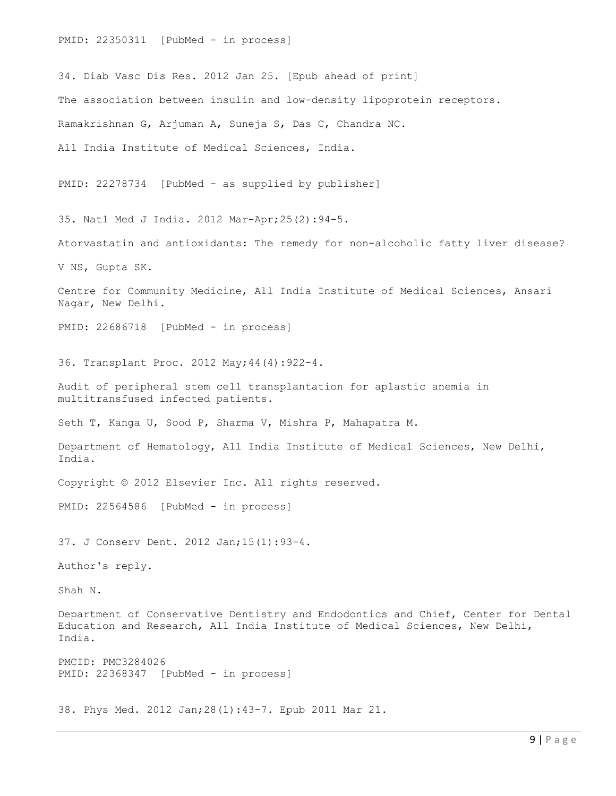PMID: 22350311 [PubMed - in process] 34. Diab Vasc Dis Res. 2012 Jan 25. [Epub ahead of print] The association between insulin and low-density lipoprotein receptors. Ramakrishnan G, Arjuman A, Suneja S, Das C, Chandra NC. All India Institute of Medical Sciences, India. PMID: 22278734 [PubMed - as supplied by publisher] 35. Natl Med J India. 2012 Mar-Apr;25(2):94-5. Atorvastatin and antioxidants: The remedy for non-alcoholic fatty liver disease? V NS, Gupta SK. Centre for Community Medicine, All India Institute of Medical Sciences, Ansari Nagar, New Delhi. PMID: 22686718 [PubMed - in process] 36. Transplant Proc. 2012 May;44(4):922-4. Audit of peripheral stem cell transplantation for aplastic anemia in multitransfused infected patients. Seth T, Kanga U, Sood P, Sharma V, Mishra P, Mahapatra M. Department of Hematology, All India Institute of Medical Sciences, New Delhi, India. Copyright © 2012 Elsevier Inc. All rights reserved. PMID: 22564586 [PubMed - in process] 37. J Conserv Dent. 2012 Jan;15(1):93-4. Author's reply. Shah N. Department of Conservative Dentistry and Endodontics and Chief, Center for Dental Education and Research, All India Institute of Medical Sciences, New Delhi, India. PMCID: PMC3284026 PMID: 22368347 [PubMed - in process] 38. Phys Med. 2012 Jan;28(1):43-7. Epub 2011 Mar 21.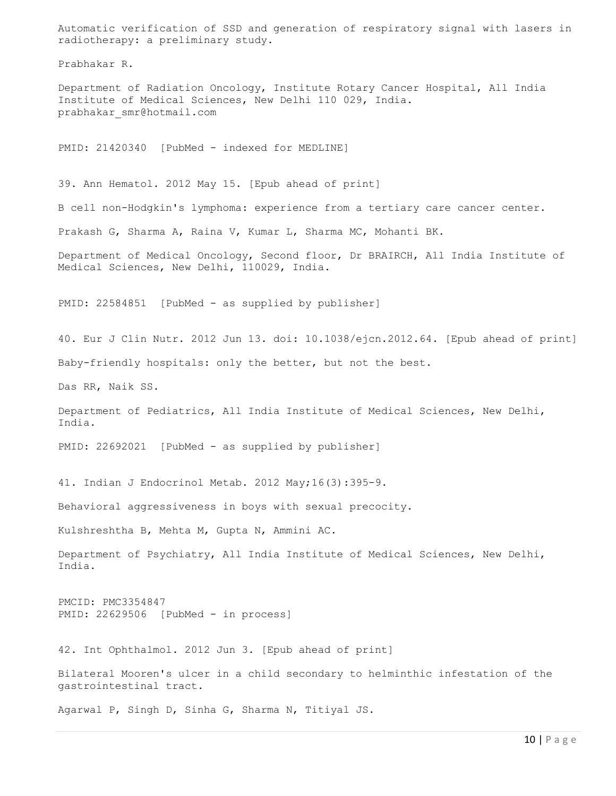Automatic verification of SSD and generation of respiratory signal with lasers in radiotherapy: a preliminary study.

Prabhakar R.

Department of Radiation Oncology, Institute Rotary Cancer Hospital, All India Institute of Medical Sciences, New Delhi 110 029, India. prabhakar\_smr@hotmail.com

PMID: 21420340 [PubMed - indexed for MEDLINE]

39. Ann Hematol. 2012 May 15. [Epub ahead of print]

B cell non-Hodgkin's lymphoma: experience from a tertiary care cancer center.

Prakash G, Sharma A, Raina V, Kumar L, Sharma MC, Mohanti BK.

Department of Medical Oncology, Second floor, Dr BRAIRCH, All India Institute of Medical Sciences, New Delhi, 110029, India.

PMID: 22584851 [PubMed - as supplied by publisher]

40. Eur J Clin Nutr. 2012 Jun 13. doi: 10.1038/ejcn.2012.64. [Epub ahead of print] Baby-friendly hospitals: only the better, but not the best.

Das RR, Naik SS.

Department of Pediatrics, All India Institute of Medical Sciences, New Delhi, India.

PMID: 22692021 [PubMed - as supplied by publisher]

41. Indian J Endocrinol Metab. 2012 May;16(3):395-9.

Behavioral aggressiveness in boys with sexual precocity.

Kulshreshtha B, Mehta M, Gupta N, Ammini AC.

Department of Psychiatry, All India Institute of Medical Sciences, New Delhi, India.

PMCID: PMC3354847 PMID: 22629506 [PubMed - in process]

42. Int Ophthalmol. 2012 Jun 3. [Epub ahead of print]

Bilateral Mooren's ulcer in a child secondary to helminthic infestation of the gastrointestinal tract.

Agarwal P, Singh D, Sinha G, Sharma N, Titiyal JS.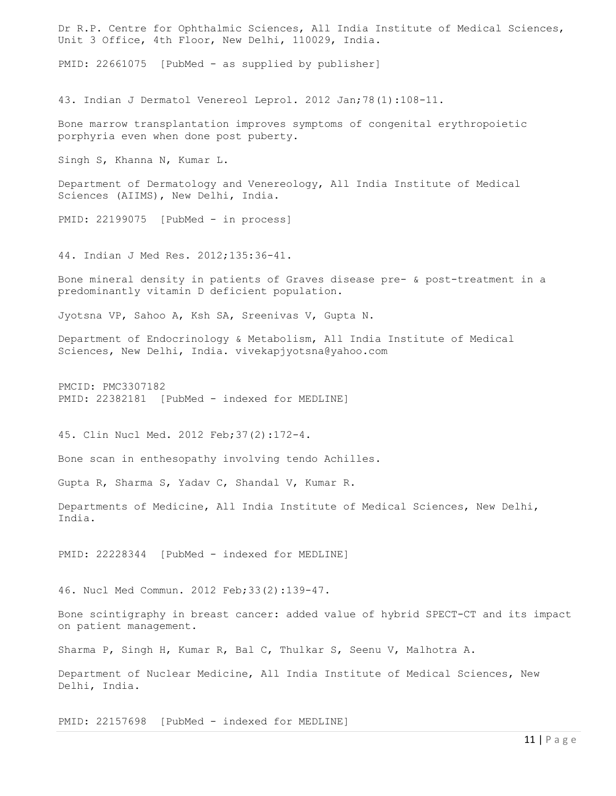Dr R.P. Centre for Ophthalmic Sciences, All India Institute of Medical Sciences, Unit 3 Office, 4th Floor, New Delhi, 110029, India. PMID: 22661075 [PubMed - as supplied by publisher] 43. Indian J Dermatol Venereol Leprol. 2012 Jan;78(1):108-11. Bone marrow transplantation improves symptoms of congenital erythropoietic porphyria even when done post puberty. Singh S, Khanna N, Kumar L. Department of Dermatology and Venereology, All India Institute of Medical Sciences (AIIMS), New Delhi, India. PMID: 22199075 [PubMed - in process] 44. Indian J Med Res. 2012;135:36-41. Bone mineral density in patients of Graves disease pre- & post-treatment in a predominantly vitamin D deficient population. Jyotsna VP, Sahoo A, Ksh SA, Sreenivas V, Gupta N. Department of Endocrinology & Metabolism, All India Institute of Medical Sciences, New Delhi, India. vivekapjyotsna@yahoo.com PMCID: PMC3307182 PMID: 22382181 [PubMed - indexed for MEDLINE] 45. Clin Nucl Med. 2012 Feb;37(2):172-4. Bone scan in enthesopathy involving tendo Achilles. Gupta R, Sharma S, Yadav C, Shandal V, Kumar R. Departments of Medicine, All India Institute of Medical Sciences, New Delhi, India. PMID: 22228344 [PubMed - indexed for MEDLINE] 46. Nucl Med Commun. 2012 Feb;33(2):139-47. Bone scintigraphy in breast cancer: added value of hybrid SPECT-CT and its impact on patient management. Sharma P, Singh H, Kumar R, Bal C, Thulkar S, Seenu V, Malhotra A. Department of Nuclear Medicine, All India Institute of Medical Sciences, New Delhi, India. PMID: 22157698 [PubMed - indexed for MEDLINE]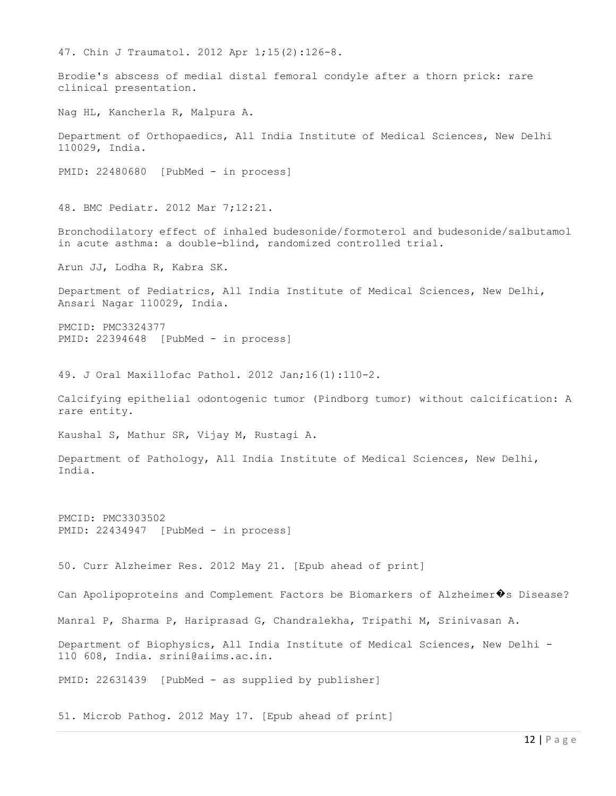47. Chin J Traumatol. 2012 Apr 1;15(2):126-8. Brodie's abscess of medial distal femoral condyle after a thorn prick: rare clinical presentation. Nag HL, Kancherla R, Malpura A. Department of Orthopaedics, All India Institute of Medical Sciences, New Delhi 110029, India. PMID: 22480680 [PubMed - in process] 48. BMC Pediatr. 2012 Mar 7;12:21. Bronchodilatory effect of inhaled budesonide/formoterol and budesonide/salbutamol in acute asthma: a double-blind, randomized controlled trial. Arun JJ, Lodha R, Kabra SK. Department of Pediatrics, All India Institute of Medical Sciences, New Delhi, Ansari Nagar 110029, India. PMCID: PMC3324377 PMID: 22394648 [PubMed - in process] 49. J Oral Maxillofac Pathol. 2012 Jan;16(1):110-2. Calcifying epithelial odontogenic tumor (Pindborg tumor) without calcification: A rare entity. Kaushal S, Mathur SR, Vijay M, Rustagi A. Department of Pathology, All India Institute of Medical Sciences, New Delhi, India. PMCID: PMC3303502 PMID: 22434947 [PubMed - in process] 50. Curr Alzheimer Res. 2012 May 21. [Epub ahead of print] Can Apolipoproteins and Complement Factors be Biomarkers of Alzheimer�s Disease? Manral P, Sharma P, Hariprasad G, Chandralekha, Tripathi M, Srinivasan A. Department of Biophysics, All India Institute of Medical Sciences, New Delhi - 110 608, India. srini@aiims.ac.in. PMID: 22631439 [PubMed - as supplied by publisher]

51. Microb Pathog. 2012 May 17. [Epub ahead of print]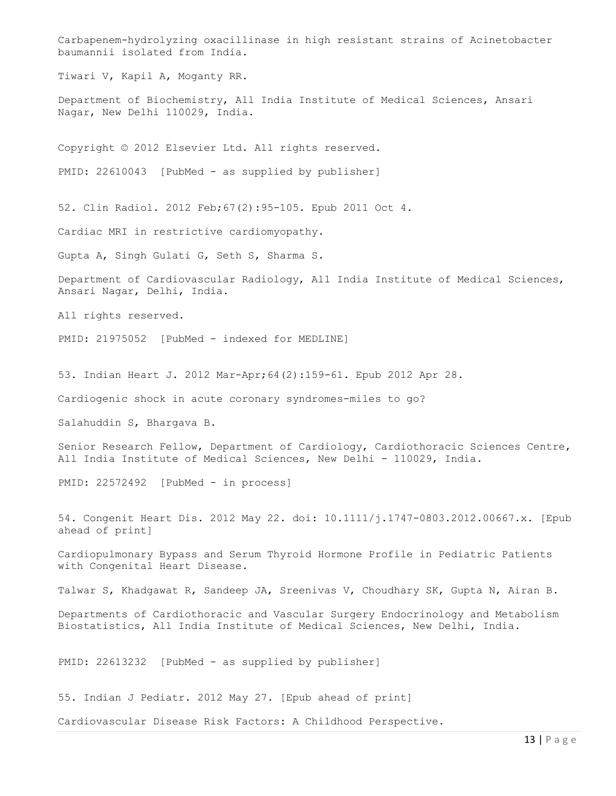Carbapenem-hydrolyzing oxacillinase in high resistant strains of Acinetobacter baumannii isolated from India. Tiwari V, Kapil A, Moganty RR. Department of Biochemistry, All India Institute of Medical Sciences, Ansari Nagar, New Delhi 110029, India. Copyright © 2012 Elsevier Ltd. All rights reserved. PMID: 22610043 [PubMed - as supplied by publisher] 52. Clin Radiol. 2012 Feb;67(2):95-105. Epub 2011 Oct 4. Cardiac MRI in restrictive cardiomyopathy. Gupta A, Singh Gulati G, Seth S, Sharma S. Department of Cardiovascular Radiology, All India Institute of Medical Sciences, Ansari Nagar, Delhi, India. All rights reserved. PMID: 21975052 [PubMed - indexed for MEDLINE] 53. Indian Heart J. 2012 Mar-Apr;64(2):159-61. Epub 2012 Apr 28. Cardiogenic shock in acute coronary syndromes-miles to go? Salahuddin S, Bhargava B. Senior Research Fellow, Department of Cardiology, Cardiothoracic Sciences Centre, All India Institute of Medical Sciences, New Delhi - 110029, India. PMID: 22572492 [PubMed - in process] 54. Congenit Heart Dis. 2012 May 22. doi: 10.1111/j.1747-0803.2012.00667.x. [Epub ahead of print] Cardiopulmonary Bypass and Serum Thyroid Hormone Profile in Pediatric Patients with Congenital Heart Disease. Talwar S, Khadgawat R, Sandeep JA, Sreenivas V, Choudhary SK, Gupta N, Airan B. Departments of Cardiothoracic and Vascular Surgery Endocrinology and Metabolism Biostatistics, All India Institute of Medical Sciences, New Delhi, India. PMID: 22613232 [PubMed - as supplied by publisher] 55. Indian J Pediatr. 2012 May 27. [Epub ahead of print] Cardiovascular Disease Risk Factors: A Childhood Perspective.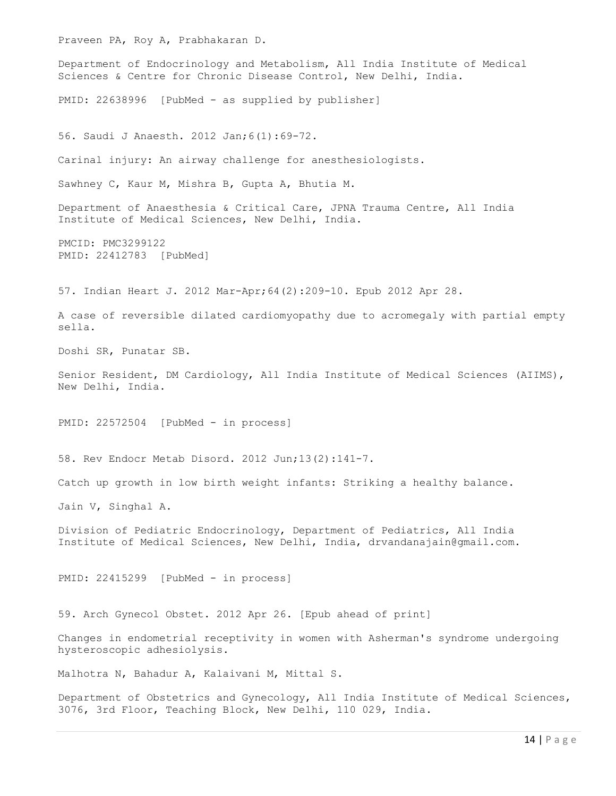Praveen PA, Roy A, Prabhakaran D. Department of Endocrinology and Metabolism, All India Institute of Medical Sciences & Centre for Chronic Disease Control, New Delhi, India. PMID: 22638996 [PubMed - as supplied by publisher] 56. Saudi J Anaesth. 2012 Jan;6(1):69-72. Carinal injury: An airway challenge for anesthesiologists. Sawhney C, Kaur M, Mishra B, Gupta A, Bhutia M. Department of Anaesthesia & Critical Care, JPNA Trauma Centre, All India Institute of Medical Sciences, New Delhi, India. PMCID: PMC3299122 PMID: 22412783 [PubMed] 57. Indian Heart J. 2012 Mar-Apr;64(2):209-10. Epub 2012 Apr 28. A case of reversible dilated cardiomyopathy due to acromegaly with partial empty sella. Doshi SR, Punatar SB. Senior Resident, DM Cardiology, All India Institute of Medical Sciences (AIIMS), New Delhi, India. PMID: 22572504 [PubMed - in process] 58. Rev Endocr Metab Disord. 2012 Jun;13(2):141-7. Catch up growth in low birth weight infants: Striking a healthy balance. Jain V, Singhal A. Division of Pediatric Endocrinology, Department of Pediatrics, All India Institute of Medical Sciences, New Delhi, India, drvandanajain@gmail.com. PMID: 22415299 [PubMed - in process] 59. Arch Gynecol Obstet. 2012 Apr 26. [Epub ahead of print] Changes in endometrial receptivity in women with Asherman's syndrome undergoing hysteroscopic adhesiolysis. Malhotra N, Bahadur A, Kalaivani M, Mittal S. Department of Obstetrics and Gynecology, All India Institute of Medical Sciences, 3076, 3rd Floor, Teaching Block, New Delhi, 110 029, India.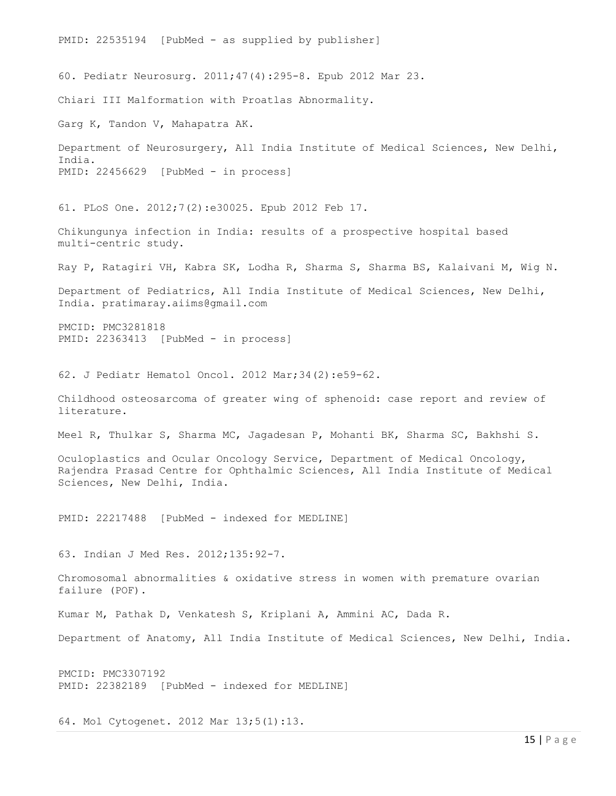PMID: 22535194 [PubMed - as supplied by publisher] 60. Pediatr Neurosurg. 2011;47(4):295-8. Epub 2012 Mar 23. Chiari III Malformation with Proatlas Abnormality. Garg K, Tandon V, Mahapatra AK. Department of Neurosurgery, All India Institute of Medical Sciences, New Delhi, India. PMID: 22456629 [PubMed - in process] 61. PLoS One. 2012;7(2):e30025. Epub 2012 Feb 17. Chikungunya infection in India: results of a prospective hospital based multi-centric study. Ray P, Ratagiri VH, Kabra SK, Lodha R, Sharma S, Sharma BS, Kalaivani M, Wig N. Department of Pediatrics, All India Institute of Medical Sciences, New Delhi, India. pratimaray.aiims@gmail.com PMCID: PMC3281818 PMID: 22363413 [PubMed - in process] 62. J Pediatr Hematol Oncol. 2012 Mar;34(2):e59-62. Childhood osteosarcoma of greater wing of sphenoid: case report and review of literature. Meel R, Thulkar S, Sharma MC, Jagadesan P, Mohanti BK, Sharma SC, Bakhshi S. Oculoplastics and Ocular Oncology Service, Department of Medical Oncology, Rajendra Prasad Centre for Ophthalmic Sciences, All India Institute of Medical Sciences, New Delhi, India. PMID: 22217488 [PubMed - indexed for MEDLINE] 63. Indian J Med Res. 2012;135:92-7. Chromosomal abnormalities & oxidative stress in women with premature ovarian failure (POF). Kumar M, Pathak D, Venkatesh S, Kriplani A, Ammini AC, Dada R. Department of Anatomy, All India Institute of Medical Sciences, New Delhi, India. PMCID: PMC3307192 PMID: 22382189 [PubMed - indexed for MEDLINE]

64. Mol Cytogenet. 2012 Mar 13;5(1):13.

15 | P a g e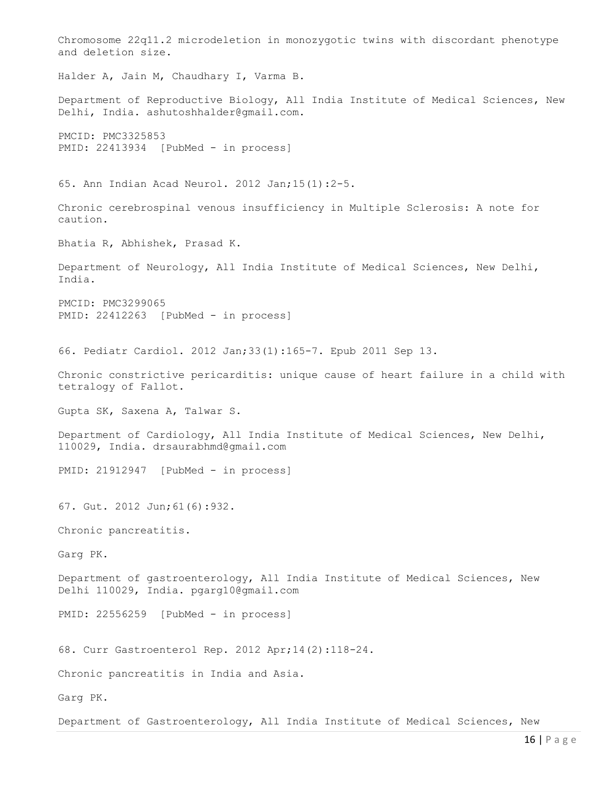Chromosome 22q11.2 microdeletion in monozygotic twins with discordant phenotype and deletion size. Halder A, Jain M, Chaudhary I, Varma B. Department of Reproductive Biology, All India Institute of Medical Sciences, New Delhi, India. ashutoshhalder@gmail.com. PMCID: PMC3325853 PMID: 22413934 [PubMed - in process] 65. Ann Indian Acad Neurol. 2012 Jan;15(1):2-5. Chronic cerebrospinal venous insufficiency in Multiple Sclerosis: A note for caution. Bhatia R, Abhishek, Prasad K. Department of Neurology, All India Institute of Medical Sciences, New Delhi, India. PMCID: PMC3299065 PMID: 22412263 [PubMed - in process] 66. Pediatr Cardiol. 2012 Jan;33(1):165-7. Epub 2011 Sep 13. Chronic constrictive pericarditis: unique cause of heart failure in a child with tetralogy of Fallot. Gupta SK, Saxena A, Talwar S. Department of Cardiology, All India Institute of Medical Sciences, New Delhi, 110029, India. drsaurabhmd@gmail.com PMID: 21912947 [PubMed - in process] 67. Gut. 2012 Jun;61(6):932. Chronic pancreatitis. Garg PK. Department of gastroenterology, All India Institute of Medical Sciences, New Delhi 110029, India. pgarg10@gmail.com PMID: 22556259 [PubMed - in process] 68. Curr Gastroenterol Rep. 2012 Apr;14(2):118-24. Chronic pancreatitis in India and Asia. Garg PK. Department of Gastroenterology, All India Institute of Medical Sciences, New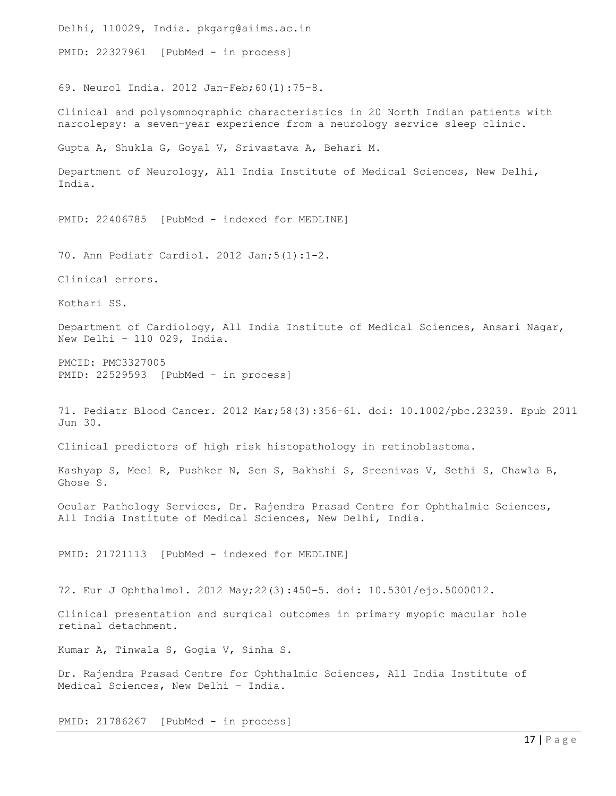Delhi, 110029, India. pkgarg@aiims.ac.in PMID: 22327961 [PubMed - in process] 69. Neurol India. 2012 Jan-Feb;60(1):75-8. Clinical and polysomnographic characteristics in 20 North Indian patients with narcolepsy: a seven-year experience from a neurology service sleep clinic. Gupta A, Shukla G, Goyal V, Srivastava A, Behari M. Department of Neurology, All India Institute of Medical Sciences, New Delhi, India. PMID: 22406785 [PubMed - indexed for MEDLINE] 70. Ann Pediatr Cardiol. 2012 Jan;5(1):1-2. Clinical errors. Kothari SS. Department of Cardiology, All India Institute of Medical Sciences, Ansari Nagar, New Delhi - 110 029, India. PMCID: PMC3327005 PMID: 22529593 [PubMed - in process] 71. Pediatr Blood Cancer. 2012 Mar;58(3):356-61. doi: 10.1002/pbc.23239. Epub 2011 Jun 30. Clinical predictors of high risk histopathology in retinoblastoma. Kashyap S, Meel R, Pushker N, Sen S, Bakhshi S, Sreenivas V, Sethi S, Chawla B, Ghose S. Ocular Pathology Services, Dr. Rajendra Prasad Centre for Ophthalmic Sciences, All India Institute of Medical Sciences, New Delhi, India. PMID: 21721113 [PubMed - indexed for MEDLINE] 72. Eur J Ophthalmol. 2012 May;22(3):450-5. doi: 10.5301/ejo.5000012. Clinical presentation and surgical outcomes in primary myopic macular hole retinal detachment. Kumar A, Tinwala S, Gogia V, Sinha S. Dr. Rajendra Prasad Centre for Ophthalmic Sciences, All India Institute of Medical Sciences, New Delhi - India. PMID: 21786267 [PubMed - in process]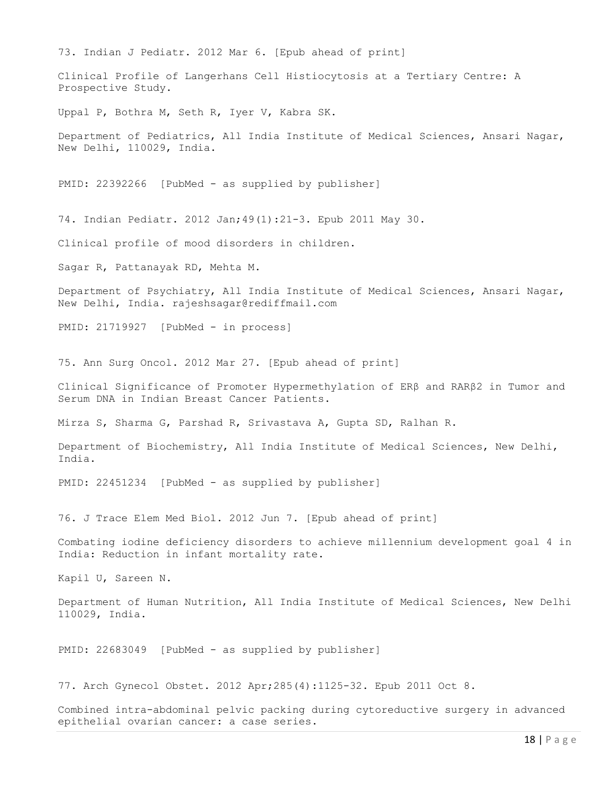73. Indian J Pediatr. 2012 Mar 6. [Epub ahead of print] Clinical Profile of Langerhans Cell Histiocytosis at a Tertiary Centre: A Prospective Study. Uppal P, Bothra M, Seth R, Iyer V, Kabra SK. Department of Pediatrics, All India Institute of Medical Sciences, Ansari Nagar, New Delhi, 110029, India. PMID: 22392266 [PubMed - as supplied by publisher] 74. Indian Pediatr. 2012 Jan;49(1):21-3. Epub 2011 May 30. Clinical profile of mood disorders in children. Sagar R, Pattanayak RD, Mehta M. Department of Psychiatry, All India Institute of Medical Sciences, Ansari Nagar, New Delhi, India. rajeshsagar@rediffmail.com PMID: 21719927 [PubMed - in process] 75. Ann Surg Oncol. 2012 Mar 27. [Epub ahead of print] Clinical Significance of Promoter Hypermethylation of ERβ and RARβ2 in Tumor and Serum DNA in Indian Breast Cancer Patients. Mirza S, Sharma G, Parshad R, Srivastava A, Gupta SD, Ralhan R. Department of Biochemistry, All India Institute of Medical Sciences, New Delhi, India. PMID: 22451234 [PubMed - as supplied by publisher] 76. J Trace Elem Med Biol. 2012 Jun 7. [Epub ahead of print] Combating iodine deficiency disorders to achieve millennium development goal 4 in India: Reduction in infant mortality rate. Kapil U, Sareen N. Department of Human Nutrition, All India Institute of Medical Sciences, New Delhi 110029, India. PMID: 22683049 [PubMed - as supplied by publisher] 77. Arch Gynecol Obstet. 2012 Apr;285(4):1125-32. Epub 2011 Oct 8. Combined intra-abdominal pelvic packing during cytoreductive surgery in advanced epithelial ovarian cancer: a case series.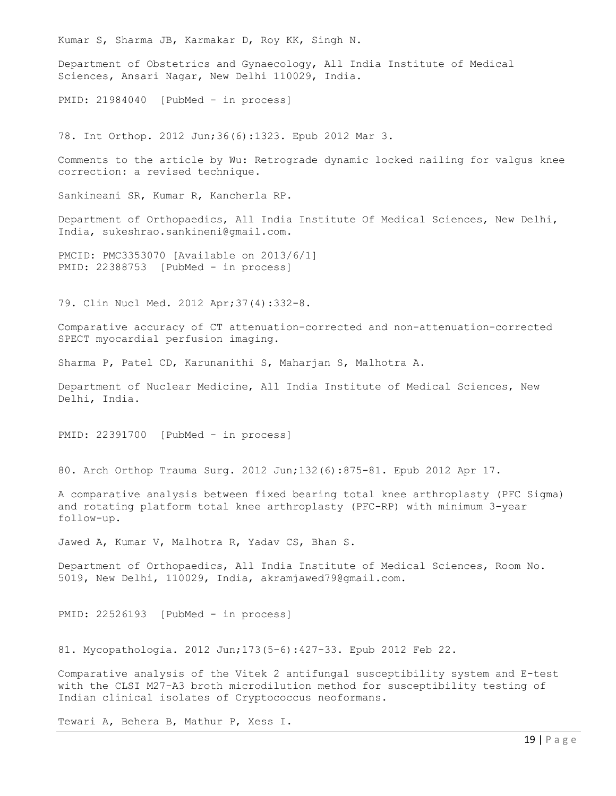Kumar S, Sharma JB, Karmakar D, Roy KK, Singh N.

Department of Obstetrics and Gynaecology, All India Institute of Medical Sciences, Ansari Nagar, New Delhi 110029, India.

PMID: 21984040 [PubMed - in process]

78. Int Orthop. 2012 Jun;36(6):1323. Epub 2012 Mar 3.

Comments to the article by Wu: Retrograde dynamic locked nailing for valgus knee correction: a revised technique.

Sankineani SR, Kumar R, Kancherla RP.

Department of Orthopaedics, All India Institute Of Medical Sciences, New Delhi, India, sukeshrao.sankineni@gmail.com.

PMCID: PMC3353070 [Available on 2013/6/1] PMID: 22388753 [PubMed - in process]

79. Clin Nucl Med. 2012 Apr;37(4):332-8.

Comparative accuracy of CT attenuation-corrected and non-attenuation-corrected SPECT myocardial perfusion imaging.

Sharma P, Patel CD, Karunanithi S, Maharjan S, Malhotra A.

Department of Nuclear Medicine, All India Institute of Medical Sciences, New Delhi, India.

PMID: 22391700 [PubMed - in process]

80. Arch Orthop Trauma Surg. 2012 Jun;132(6):875-81. Epub 2012 Apr 17.

A comparative analysis between fixed bearing total knee arthroplasty (PFC Sigma) and rotating platform total knee arthroplasty (PFC-RP) with minimum 3-year follow-up.

Jawed A, Kumar V, Malhotra R, Yadav CS, Bhan S.

Department of Orthopaedics, All India Institute of Medical Sciences, Room No. 5019, New Delhi, 110029, India, akramjawed79@gmail.com.

PMID: 22526193 [PubMed - in process]

81. Mycopathologia. 2012 Jun;173(5-6):427-33. Epub 2012 Feb 22.

Comparative analysis of the Vitek 2 antifungal susceptibility system and E-test with the CLSI M27-A3 broth microdilution method for susceptibility testing of Indian clinical isolates of Cryptococcus neoformans.

Tewari A, Behera B, Mathur P, Xess I.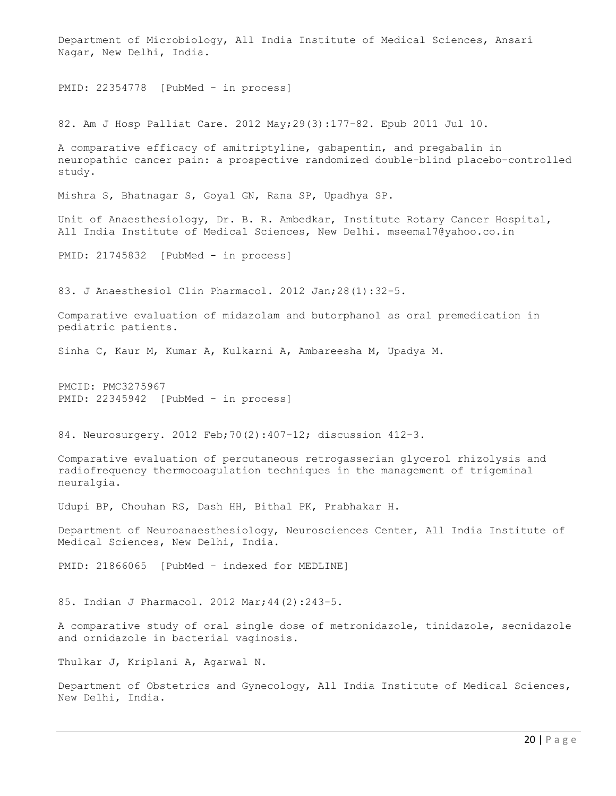Department of Microbiology, All India Institute of Medical Sciences, Ansari Nagar, New Delhi, India. PMID: 22354778 [PubMed - in process] 82. Am J Hosp Palliat Care. 2012 May;29(3):177-82. Epub 2011 Jul 10. A comparative efficacy of amitriptyline, gabapentin, and pregabalin in neuropathic cancer pain: a prospective randomized double-blind placebo-controlled study. Mishra S, Bhatnagar S, Goyal GN, Rana SP, Upadhya SP. Unit of Anaesthesiology, Dr. B. R. Ambedkar, Institute Rotary Cancer Hospital, All India Institute of Medical Sciences, New Delhi. mseema17@yahoo.co.in PMID: 21745832 [PubMed - in process] 83. J Anaesthesiol Clin Pharmacol. 2012 Jan;28(1):32-5. Comparative evaluation of midazolam and butorphanol as oral premedication in pediatric patients. Sinha C, Kaur M, Kumar A, Kulkarni A, Ambareesha M, Upadya M. PMCID: PMC3275967 PMID: 22345942 [PubMed - in process] 84. Neurosurgery. 2012 Feb;70(2):407-12; discussion 412-3. Comparative evaluation of percutaneous retrogasserian glycerol rhizolysis and radiofrequency thermocoagulation techniques in the management of trigeminal neuralgia. Udupi BP, Chouhan RS, Dash HH, Bithal PK, Prabhakar H. Department of Neuroanaesthesiology, Neurosciences Center, All India Institute of Medical Sciences, New Delhi, India. PMID: 21866065 [PubMed - indexed for MEDLINE] 85. Indian J Pharmacol. 2012 Mar;44(2):243-5. A comparative study of oral single dose of metronidazole, tinidazole, secnidazole and ornidazole in bacterial vaginosis. Thulkar J, Kriplani A, Agarwal N. Department of Obstetrics and Gynecology, All India Institute of Medical Sciences, New Delhi, India.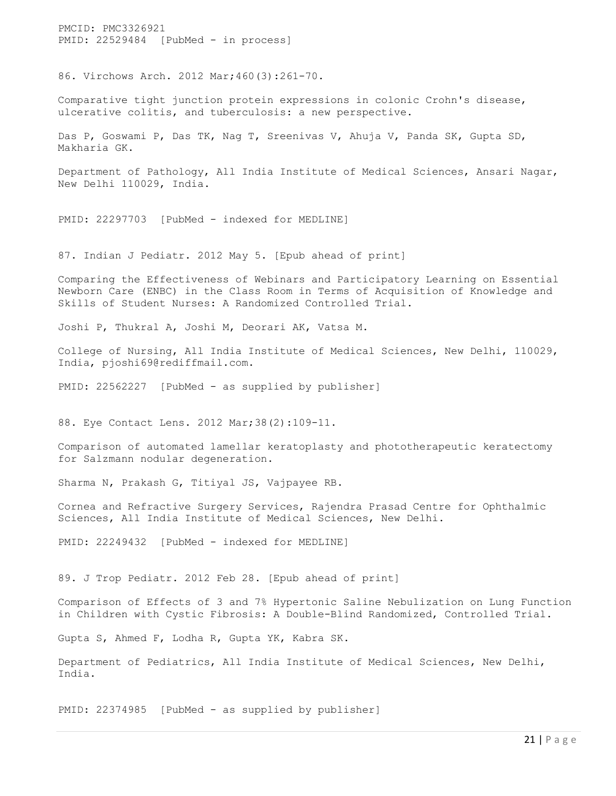PMCID: PMC3326921 PMID: 22529484 [PubMed - in process]

86. Virchows Arch. 2012 Mar;460(3):261-70.

Comparative tight junction protein expressions in colonic Crohn's disease, ulcerative colitis, and tuberculosis: a new perspective.

Das P, Goswami P, Das TK, Nag T, Sreenivas V, Ahuja V, Panda SK, Gupta SD, Makharia GK.

Department of Pathology, All India Institute of Medical Sciences, Ansari Nagar, New Delhi 110029, India.

PMID: 22297703 [PubMed - indexed for MEDLINE]

87. Indian J Pediatr. 2012 May 5. [Epub ahead of print]

Comparing the Effectiveness of Webinars and Participatory Learning on Essential Newborn Care (ENBC) in the Class Room in Terms of Acquisition of Knowledge and Skills of Student Nurses: A Randomized Controlled Trial.

Joshi P, Thukral A, Joshi M, Deorari AK, Vatsa M.

College of Nursing, All India Institute of Medical Sciences, New Delhi, 110029, India, pjoshi69@rediffmail.com.

PMID: 22562227 [PubMed - as supplied by publisher]

88. Eye Contact Lens. 2012 Mar;38(2):109-11.

Comparison of automated lamellar keratoplasty and phototherapeutic keratectomy for Salzmann nodular degeneration.

Sharma N, Prakash G, Titiyal JS, Vajpayee RB.

Cornea and Refractive Surgery Services, Rajendra Prasad Centre for Ophthalmic Sciences, All India Institute of Medical Sciences, New Delhi.

PMID: 22249432 [PubMed - indexed for MEDLINE]

89. J Trop Pediatr. 2012 Feb 28. [Epub ahead of print]

Comparison of Effects of 3 and 7% Hypertonic Saline Nebulization on Lung Function in Children with Cystic Fibrosis: A Double-Blind Randomized, Controlled Trial.

Gupta S, Ahmed F, Lodha R, Gupta YK, Kabra SK.

Department of Pediatrics, All India Institute of Medical Sciences, New Delhi, India.

PMID: 22374985 [PubMed - as supplied by publisher]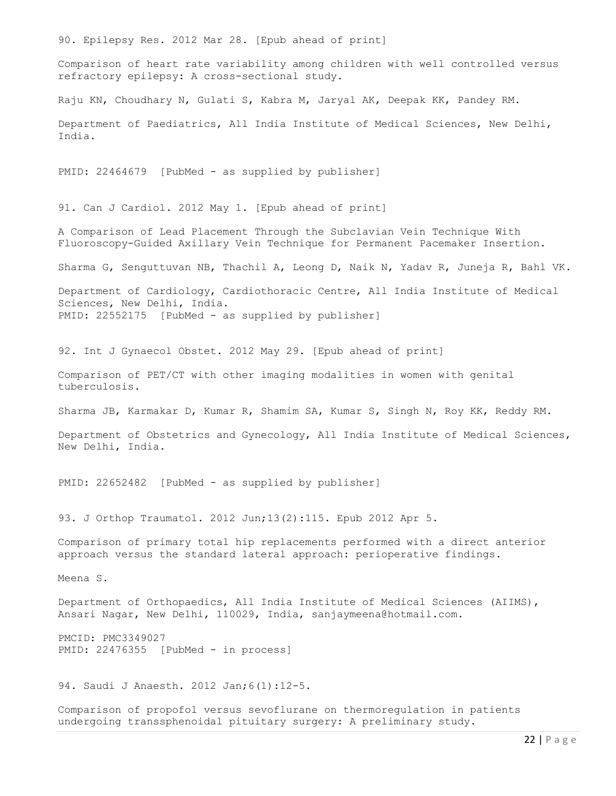90. Epilepsy Res. 2012 Mar 28. [Epub ahead of print]

Comparison of heart rate variability among children with well controlled versus refractory epilepsy: A cross-sectional study.

Raju KN, Choudhary N, Gulati S, Kabra M, Jaryal AK, Deepak KK, Pandey RM.

Department of Paediatrics, All India Institute of Medical Sciences, New Delhi, India.

PMID: 22464679 [PubMed - as supplied by publisher]

91. Can J Cardiol. 2012 May 1. [Epub ahead of print]

A Comparison of Lead Placement Through the Subclavian Vein Technique With Fluoroscopy-Guided Axillary Vein Technique for Permanent Pacemaker Insertion.

Sharma G, Senguttuvan NB, Thachil A, Leong D, Naik N, Yadav R, Juneja R, Bahl VK.

Department of Cardiology, Cardiothoracic Centre, All India Institute of Medical Sciences, New Delhi, India. PMID: 22552175 [PubMed - as supplied by publisher]

92. Int J Gynaecol Obstet. 2012 May 29. [Epub ahead of print]

Comparison of PET/CT with other imaging modalities in women with genital tuberculosis.

Sharma JB, Karmakar D, Kumar R, Shamim SA, Kumar S, Singh N, Roy KK, Reddy RM.

Department of Obstetrics and Gynecology, All India Institute of Medical Sciences, New Delhi, India.

PMID: 22652482 [PubMed - as supplied by publisher]

93. J Orthop Traumatol. 2012 Jun;13(2):115. Epub 2012 Apr 5.

Comparison of primary total hip replacements performed with a direct anterior approach versus the standard lateral approach: perioperative findings.

Meena S.

Department of Orthopaedics, All India Institute of Medical Sciences (AIIMS), Ansari Nagar, New Delhi, 110029, India, sanjaymeena@hotmail.com.

PMCID: PMC3349027 PMID: 22476355 [PubMed - in process]

94. Saudi J Anaesth. 2012 Jan; 6(1):12-5.

Comparison of propofol versus sevoflurane on thermoregulation in patients undergoing transsphenoidal pituitary surgery: A preliminary study.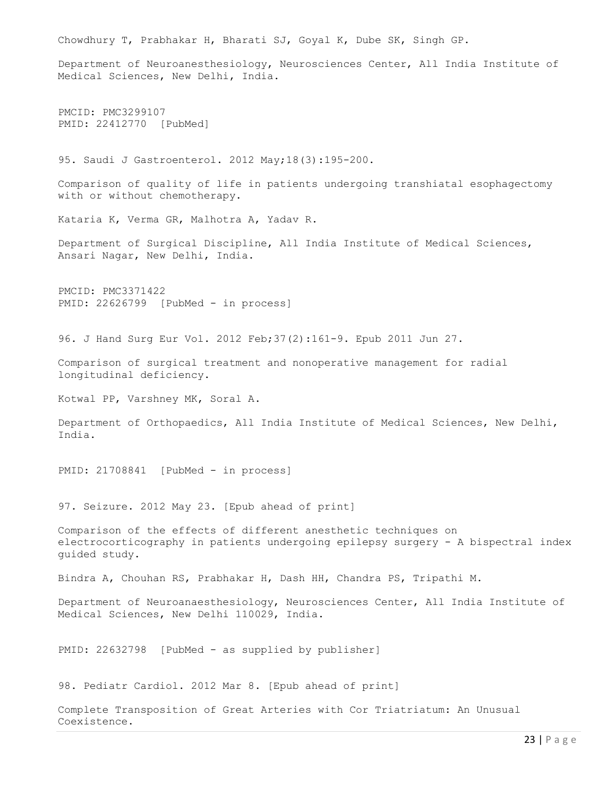Chowdhury T, Prabhakar H, Bharati SJ, Goyal K, Dube SK, Singh GP. Department of Neuroanesthesiology, Neurosciences Center, All India Institute of Medical Sciences, New Delhi, India. PMCID: PMC3299107 PMID: 22412770 [PubMed] 95. Saudi J Gastroenterol. 2012 May;18(3):195-200. Comparison of quality of life in patients undergoing transhiatal esophagectomy with or without chemotherapy. Kataria K, Verma GR, Malhotra A, Yadav R. Department of Surgical Discipline, All India Institute of Medical Sciences, Ansari Nagar, New Delhi, India. PMCID: PMC3371422 PMID: 22626799 [PubMed - in process] 96. J Hand Surg Eur Vol. 2012 Feb;37(2):161-9. Epub 2011 Jun 27. Comparison of surgical treatment and nonoperative management for radial longitudinal deficiency. Kotwal PP, Varshney MK, Soral A. Department of Orthopaedics, All India Institute of Medical Sciences, New Delhi, India. PMID: 21708841 [PubMed - in process] 97. Seizure. 2012 May 23. [Epub ahead of print] Comparison of the effects of different anesthetic techniques on electrocorticography in patients undergoing epilepsy surgery - A bispectral index guided study. Bindra A, Chouhan RS, Prabhakar H, Dash HH, Chandra PS, Tripathi M. Department of Neuroanaesthesiology, Neurosciences Center, All India Institute of Medical Sciences, New Delhi 110029, India. PMID: 22632798 [PubMed - as supplied by publisher] 98. Pediatr Cardiol. 2012 Mar 8. [Epub ahead of print] Complete Transposition of Great Arteries with Cor Triatriatum: An Unusual Coexistence.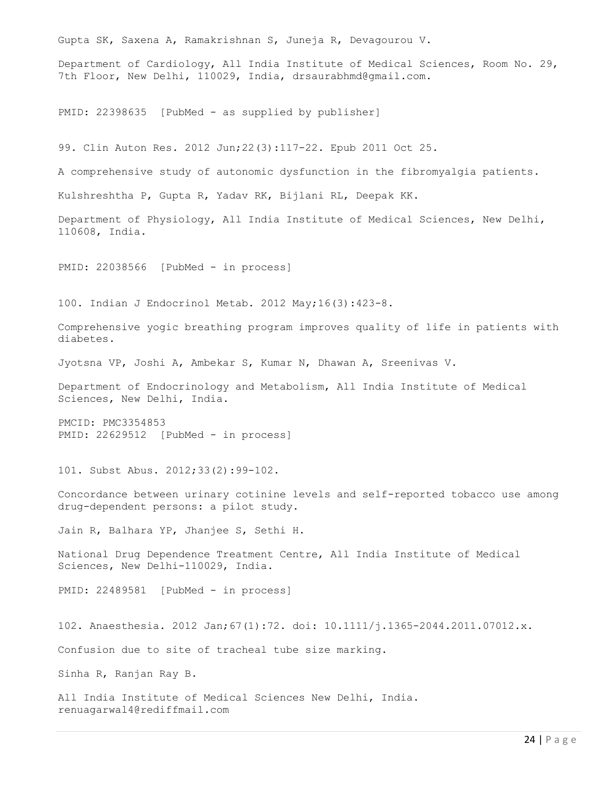Gupta SK, Saxena A, Ramakrishnan S, Juneja R, Devagourou V. Department of Cardiology, All India Institute of Medical Sciences, Room No. 29, 7th Floor, New Delhi, 110029, India, drsaurabhmd@gmail.com. PMID: 22398635 [PubMed - as supplied by publisher] 99. Clin Auton Res. 2012 Jun;22(3):117-22. Epub 2011 Oct 25. A comprehensive study of autonomic dysfunction in the fibromyalgia patients. Kulshreshtha P, Gupta R, Yadav RK, Bijlani RL, Deepak KK. Department of Physiology, All India Institute of Medical Sciences, New Delhi, 110608, India. PMID: 22038566 [PubMed - in process] 100. Indian J Endocrinol Metab. 2012 May;16(3):423-8. Comprehensive yogic breathing program improves quality of life in patients with diabetes. Jyotsna VP, Joshi A, Ambekar S, Kumar N, Dhawan A, Sreenivas V. Department of Endocrinology and Metabolism, All India Institute of Medical Sciences, New Delhi, India. PMCID: PMC3354853 PMID: 22629512 [PubMed - in process] 101. Subst Abus. 2012;33(2):99-102. Concordance between urinary cotinine levels and self-reported tobacco use among drug-dependent persons: a pilot study. Jain R, Balhara YP, Jhanjee S, Sethi H. National Drug Dependence Treatment Centre, All India Institute of Medical Sciences, New Delhi-110029, India. PMID: 22489581 [PubMed - in process] 102. Anaesthesia. 2012 Jan;67(1):72. doi: 10.1111/j.1365-2044.2011.07012.x. Confusion due to site of tracheal tube size marking. Sinha R, Ranjan Ray B. All India Institute of Medical Sciences New Delhi, India. renuagarwal4@rediffmail.com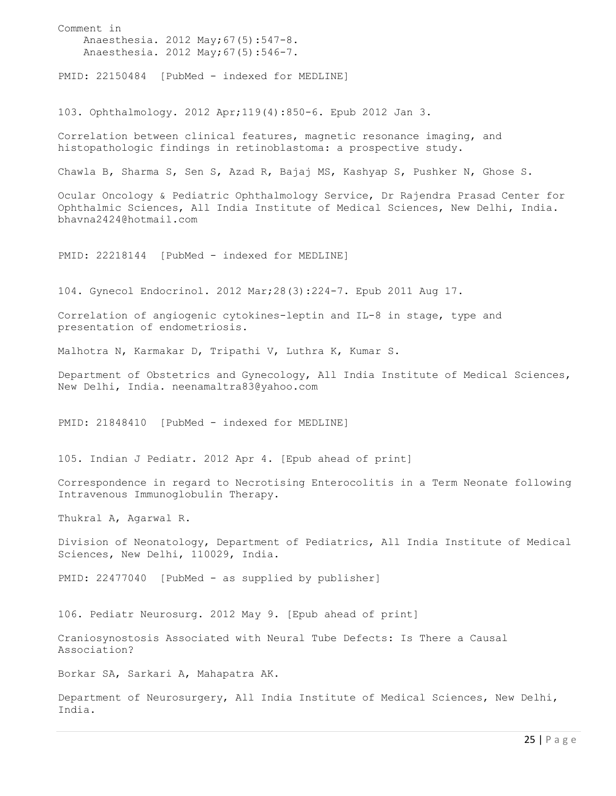Comment in Anaesthesia. 2012 May;67(5):547-8. Anaesthesia. 2012 May;67(5):546-7. PMID: 22150484 [PubMed - indexed for MEDLINE] 103. Ophthalmology. 2012 Apr;119(4):850-6. Epub 2012 Jan 3. Correlation between clinical features, magnetic resonance imaging, and histopathologic findings in retinoblastoma: a prospective study. Chawla B, Sharma S, Sen S, Azad R, Bajaj MS, Kashyap S, Pushker N, Ghose S. Ocular Oncology & Pediatric Ophthalmology Service, Dr Rajendra Prasad Center for Ophthalmic Sciences, All India Institute of Medical Sciences, New Delhi, India. bhavna2424@hotmail.com PMID: 22218144 [PubMed - indexed for MEDLINE] 104. Gynecol Endocrinol. 2012 Mar;28(3):224-7. Epub 2011 Aug 17. Correlation of angiogenic cytokines-leptin and IL-8 in stage, type and presentation of endometriosis. Malhotra N, Karmakar D, Tripathi V, Luthra K, Kumar S. Department of Obstetrics and Gynecology, All India Institute of Medical Sciences, New Delhi, India. neenamaltra83@yahoo.com PMID: 21848410 [PubMed - indexed for MEDLINE] 105. Indian J Pediatr. 2012 Apr 4. [Epub ahead of print] Correspondence in regard to Necrotising Enterocolitis in a Term Neonate following Intravenous Immunoglobulin Therapy. Thukral A, Agarwal R. Division of Neonatology, Department of Pediatrics, All India Institute of Medical Sciences, New Delhi, 110029, India. PMID: 22477040 [PubMed - as supplied by publisher] 106. Pediatr Neurosurg. 2012 May 9. [Epub ahead of print] Craniosynostosis Associated with Neural Tube Defects: Is There a Causal Association? Borkar SA, Sarkari A, Mahapatra AK. Department of Neurosurgery, All India Institute of Medical Sciences, New Delhi, India.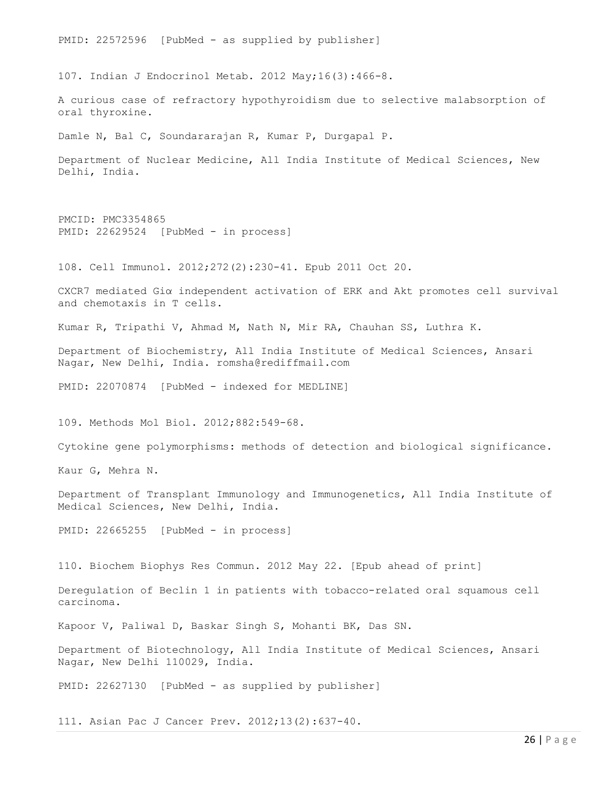PMID: 22572596 [PubMed - as supplied by publisher]

107. Indian J Endocrinol Metab. 2012 May;16(3):466-8.

A curious case of refractory hypothyroidism due to selective malabsorption of oral thyroxine.

Damle N, Bal C, Soundararajan R, Kumar P, Durgapal P.

Department of Nuclear Medicine, All India Institute of Medical Sciences, New Delhi, India.

```
PMCID: PMC3354865 
PMID: 22629524 [PubMed - in process]
```
108. Cell Immunol. 2012;272(2):230-41. Epub 2011 Oct 20.

CXCR7 mediated Giα independent activation of ERK and Akt promotes cell survival and chemotaxis in T cells.

Kumar R, Tripathi V, Ahmad M, Nath N, Mir RA, Chauhan SS, Luthra K.

Department of Biochemistry, All India Institute of Medical Sciences, Ansari Nagar, New Delhi, India. romsha@rediffmail.com

PMID: 22070874 [PubMed - indexed for MEDLINE]

109. Methods Mol Biol. 2012;882:549-68.

Cytokine gene polymorphisms: methods of detection and biological significance.

Kaur G, Mehra N.

Department of Transplant Immunology and Immunogenetics, All India Institute of Medical Sciences, New Delhi, India.

PMID: 22665255 [PubMed - in process]

110. Biochem Biophys Res Commun. 2012 May 22. [Epub ahead of print]

Deregulation of Beclin 1 in patients with tobacco-related oral squamous cell carcinoma.

Kapoor V, Paliwal D, Baskar Singh S, Mohanti BK, Das SN.

Department of Biotechnology, All India Institute of Medical Sciences, Ansari Nagar, New Delhi 110029, India.

PMID: 22627130 [PubMed - as supplied by publisher]

111. Asian Pac J Cancer Prev. 2012;13(2):637-40.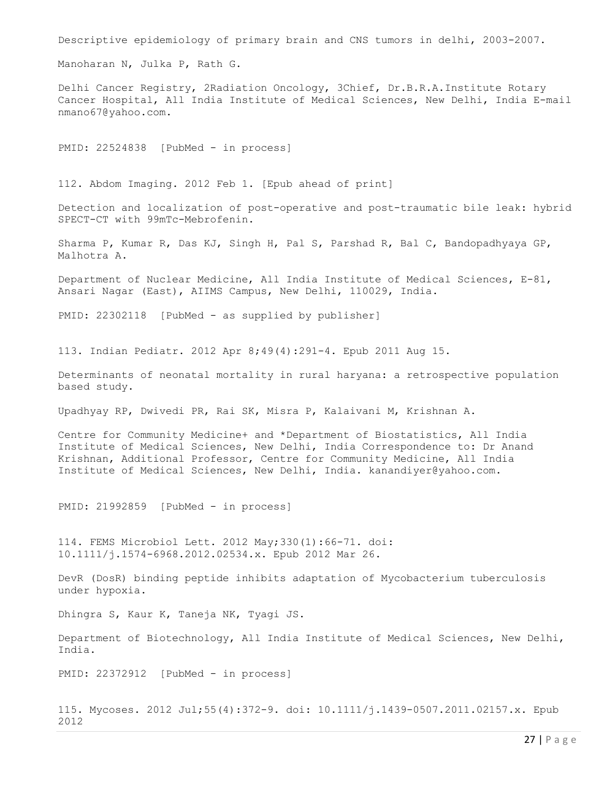Descriptive epidemiology of primary brain and CNS tumors in delhi, 2003-2007.

Manoharan N, Julka P, Rath G.

Delhi Cancer Registry, 2Radiation Oncology, 3Chief, Dr.B.R.A.Institute Rotary Cancer Hospital, All India Institute of Medical Sciences, New Delhi, India E-mail nmano67@yahoo.com.

PMID: 22524838 [PubMed - in process]

112. Abdom Imaging. 2012 Feb 1. [Epub ahead of print]

Detection and localization of post-operative and post-traumatic bile leak: hybrid SPECT-CT with 99mTc-Mebrofenin.

Sharma P, Kumar R, Das KJ, Singh H, Pal S, Parshad R, Bal C, Bandopadhyaya GP, Malhotra A.

Department of Nuclear Medicine, All India Institute of Medical Sciences, E-81, Ansari Nagar (East), AIIMS Campus, New Delhi, 110029, India.

PMID: 22302118 [PubMed - as supplied by publisher]

113. Indian Pediatr. 2012 Apr 8;49(4):291-4. Epub 2011 Aug 15.

Determinants of neonatal mortality in rural haryana: a retrospective population based study.

Upadhyay RP, Dwivedi PR, Rai SK, Misra P, Kalaivani M, Krishnan A.

Centre for Community Medicine+ and \*Department of Biostatistics, All India Institute of Medical Sciences, New Delhi, India Correspondence to: Dr Anand Krishnan, Additional Professor, Centre for Community Medicine, All India Institute of Medical Sciences, New Delhi, India. kanandiyer@yahoo.com.

PMID: 21992859 [PubMed - in process]

114. FEMS Microbiol Lett. 2012 May;330(1):66-71. doi: 10.1111/j.1574-6968.2012.02534.x. Epub 2012 Mar 26.

DevR (DosR) binding peptide inhibits adaptation of Mycobacterium tuberculosis under hypoxia.

Dhingra S, Kaur K, Taneja NK, Tyagi JS.

Department of Biotechnology, All India Institute of Medical Sciences, New Delhi, India.

PMID: 22372912 [PubMed - in process]

115. Mycoses. 2012 Jul;55(4):372-9. doi: 10.1111/j.1439-0507.2011.02157.x. Epub 2012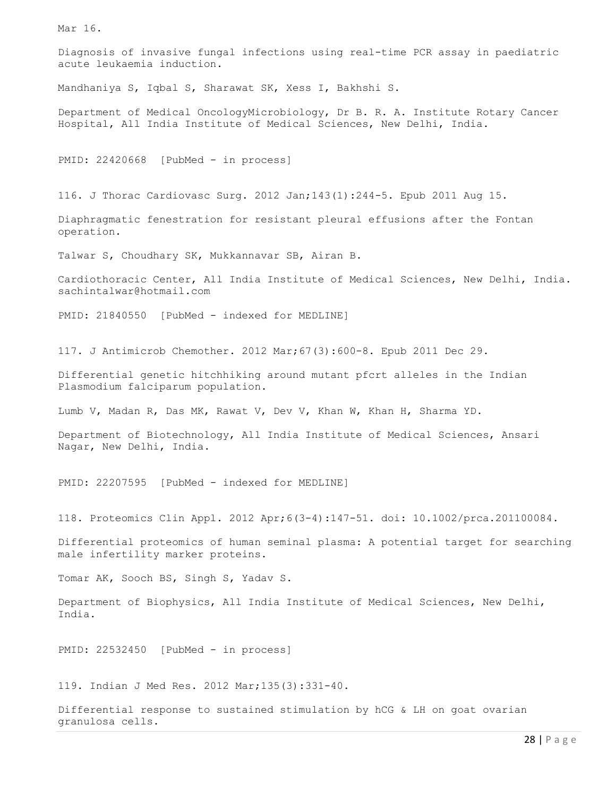Mar 16.

Diagnosis of invasive fungal infections using real-time PCR assay in paediatric acute leukaemia induction.

Mandhaniya S, Iqbal S, Sharawat SK, Xess I, Bakhshi S.

Department of Medical OncologyMicrobiology, Dr B. R. A. Institute Rotary Cancer Hospital, All India Institute of Medical Sciences, New Delhi, India.

PMID: 22420668 [PubMed - in process]

116. J Thorac Cardiovasc Surg. 2012 Jan;143(1):244-5. Epub 2011 Aug 15.

Diaphragmatic fenestration for resistant pleural effusions after the Fontan operation.

Talwar S, Choudhary SK, Mukkannavar SB, Airan B.

Cardiothoracic Center, All India Institute of Medical Sciences, New Delhi, India. sachintalwar@hotmail.com

PMID: 21840550 [PubMed - indexed for MEDLINE]

117. J Antimicrob Chemother. 2012 Mar;67(3):600-8. Epub 2011 Dec 29.

Differential genetic hitchhiking around mutant pfcrt alleles in the Indian Plasmodium falciparum population.

Lumb V, Madan R, Das MK, Rawat V, Dev V, Khan W, Khan H, Sharma YD.

Department of Biotechnology, All India Institute of Medical Sciences, Ansari Nagar, New Delhi, India.

PMID: 22207595 [PubMed - indexed for MEDLINE]

118. Proteomics Clin Appl. 2012 Apr;6(3-4):147-51. doi: 10.1002/prca.201100084.

Differential proteomics of human seminal plasma: A potential target for searching male infertility marker proteins.

Tomar AK, Sooch BS, Singh S, Yadav S.

Department of Biophysics, All India Institute of Medical Sciences, New Delhi, India.

PMID: 22532450 [PubMed - in process]

119. Indian J Med Res. 2012 Mar;135(3):331-40.

Differential response to sustained stimulation by hCG & LH on goat ovarian granulosa cells.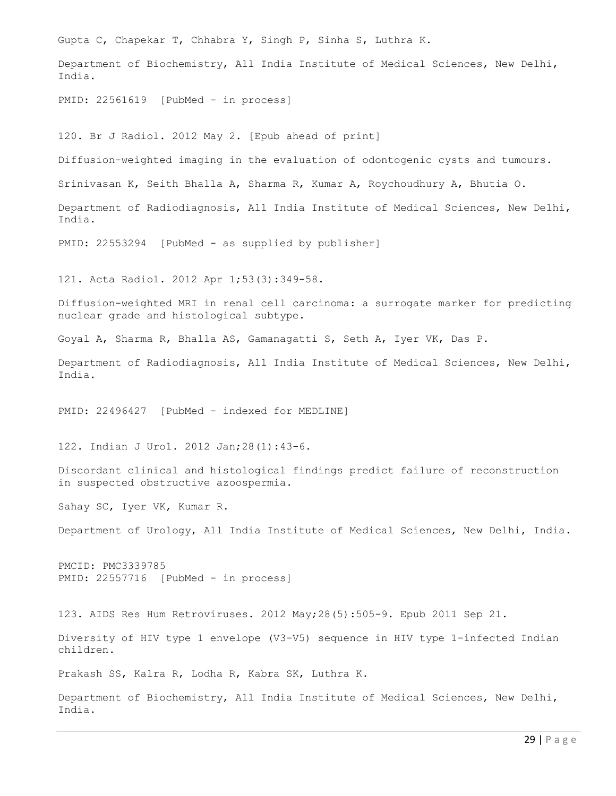Gupta C, Chapekar T, Chhabra Y, Singh P, Sinha S, Luthra K. Department of Biochemistry, All India Institute of Medical Sciences, New Delhi, India. PMID: 22561619 [PubMed - in process] 120. Br J Radiol. 2012 May 2. [Epub ahead of print] Diffusion-weighted imaging in the evaluation of odontogenic cysts and tumours. Srinivasan K, Seith Bhalla A, Sharma R, Kumar A, Roychoudhury A, Bhutia O. Department of Radiodiagnosis, All India Institute of Medical Sciences, New Delhi, India. PMID: 22553294 [PubMed - as supplied by publisher] 121. Acta Radiol. 2012 Apr 1;53(3):349-58. Diffusion-weighted MRI in renal cell carcinoma: a surrogate marker for predicting nuclear grade and histological subtype. Goyal A, Sharma R, Bhalla AS, Gamanagatti S, Seth A, Iyer VK, Das P. Department of Radiodiagnosis, All India Institute of Medical Sciences, New Delhi, India. PMID: 22496427 [PubMed - indexed for MEDLINE] 122. Indian J Urol. 2012 Jan;28(1):43-6. Discordant clinical and histological findings predict failure of reconstruction in suspected obstructive azoospermia. Sahay SC, Iyer VK, Kumar R. Department of Urology, All India Institute of Medical Sciences, New Delhi, India. PMCID: PMC3339785 PMID: 22557716 [PubMed - in process] 123. AIDS Res Hum Retroviruses. 2012 May;28(5):505-9. Epub 2011 Sep 21. Diversity of HIV type 1 envelope (V3-V5) sequence in HIV type 1-infected Indian children. Prakash SS, Kalra R, Lodha R, Kabra SK, Luthra K. Department of Biochemistry, All India Institute of Medical Sciences, New Delhi, India.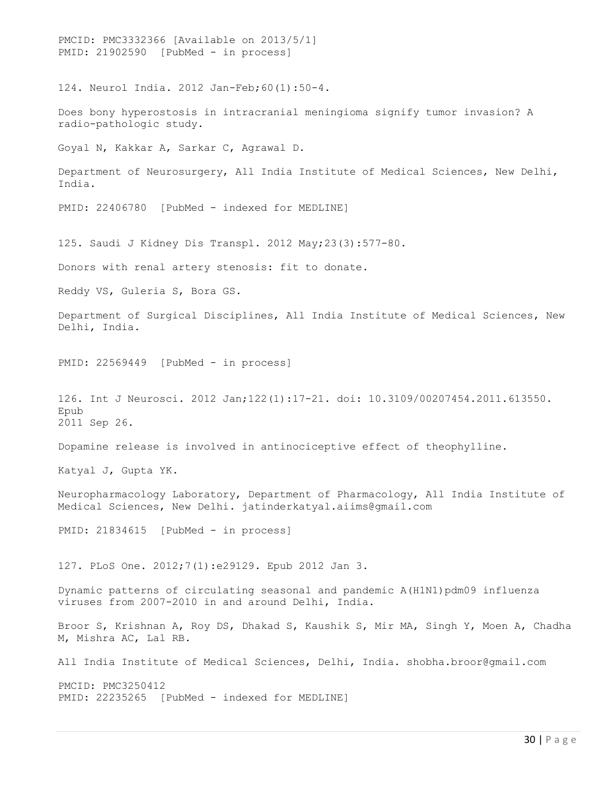PMCID: PMC3332366 [Available on 2013/5/1] PMID: 21902590 [PubMed - in process] 124. Neurol India. 2012 Jan-Feb;60(1):50-4. Does bony hyperostosis in intracranial meningioma signify tumor invasion? A radio-pathologic study. Goyal N, Kakkar A, Sarkar C, Agrawal D. Department of Neurosurgery, All India Institute of Medical Sciences, New Delhi, India. PMID: 22406780 [PubMed - indexed for MEDLINE] 125. Saudi J Kidney Dis Transpl. 2012 May;23(3):577-80. Donors with renal artery stenosis: fit to donate. Reddy VS, Guleria S, Bora GS. Department of Surgical Disciplines, All India Institute of Medical Sciences, New Delhi, India. PMID: 22569449 [PubMed - in process] 126. Int J Neurosci. 2012 Jan;122(1):17-21. doi: 10.3109/00207454.2011.613550. Epub 2011 Sep 26. Dopamine release is involved in antinociceptive effect of theophylline. Katyal J, Gupta YK. Neuropharmacology Laboratory, Department of Pharmacology, All India Institute of Medical Sciences, New Delhi. jatinderkatyal.aiims@gmail.com PMID: 21834615 [PubMed - in process] 127. PLoS One. 2012;7(1):e29129. Epub 2012 Jan 3. Dynamic patterns of circulating seasonal and pandemic A(H1N1) pdm09 influenza viruses from 2007-2010 in and around Delhi, India. Broor S, Krishnan A, Roy DS, Dhakad S, Kaushik S, Mir MA, Singh Y, Moen A, Chadha M, Mishra AC, Lal RB. All India Institute of Medical Sciences, Delhi, India. shobha.broor@gmail.com PMCID: PMC3250412 PMID: 22235265 [PubMed - indexed for MEDLINE]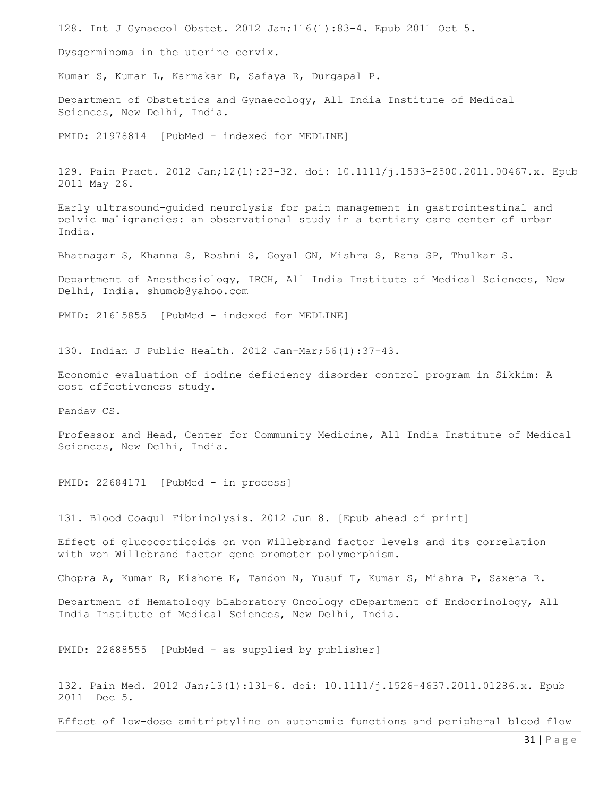128. Int J Gynaecol Obstet. 2012 Jan;116(1):83-4. Epub 2011 Oct 5. Dysgerminoma in the uterine cervix. Kumar S, Kumar L, Karmakar D, Safaya R, Durgapal P. Department of Obstetrics and Gynaecology, All India Institute of Medical Sciences, New Delhi, India. PMID: 21978814 [PubMed - indexed for MEDLINE] 129. Pain Pract. 2012 Jan;12(1):23-32. doi: 10.1111/j.1533-2500.2011.00467.x. Epub 2011 May 26. Early ultrasound-guided neurolysis for pain management in gastrointestinal and pelvic malignancies: an observational study in a tertiary care center of urban India. Bhatnagar S, Khanna S, Roshni S, Goyal GN, Mishra S, Rana SP, Thulkar S. Department of Anesthesiology, IRCH, All India Institute of Medical Sciences, New Delhi, India. shumob@yahoo.com PMID: 21615855 [PubMed - indexed for MEDLINE] 130. Indian J Public Health. 2012 Jan-Mar;56(1):37-43. Economic evaluation of iodine deficiency disorder control program in Sikkim: A cost effectiveness study. Pandav CS. Professor and Head, Center for Community Medicine, All India Institute of Medical Sciences, New Delhi, India. PMID: 22684171 [PubMed - in process] 131. Blood Coagul Fibrinolysis. 2012 Jun 8. [Epub ahead of print] Effect of glucocorticoids on von Willebrand factor levels and its correlation with von Willebrand factor gene promoter polymorphism. Chopra A, Kumar R, Kishore K, Tandon N, Yusuf T, Kumar S, Mishra P, Saxena R. Department of Hematology bLaboratory Oncology cDepartment of Endocrinology, All India Institute of Medical Sciences, New Delhi, India. PMID: 22688555 [PubMed - as supplied by publisher] 132. Pain Med. 2012 Jan;13(1):131-6. doi: 10.1111/j.1526-4637.2011.01286.x. Epub 2011 Dec 5.

Effect of low-dose amitriptyline on autonomic functions and peripheral blood flow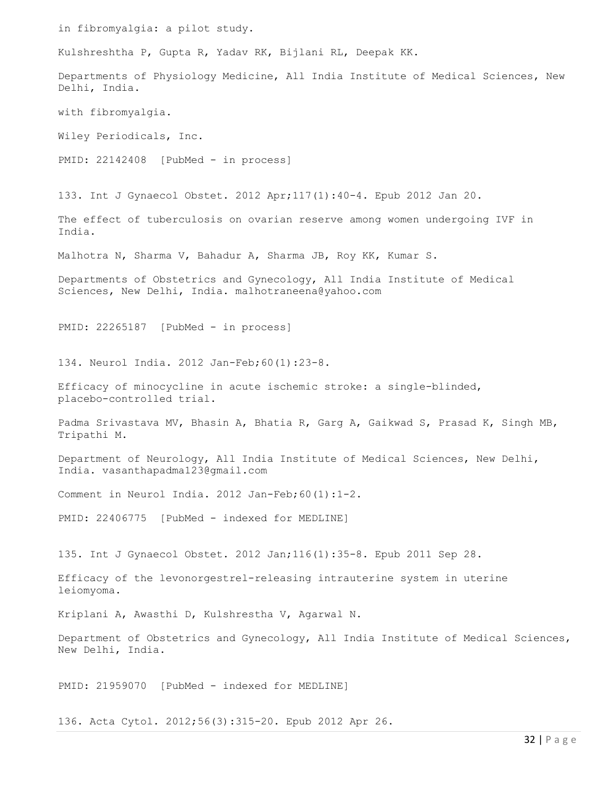in fibromyalgia: a pilot study. Kulshreshtha P, Gupta R, Yadav RK, Bijlani RL, Deepak KK. Departments of Physiology Medicine, All India Institute of Medical Sciences, New Delhi, India. with fibromyalgia. Wiley Periodicals, Inc. PMID: 22142408 [PubMed - in process] 133. Int J Gynaecol Obstet. 2012 Apr;117(1):40-4. Epub 2012 Jan 20. The effect of tuberculosis on ovarian reserve among women undergoing IVF in India. Malhotra N, Sharma V, Bahadur A, Sharma JB, Roy KK, Kumar S. Departments of Obstetrics and Gynecology, All India Institute of Medical Sciences, New Delhi, India. malhotraneena@yahoo.com PMID: 22265187 [PubMed - in process] 134. Neurol India. 2012 Jan-Feb;60(1):23-8. Efficacy of minocycline in acute ischemic stroke: a single-blinded, placebo-controlled trial. Padma Srivastava MV, Bhasin A, Bhatia R, Garg A, Gaikwad S, Prasad K, Singh MB, Tripathi M. Department of Neurology, All India Institute of Medical Sciences, New Delhi, India. vasanthapadma123@gmail.com Comment in Neurol India. 2012 Jan-Feb;60(1):1-2. PMID: 22406775 [PubMed - indexed for MEDLINE] 135. Int J Gynaecol Obstet. 2012 Jan;116(1):35-8. Epub 2011 Sep 28. Efficacy of the levonorgestrel-releasing intrauterine system in uterine leiomyoma. Kriplani A, Awasthi D, Kulshrestha V, Agarwal N. Department of Obstetrics and Gynecology, All India Institute of Medical Sciences, New Delhi, India. PMID: 21959070 [PubMed - indexed for MEDLINE] 136. Acta Cytol. 2012;56(3):315-20. Epub 2012 Apr 26.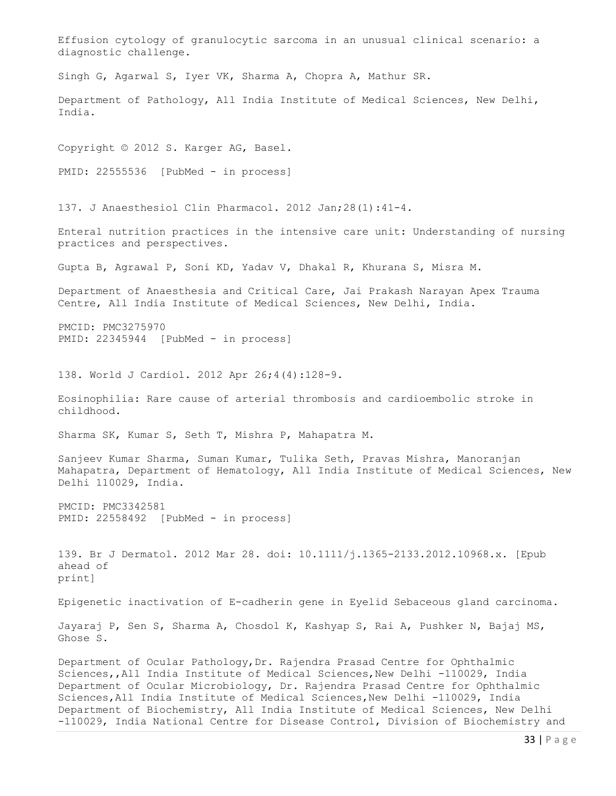Effusion cytology of granulocytic sarcoma in an unusual clinical scenario: a diagnostic challenge. Singh G, Agarwal S, Iyer VK, Sharma A, Chopra A, Mathur SR. Department of Pathology, All India Institute of Medical Sciences, New Delhi, India. Copyright © 2012 S. Karger AG, Basel. PMID: 22555536 [PubMed - in process] 137. J Anaesthesiol Clin Pharmacol. 2012 Jan;28(1):41-4. Enteral nutrition practices in the intensive care unit: Understanding of nursing practices and perspectives. Gupta B, Agrawal P, Soni KD, Yadav V, Dhakal R, Khurana S, Misra M. Department of Anaesthesia and Critical Care, Jai Prakash Narayan Apex Trauma Centre, All India Institute of Medical Sciences, New Delhi, India. PMCID: PMC3275970 PMID: 22345944 [PubMed - in process] 138. World J Cardiol. 2012 Apr 26;4(4):128-9. Eosinophilia: Rare cause of arterial thrombosis and cardioembolic stroke in childhood. Sharma SK, Kumar S, Seth T, Mishra P, Mahapatra M. Sanjeev Kumar Sharma, Suman Kumar, Tulika Seth, Pravas Mishra, Manoranjan Mahapatra, Department of Hematology, All India Institute of Medical Sciences, New Delhi 110029, India. PMCID: PMC3342581 PMID: 22558492 [PubMed - in process] 139. Br J Dermatol. 2012 Mar 28. doi: 10.1111/j.1365-2133.2012.10968.x. [Epub ahead of print] Epigenetic inactivation of E-cadherin gene in Eyelid Sebaceous gland carcinoma. Jayaraj P, Sen S, Sharma A, Chosdol K, Kashyap S, Rai A, Pushker N, Bajaj MS, Ghose S. Department of Ocular Pathology,Dr. Rajendra Prasad Centre for Ophthalmic Sciences,, All India Institute of Medical Sciences, New Delhi -110029, India Department of Ocular Microbiology, Dr. Rajendra Prasad Centre for Ophthalmic Sciences,All India Institute of Medical Sciences,New Delhi -110029, India Department of Biochemistry, All India Institute of Medical Sciences, New Delhi

-110029, India National Centre for Disease Control, Division of Biochemistry and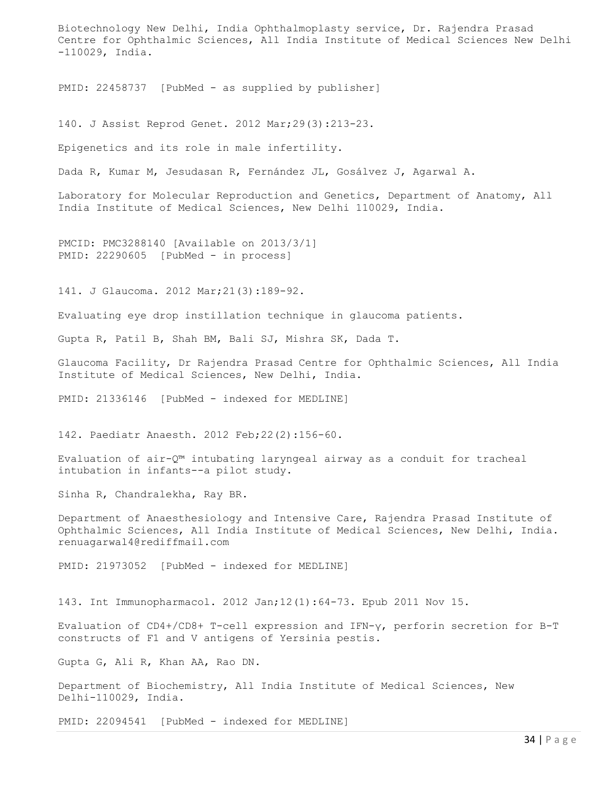Biotechnology New Delhi, India Ophthalmoplasty service, Dr. Rajendra Prasad Centre for Ophthalmic Sciences, All India Institute of Medical Sciences New Delhi -110029, India.

PMID: 22458737 [PubMed - as supplied by publisher]

140. J Assist Reprod Genet. 2012 Mar;29(3):213-23.

Epigenetics and its role in male infertility.

Dada R, Kumar M, Jesudasan R, Fernández JL, Gosálvez J, Agarwal A.

Laboratory for Molecular Reproduction and Genetics, Department of Anatomy, All India Institute of Medical Sciences, New Delhi 110029, India.

PMCID: PMC3288140 [Available on 2013/3/1] PMID: 22290605 [PubMed - in process]

141. J Glaucoma. 2012 Mar;21(3):189-92.

Evaluating eye drop instillation technique in glaucoma patients.

Gupta R, Patil B, Shah BM, Bali SJ, Mishra SK, Dada T.

Glaucoma Facility, Dr Rajendra Prasad Centre for Ophthalmic Sciences, All India Institute of Medical Sciences, New Delhi, India.

PMID: 21336146 [PubMed - indexed for MEDLINE]

142. Paediatr Anaesth. 2012 Feb;22(2):156-60.

Evaluation of air-Q™ intubating laryngeal airway as a conduit for tracheal intubation in infants--a pilot study.

Sinha R, Chandralekha, Ray BR.

Department of Anaesthesiology and Intensive Care, Rajendra Prasad Institute of Ophthalmic Sciences, All India Institute of Medical Sciences, New Delhi, India. renuagarwal4@rediffmail.com

PMID: 21973052 [PubMed - indexed for MEDLINE]

143. Int Immunopharmacol. 2012 Jan;12(1):64-73. Epub 2011 Nov 15.

Evaluation of CD4+/CD8+ T-cell expression and IFN-γ, perforin secretion for B-T constructs of F1 and V antigens of Yersinia pestis.

Gupta G, Ali R, Khan AA, Rao DN.

Department of Biochemistry, All India Institute of Medical Sciences, New Delhi-110029, India.

PMID: 22094541 [PubMed - indexed for MEDLINE]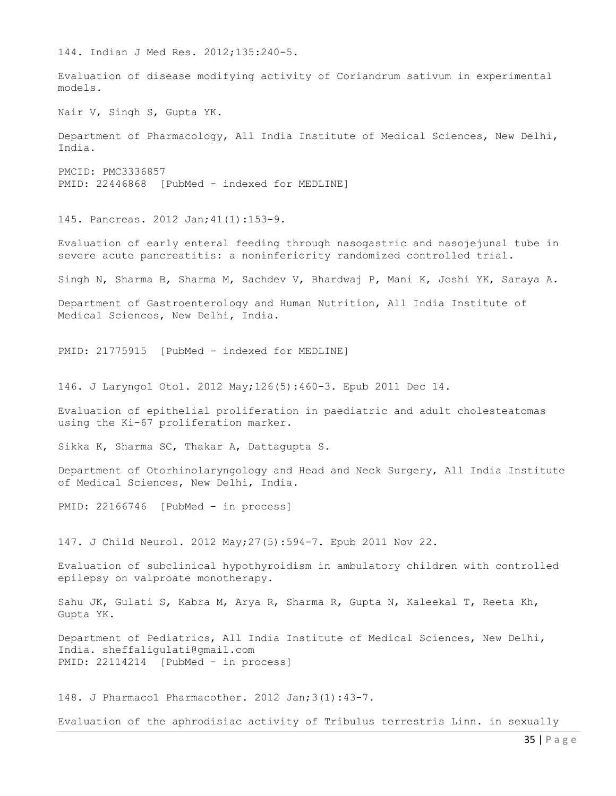144. Indian J Med Res. 2012;135:240-5. Evaluation of disease modifying activity of Coriandrum sativum in experimental models. Nair V, Singh S, Gupta YK. Department of Pharmacology, All India Institute of Medical Sciences, New Delhi, India. PMCID: PMC3336857 PMID: 22446868 [PubMed - indexed for MEDLINE] 145. Pancreas. 2012 Jan;41(1):153-9. Evaluation of early enteral feeding through nasogastric and nasojejunal tube in severe acute pancreatitis: a noninferiority randomized controlled trial. Singh N, Sharma B, Sharma M, Sachdev V, Bhardwaj P, Mani K, Joshi YK, Saraya A. Department of Gastroenterology and Human Nutrition, All India Institute of Medical Sciences, New Delhi, India. PMID: 21775915 [PubMed - indexed for MEDLINE] 146. J Laryngol Otol. 2012 May;126(5):460-3. Epub 2011 Dec 14. Evaluation of epithelial proliferation in paediatric and adult cholesteatomas using the Ki-67 proliferation marker. Sikka K, Sharma SC, Thakar A, Dattagupta S. Department of Otorhinolaryngology and Head and Neck Surgery, All India Institute of Medical Sciences, New Delhi, India. PMID: 22166746 [PubMed - in process] 147. J Child Neurol. 2012 May;27(5):594-7. Epub 2011 Nov 22. Evaluation of subclinical hypothyroidism in ambulatory children with controlled epilepsy on valproate monotherapy. Sahu JK, Gulati S, Kabra M, Arya R, Sharma R, Gupta N, Kaleekal T, Reeta Kh, Gupta YK. Department of Pediatrics, All India Institute of Medical Sciences, New Delhi, India. sheffaligulati@gmail.com PMID: 22114214 [PubMed - in process] 148. J Pharmacol Pharmacother. 2012 Jan;3(1):43-7.

Evaluation of the aphrodisiac activity of Tribulus terrestris Linn. in sexually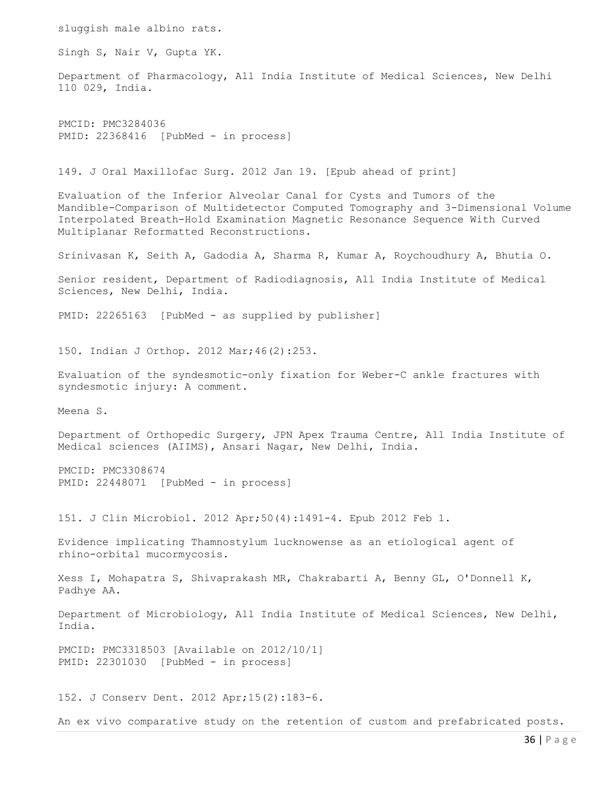sluggish male albino rats. Singh S, Nair V, Gupta YK. Department of Pharmacology, All India Institute of Medical Sciences, New Delhi 110 029, India. PMCID: PMC3284036 PMID: 22368416 [PubMed - in process] 149. J Oral Maxillofac Surg. 2012 Jan 19. [Epub ahead of print] Evaluation of the Inferior Alveolar Canal for Cysts and Tumors of the Mandible-Comparison of Multidetector Computed Tomography and 3-Dimensional Volume Interpolated Breath-Hold Examination Magnetic Resonance Sequence With Curved Multiplanar Reformatted Reconstructions. Srinivasan K, Seith A, Gadodia A, Sharma R, Kumar A, Roychoudhury A, Bhutia O. Senior resident, Department of Radiodiagnosis, All India Institute of Medical Sciences, New Delhi, India. PMID: 22265163 [PubMed - as supplied by publisher] 150. Indian J Orthop. 2012 Mar;46(2):253. Evaluation of the syndesmotic-only fixation for Weber-C ankle fractures with syndesmotic injury: A comment. Meena S. Department of Orthopedic Surgery, JPN Apex Trauma Centre, All India Institute of Medical sciences (AIIMS), Ansari Nagar, New Delhi, India. PMCID: PMC3308674 PMID: 22448071 [PubMed - in process] 151. J Clin Microbiol. 2012 Apr;50(4):1491-4. Epub 2012 Feb 1. Evidence implicating Thamnostylum lucknowense as an etiological agent of rhino-orbital mucormycosis. Xess I, Mohapatra S, Shivaprakash MR, Chakrabarti A, Benny GL, O'Donnell K, Padhye AA. Department of Microbiology, All India Institute of Medical Sciences, New Delhi, India. PMCID: PMC3318503 [Available on 2012/10/1] PMID: 22301030 [PubMed - in process] 152. J Conserv Dent. 2012 Apr;15(2):183-6. An ex vivo comparative study on the retention of custom and prefabricated posts.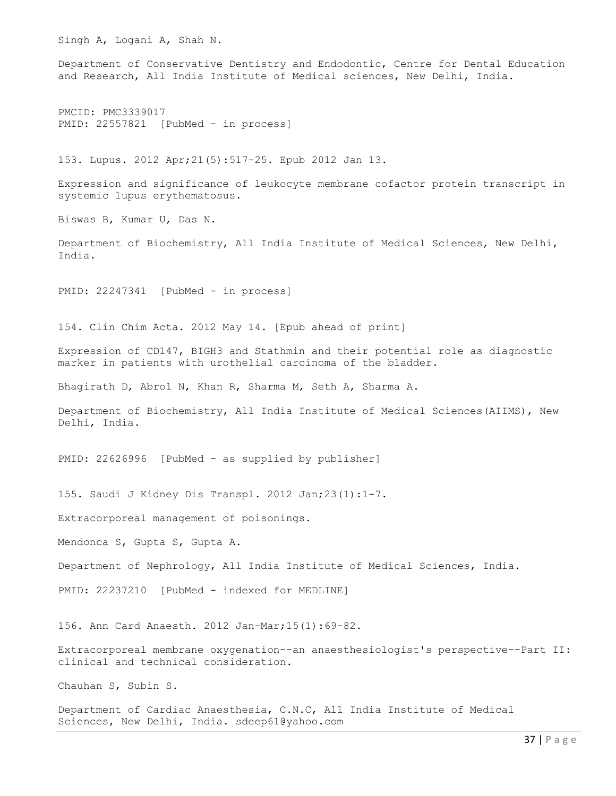Singh A, Logani A, Shah N. Department of Conservative Dentistry and Endodontic, Centre for Dental Education and Research, All India Institute of Medical sciences, New Delhi, India. PMCID: PMC3339017 PMID: 22557821 [PubMed - in process] 153. Lupus. 2012 Apr;21(5):517-25. Epub 2012 Jan 13. Expression and significance of leukocyte membrane cofactor protein transcript in systemic lupus erythematosus. Biswas B, Kumar U, Das N. Department of Biochemistry, All India Institute of Medical Sciences, New Delhi, India. PMID: 22247341 [PubMed - in process] 154. Clin Chim Acta. 2012 May 14. [Epub ahead of print] Expression of CD147, BIGH3 and Stathmin and their potential role as diagnostic marker in patients with urothelial carcinoma of the bladder. Bhagirath D, Abrol N, Khan R, Sharma M, Seth A, Sharma A. Department of Biochemistry, All India Institute of Medical Sciences(AIIMS), New Delhi, India. PMID: 22626996 [PubMed - as supplied by publisher] 155. Saudi J Kidney Dis Transpl. 2012 Jan;23(1):1-7. Extracorporeal management of poisonings. Mendonca S, Gupta S, Gupta A. Department of Nephrology, All India Institute of Medical Sciences, India. PMID: 22237210 [PubMed - indexed for MEDLINE] 156. Ann Card Anaesth. 2012 Jan-Mar;15(1):69-82. Extracorporeal membrane oxygenation--an anaesthesiologist's perspective--Part II: clinical and technical consideration. Chauhan S, Subin S. Department of Cardiac Anaesthesia, C.N.C, All India Institute of Medical Sciences, New Delhi, India. sdeep61@yahoo.com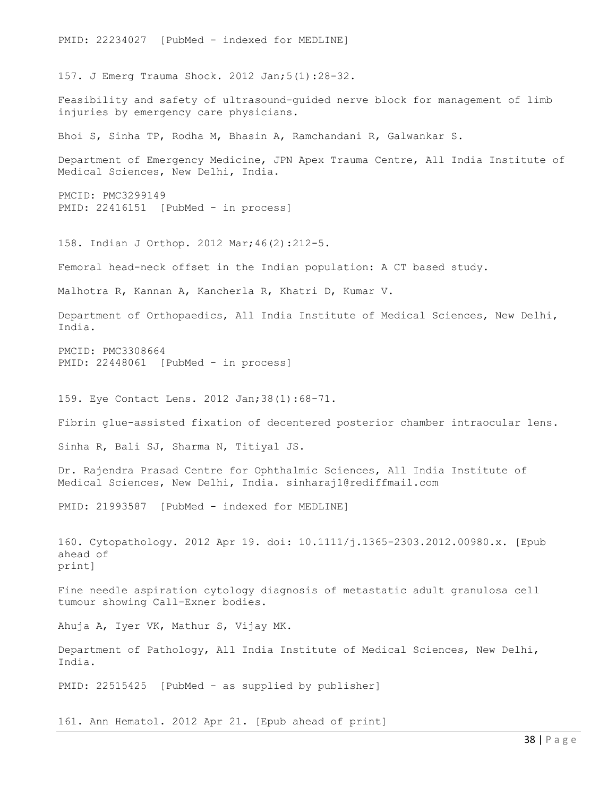PMID: 22234027 [PubMed - indexed for MEDLINE] 157. J Emerg Trauma Shock. 2012 Jan;5(1):28-32. Feasibility and safety of ultrasound-guided nerve block for management of limb injuries by emergency care physicians. Bhoi S, Sinha TP, Rodha M, Bhasin A, Ramchandani R, Galwankar S. Department of Emergency Medicine, JPN Apex Trauma Centre, All India Institute of Medical Sciences, New Delhi, India. PMCID: PMC3299149 PMID: 22416151 [PubMed - in process] 158. Indian J Orthop. 2012 Mar;46(2):212-5. Femoral head-neck offset in the Indian population: A CT based study. Malhotra R, Kannan A, Kancherla R, Khatri D, Kumar V. Department of Orthopaedics, All India Institute of Medical Sciences, New Delhi, India. PMCID: PMC3308664 PMID: 22448061 [PubMed - in process] 159. Eye Contact Lens. 2012 Jan;38(1):68-71. Fibrin glue-assisted fixation of decentered posterior chamber intraocular lens. Sinha R, Bali SJ, Sharma N, Titiyal JS. Dr. Rajendra Prasad Centre for Ophthalmic Sciences, All India Institute of Medical Sciences, New Delhi, India. sinharaj1@rediffmail.com PMID: 21993587 [PubMed - indexed for MEDLINE] 160. Cytopathology. 2012 Apr 19. doi: 10.1111/j.1365-2303.2012.00980.x. [Epub ahead of print] Fine needle aspiration cytology diagnosis of metastatic adult granulosa cell tumour showing Call-Exner bodies. Ahuja A, Iyer VK, Mathur S, Vijay MK. Department of Pathology, All India Institute of Medical Sciences, New Delhi, India. PMID: 22515425 [PubMed - as supplied by publisher]

161. Ann Hematol. 2012 Apr 21. [Epub ahead of print]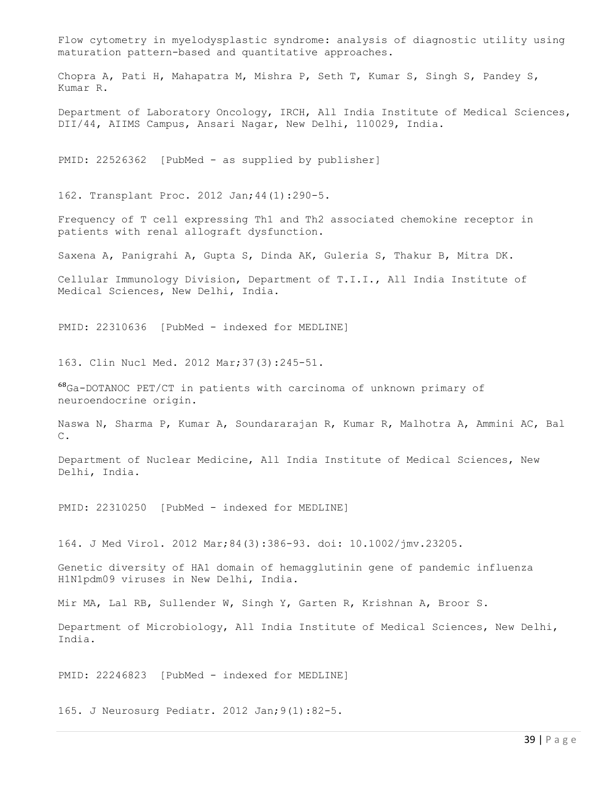Flow cytometry in myelodysplastic syndrome: analysis of diagnostic utility using maturation pattern-based and quantitative approaches.

Chopra A, Pati H, Mahapatra M, Mishra P, Seth T, Kumar S, Singh S, Pandey S, Kumar R.

Department of Laboratory Oncology, IRCH, All India Institute of Medical Sciences, DII/44, AIIMS Campus, Ansari Nagar, New Delhi, 110029, India.

PMID: 22526362 [PubMed - as supplied by publisher]

162. Transplant Proc. 2012 Jan;44(1):290-5.

Frequency of T cell expressing Th1 and Th2 associated chemokine receptor in patients with renal allograft dysfunction.

Saxena A, Panigrahi A, Gupta S, Dinda AK, Guleria S, Thakur B, Mitra DK.

Cellular Immunology Division, Department of T.I.I., All India Institute of Medical Sciences, New Delhi, India.

PMID: 22310636 [PubMed - indexed for MEDLINE]

163. Clin Nucl Med. 2012 Mar;37(3):245-51.

⁶⁸Ga-DOTANOC PET/CT in patients with carcinoma of unknown primary of neuroendocrine origin.

Naswa N, Sharma P, Kumar A, Soundararajan R, Kumar R, Malhotra A, Ammini AC, Bal C.

Department of Nuclear Medicine, All India Institute of Medical Sciences, New Delhi, India.

PMID: 22310250 [PubMed - indexed for MEDLINE]

164. J Med Virol. 2012 Mar;84(3):386-93. doi: 10.1002/jmv.23205.

Genetic diversity of HA1 domain of hemagglutinin gene of pandemic influenza H1N1pdm09 viruses in New Delhi, India.

Mir MA, Lal RB, Sullender W, Singh Y, Garten R, Krishnan A, Broor S.

Department of Microbiology, All India Institute of Medical Sciences, New Delhi, India.

PMID: 22246823 [PubMed - indexed for MEDLINE]

165. J Neurosurg Pediatr. 2012 Jan;9(1):82-5.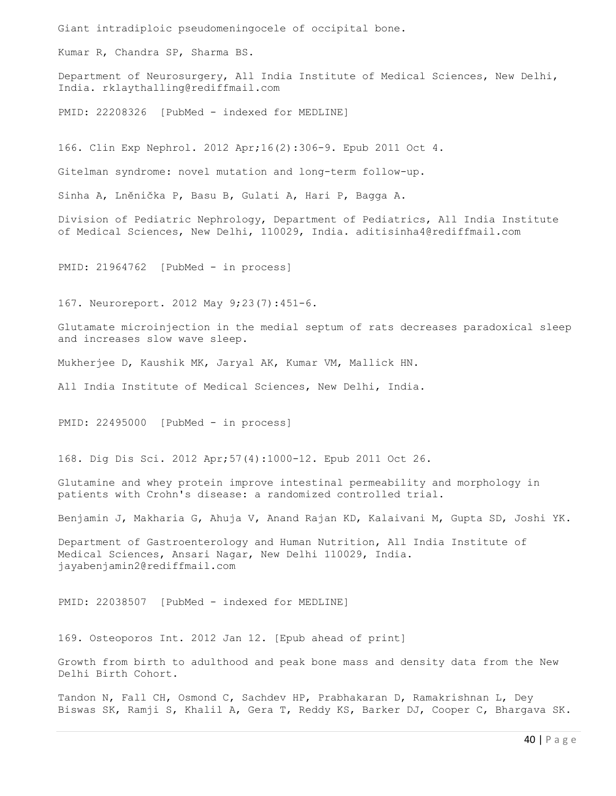Giant intradiploic pseudomeningocele of occipital bone.

Kumar R, Chandra SP, Sharma BS.

Department of Neurosurgery, All India Institute of Medical Sciences, New Delhi, India. rklaythalling@rediffmail.com

PMID: 22208326 [PubMed - indexed for MEDLINE]

166. Clin Exp Nephrol. 2012 Apr;16(2):306-9. Epub 2011 Oct 4.

Gitelman syndrome: novel mutation and long-term follow-up.

Sinha A, Lněnička P, Basu B, Gulati A, Hari P, Bagga A.

Division of Pediatric Nephrology, Department of Pediatrics, All India Institute of Medical Sciences, New Delhi, 110029, India. aditisinha4@rediffmail.com

PMID: 21964762 [PubMed - in process]

167. Neuroreport. 2012 May 9;23(7):451-6.

Glutamate microinjection in the medial septum of rats decreases paradoxical sleep and increases slow wave sleep.

Mukherjee D, Kaushik MK, Jaryal AK, Kumar VM, Mallick HN.

All India Institute of Medical Sciences, New Delhi, India.

PMID: 22495000 [PubMed - in process]

168. Dig Dis Sci. 2012 Apr;57(4):1000-12. Epub 2011 Oct 26.

Glutamine and whey protein improve intestinal permeability and morphology in patients with Crohn's disease: a randomized controlled trial.

Benjamin J, Makharia G, Ahuja V, Anand Rajan KD, Kalaivani M, Gupta SD, Joshi YK.

Department of Gastroenterology and Human Nutrition, All India Institute of Medical Sciences, Ansari Nagar, New Delhi 110029, India. jayabenjamin2@rediffmail.com

PMID: 22038507 [PubMed - indexed for MEDLINE]

169. Osteoporos Int. 2012 Jan 12. [Epub ahead of print]

Growth from birth to adulthood and peak bone mass and density data from the New Delhi Birth Cohort.

Tandon N, Fall CH, Osmond C, Sachdev HP, Prabhakaran D, Ramakrishnan L, Dey Biswas SK, Ramji S, Khalil A, Gera T, Reddy KS, Barker DJ, Cooper C, Bhargava SK.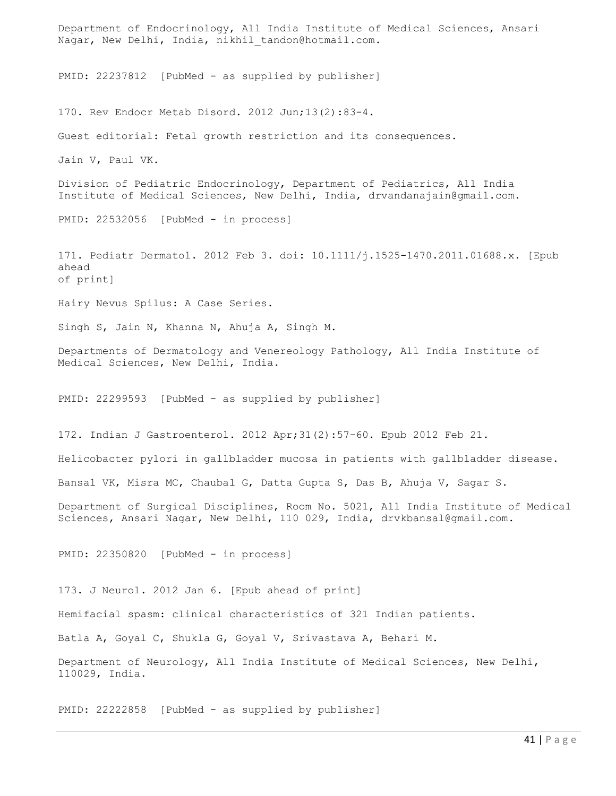Department of Endocrinology, All India Institute of Medical Sciences, Ansari Nagar, New Delhi, India, nikhil tandon@hotmail.com. PMID: 22237812 [PubMed - as supplied by publisher] 170. Rev Endocr Metab Disord. 2012 Jun;13(2):83-4. Guest editorial: Fetal growth restriction and its consequences. Jain V, Paul VK. Division of Pediatric Endocrinology, Department of Pediatrics, All India Institute of Medical Sciences, New Delhi, India, drvandanajain@gmail.com. PMID: 22532056 [PubMed - in process] 171. Pediatr Dermatol. 2012 Feb 3. doi: 10.1111/j.1525-1470.2011.01688.x. [Epub ahead of print] Hairy Nevus Spilus: A Case Series. Singh S, Jain N, Khanna N, Ahuja A, Singh M. Departments of Dermatology and Venereology Pathology, All India Institute of Medical Sciences, New Delhi, India. PMID: 22299593 [PubMed - as supplied by publisher] 172. Indian J Gastroenterol. 2012 Apr;31(2):57-60. Epub 2012 Feb 21. Helicobacter pylori in gallbladder mucosa in patients with gallbladder disease. Bansal VK, Misra MC, Chaubal G, Datta Gupta S, Das B, Ahuja V, Sagar S. Department of Surgical Disciplines, Room No. 5021, All India Institute of Medical Sciences, Ansari Nagar, New Delhi, 110 029, India, drvkbansal@gmail.com. PMID: 22350820 [PubMed - in process] 173. J Neurol. 2012 Jan 6. [Epub ahead of print] Hemifacial spasm: clinical characteristics of 321 Indian patients. Batla A, Goyal C, Shukla G, Goyal V, Srivastava A, Behari M. Department of Neurology, All India Institute of Medical Sciences, New Delhi, 110029, India.

PMID: 22222858 [PubMed - as supplied by publisher]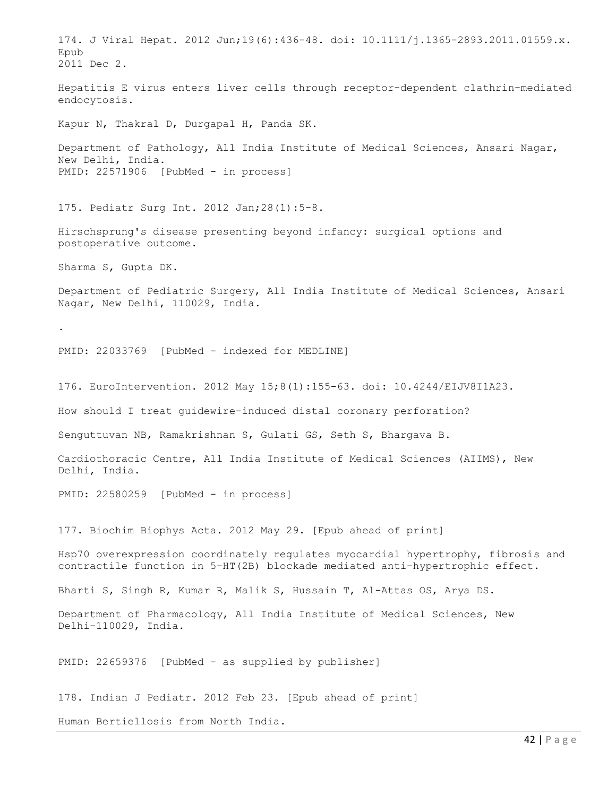174. J Viral Hepat. 2012 Jun;19(6):436-48. doi: 10.1111/j.1365-2893.2011.01559.x. Epub 2011 Dec 2. Hepatitis E virus enters liver cells through receptor-dependent clathrin-mediated endocytosis. Kapur N, Thakral D, Durgapal H, Panda SK. Department of Pathology, All India Institute of Medical Sciences, Ansari Nagar, New Delhi, India. PMID: 22571906 [PubMed - in process] 175. Pediatr Surg Int. 2012 Jan;28(1):5-8. Hirschsprung's disease presenting beyond infancy: surgical options and postoperative outcome. Sharma S, Gupta DK. Department of Pediatric Surgery, All India Institute of Medical Sciences, Ansari Nagar, New Delhi, 110029, India. . PMID: 22033769 [PubMed - indexed for MEDLINE] 176. EuroIntervention. 2012 May 15;8(1):155-63. doi: 10.4244/EIJV8I1A23. How should I treat guidewire-induced distal coronary perforation? Senguttuvan NB, Ramakrishnan S, Gulati GS, Seth S, Bhargava B. Cardiothoracic Centre, All India Institute of Medical Sciences (AIIMS), New Delhi, India. PMID: 22580259 [PubMed - in process] 177. Biochim Biophys Acta. 2012 May 29. [Epub ahead of print] Hsp70 overexpression coordinately regulates myocardial hypertrophy, fibrosis and contractile function in 5-HT(2B) blockade mediated anti-hypertrophic effect. Bharti S, Singh R, Kumar R, Malik S, Hussain T, Al-Attas OS, Arya DS. Department of Pharmacology, All India Institute of Medical Sciences, New Delhi-110029, India. PMID: 22659376 [PubMed - as supplied by publisher] 178. Indian J Pediatr. 2012 Feb 23. [Epub ahead of print] Human Bertiellosis from North India.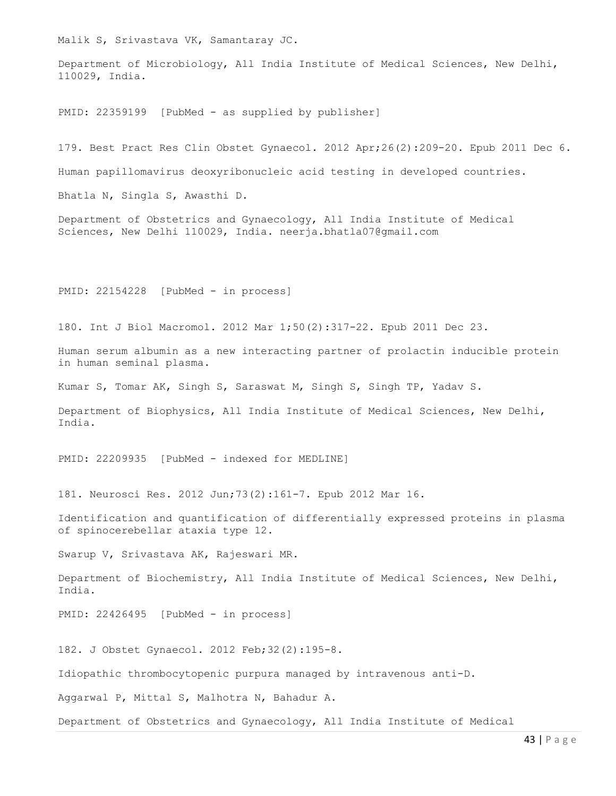Malik S, Srivastava VK, Samantaray JC.

Department of Microbiology, All India Institute of Medical Sciences, New Delhi, 110029, India.

PMID: 22359199 [PubMed - as supplied by publisher]

179. Best Pract Res Clin Obstet Gynaecol. 2012 Apr;26(2):209-20. Epub 2011 Dec 6.

Human papillomavirus deoxyribonucleic acid testing in developed countries.

Bhatla N, Singla S, Awasthi D.

Department of Obstetrics and Gynaecology, All India Institute of Medical Sciences, New Delhi 110029, India. neerja.bhatla07@gmail.com

PMID: 22154228 [PubMed - in process]

180. Int J Biol Macromol. 2012 Mar 1;50(2):317-22. Epub 2011 Dec 23.

Human serum albumin as a new interacting partner of prolactin inducible protein in human seminal plasma.

Kumar S, Tomar AK, Singh S, Saraswat M, Singh S, Singh TP, Yadav S.

Department of Biophysics, All India Institute of Medical Sciences, New Delhi, India.

PMID: 22209935 [PubMed - indexed for MEDLINE]

181. Neurosci Res. 2012 Jun;73(2):161-7. Epub 2012 Mar 16.

Identification and quantification of differentially expressed proteins in plasma of spinocerebellar ataxia type 12.

Swarup V, Srivastava AK, Rajeswari MR.

Department of Biochemistry, All India Institute of Medical Sciences, New Delhi, India.

PMID: 22426495 [PubMed - in process]

182. J Obstet Gynaecol. 2012 Feb;32(2):195-8.

Idiopathic thrombocytopenic purpura managed by intravenous anti-D.

Aggarwal P, Mittal S, Malhotra N, Bahadur A.

Department of Obstetrics and Gynaecology, All India Institute of Medical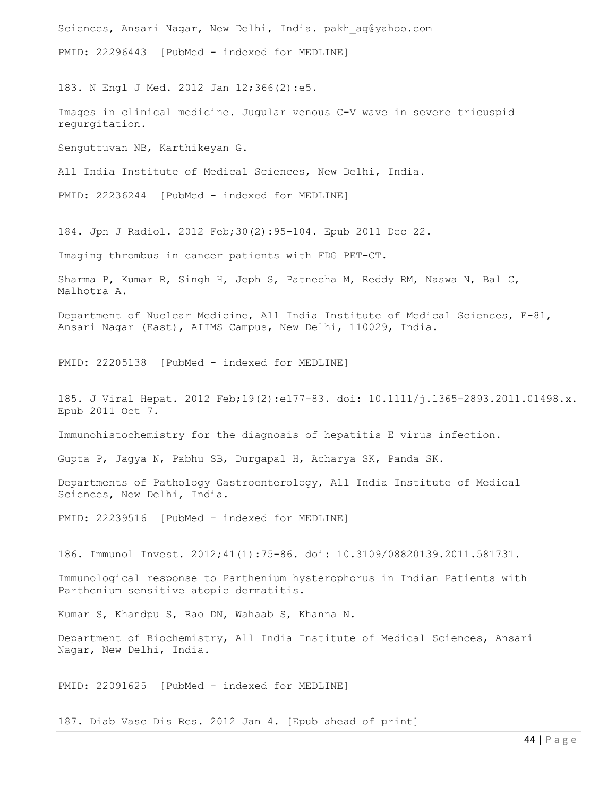Sciences, Ansari Nagar, New Delhi, India. pakh ag@yahoo.com PMID: 22296443 [PubMed - indexed for MEDLINE] 183. N Engl J Med. 2012 Jan 12;366(2):e5. Images in clinical medicine. Jugular venous C-V wave in severe tricuspid regurgitation. Senguttuvan NB, Karthikeyan G. All India Institute of Medical Sciences, New Delhi, India. PMID: 22236244 [PubMed - indexed for MEDLINE] 184. Jpn J Radiol. 2012 Feb;30(2):95-104. Epub 2011 Dec 22. Imaging thrombus in cancer patients with FDG PET-CT. Sharma P, Kumar R, Singh H, Jeph S, Patnecha M, Reddy RM, Naswa N, Bal C, Malhotra A. Department of Nuclear Medicine, All India Institute of Medical Sciences, E-81, Ansari Nagar (East), AIIMS Campus, New Delhi, 110029, India. PMID: 22205138 [PubMed - indexed for MEDLINE] 185. J Viral Hepat. 2012 Feb;19(2):e177-83. doi: 10.1111/j.1365-2893.2011.01498.x. Epub 2011 Oct 7. Immunohistochemistry for the diagnosis of hepatitis E virus infection. Gupta P, Jagya N, Pabhu SB, Durgapal H, Acharya SK, Panda SK. Departments of Pathology Gastroenterology, All India Institute of Medical Sciences, New Delhi, India. PMID: 22239516 [PubMed - indexed for MEDLINE] 186. Immunol Invest. 2012;41(1):75-86. doi: 10.3109/08820139.2011.581731. Immunological response to Parthenium hysterophorus in Indian Patients with Parthenium sensitive atopic dermatitis. Kumar S, Khandpu S, Rao DN, Wahaab S, Khanna N. Department of Biochemistry, All India Institute of Medical Sciences, Ansari Nagar, New Delhi, India. PMID: 22091625 [PubMed - indexed for MEDLINE]

187. Diab Vasc Dis Res. 2012 Jan 4. [Epub ahead of print]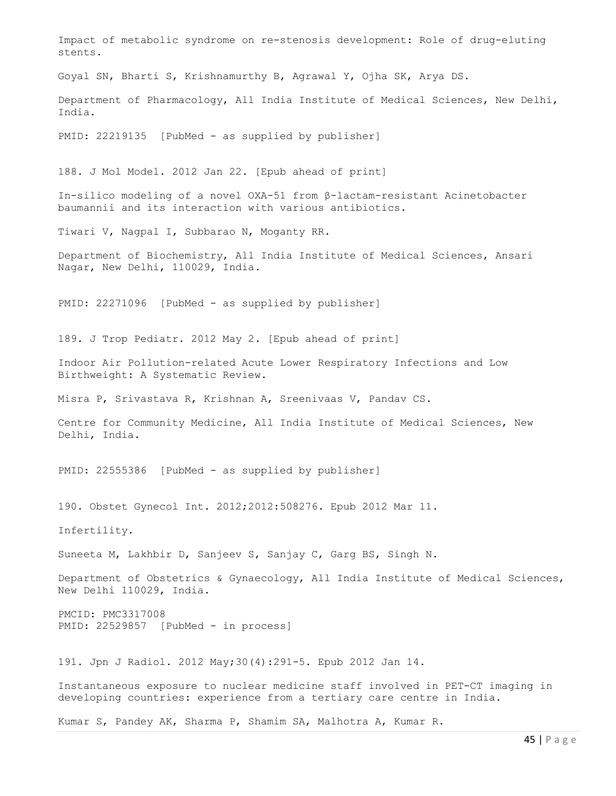Impact of metabolic syndrome on re-stenosis development: Role of drug-eluting stents. Goyal SN, Bharti S, Krishnamurthy B, Agrawal Y, Ojha SK, Arya DS. Department of Pharmacology, All India Institute of Medical Sciences, New Delhi, India. PMID: 22219135 [PubMed - as supplied by publisher] 188. J Mol Model. 2012 Jan 22. [Epub ahead of print] In-silico modeling of a novel OXA-51 from β-lactam-resistant Acinetobacter baumannii and its interaction with various antibiotics. Tiwari V, Nagpal I, Subbarao N, Moganty RR. Department of Biochemistry, All India Institute of Medical Sciences, Ansari Nagar, New Delhi, 110029, India. PMID: 22271096 [PubMed - as supplied by publisher] 189. J Trop Pediatr. 2012 May 2. [Epub ahead of print] Indoor Air Pollution-related Acute Lower Respiratory Infections and Low Birthweight: A Systematic Review. Misra P, Srivastava R, Krishnan A, Sreenivaas V, Pandav CS. Centre for Community Medicine, All India Institute of Medical Sciences, New Delhi, India.

PMID: 22555386 [PubMed - as supplied by publisher]

190. Obstet Gynecol Int. 2012;2012:508276. Epub 2012 Mar 11.

Infertility.

Suneeta M, Lakhbir D, Sanjeev S, Sanjay C, Garg BS, Singh N.

Department of Obstetrics & Gynaecology, All India Institute of Medical Sciences, New Delhi 110029, India.

PMCID: PMC3317008 PMID: 22529857 [PubMed - in process]

191. Jpn J Radiol. 2012 May;30(4):291-5. Epub 2012 Jan 14.

Instantaneous exposure to nuclear medicine staff involved in PET-CT imaging in developing countries: experience from a tertiary care centre in India.

Kumar S, Pandey AK, Sharma P, Shamim SA, Malhotra A, Kumar R.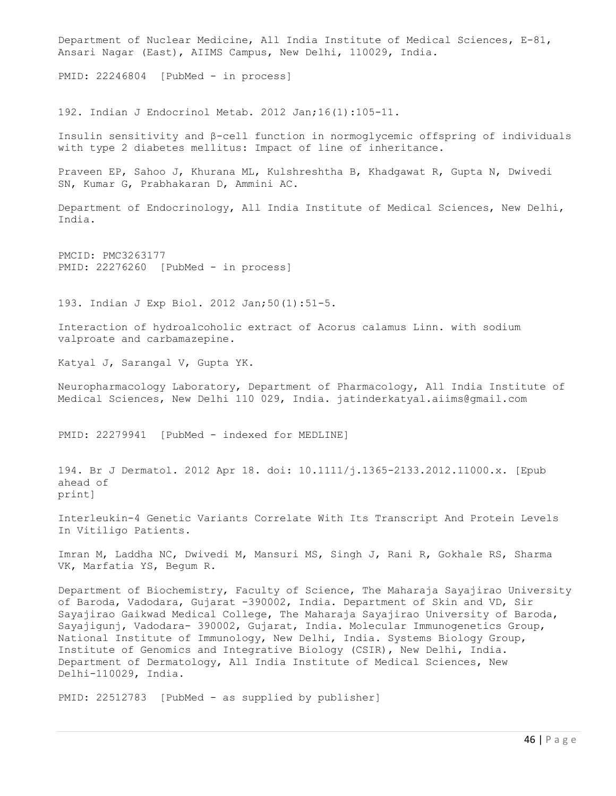Department of Nuclear Medicine, All India Institute of Medical Sciences, E-81, Ansari Nagar (East), AIIMS Campus, New Delhi, 110029, India.

PMID: 22246804 [PubMed - in process]

192. Indian J Endocrinol Metab. 2012 Jan;16(1):105-11.

Insulin sensitivity and β-cell function in normoglycemic offspring of individuals with type 2 diabetes mellitus: Impact of line of inheritance.

Praveen EP, Sahoo J, Khurana ML, Kulshreshtha B, Khadgawat R, Gupta N, Dwivedi SN, Kumar G, Prabhakaran D, Ammini AC.

Department of Endocrinology, All India Institute of Medical Sciences, New Delhi, India.

PMCID: PMC3263177 PMID: 22276260 [PubMed - in process]

193. Indian J Exp Biol. 2012 Jan;50(1):51-5.

Interaction of hydroalcoholic extract of Acorus calamus Linn. with sodium valproate and carbamazepine.

Katyal J, Sarangal V, Gupta YK.

Neuropharmacology Laboratory, Department of Pharmacology, All India Institute of Medical Sciences, New Delhi 110 029, India. jatinderkatyal.aiims@gmail.com

PMID: 22279941 [PubMed - indexed for MEDLINE]

194. Br J Dermatol. 2012 Apr 18. doi: 10.1111/j.1365-2133.2012.11000.x. [Epub ahead of print]

Interleukin-4 Genetic Variants Correlate With Its Transcript And Protein Levels In Vitiligo Patients.

Imran M, Laddha NC, Dwivedi M, Mansuri MS, Singh J, Rani R, Gokhale RS, Sharma VK, Marfatia YS, Begum R.

Department of Biochemistry, Faculty of Science, The Maharaja Sayajirao University of Baroda, Vadodara, Gujarat -390002, India. Department of Skin and VD, Sir Sayajirao Gaikwad Medical College, The Maharaja Sayajirao University of Baroda, Sayajigunj, Vadodara- 390002, Gujarat, India. Molecular Immunogenetics Group, National Institute of Immunology, New Delhi, India. Systems Biology Group, Institute of Genomics and Integrative Biology (CSIR), New Delhi, India. Department of Dermatology, All India Institute of Medical Sciences, New Delhi-110029, India.

PMID: 22512783 [PubMed - as supplied by publisher]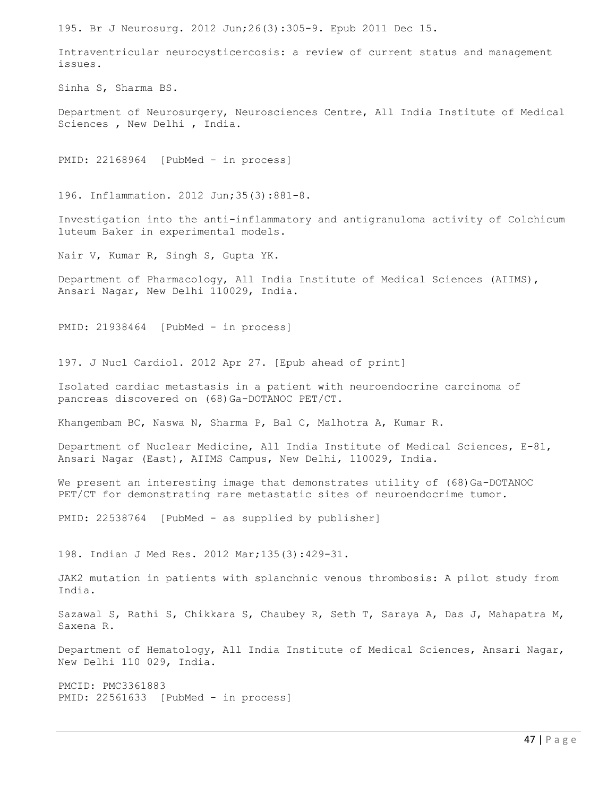195. Br J Neurosurg. 2012 Jun;26(3):305-9. Epub 2011 Dec 15.

Intraventricular neurocysticercosis: a review of current status and management issues.

Sinha S, Sharma BS.

Department of Neurosurgery, Neurosciences Centre, All India Institute of Medical Sciences , New Delhi , India.

PMID: 22168964 [PubMed - in process]

196. Inflammation. 2012 Jun;35(3):881-8.

Investigation into the anti-inflammatory and antigranuloma activity of Colchicum luteum Baker in experimental models.

Nair V, Kumar R, Singh S, Gupta YK.

Department of Pharmacology, All India Institute of Medical Sciences (AIIMS), Ansari Nagar, New Delhi 110029, India.

PMID: 21938464 [PubMed - in process]

197. J Nucl Cardiol. 2012 Apr 27. [Epub ahead of print]

Isolated cardiac metastasis in a patient with neuroendocrine carcinoma of pancreas discovered on (68)Ga-DOTANOC PET/CT.

Khangembam BC, Naswa N, Sharma P, Bal C, Malhotra A, Kumar R.

Department of Nuclear Medicine, All India Institute of Medical Sciences, E-81, Ansari Nagar (East), AIIMS Campus, New Delhi, 110029, India.

We present an interesting image that demonstrates utility of (68)Ga-DOTANOC PET/CT for demonstrating rare metastatic sites of neuroendocrime tumor.

PMID: 22538764 [PubMed - as supplied by publisher]

198. Indian J Med Res. 2012 Mar;135(3):429-31.

JAK2 mutation in patients with splanchnic venous thrombosis: A pilot study from India.

Sazawal S, Rathi S, Chikkara S, Chaubey R, Seth T, Saraya A, Das J, Mahapatra M, Saxena R.

Department of Hematology, All India Institute of Medical Sciences, Ansari Nagar, New Delhi 110 029, India.

PMCID: PMC3361883 PMID: 22561633 [PubMed - in process]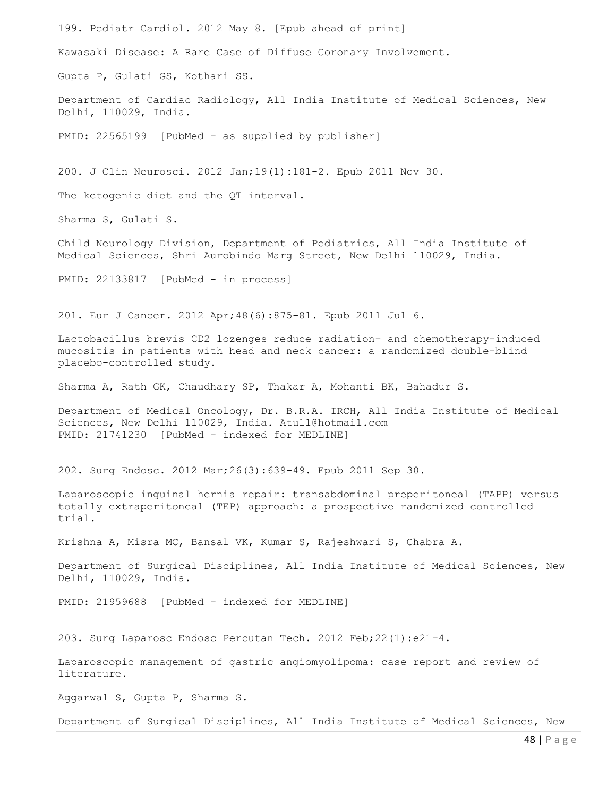48 | P a g e 199. Pediatr Cardiol. 2012 May 8. [Epub ahead of print] Kawasaki Disease: A Rare Case of Diffuse Coronary Involvement. Gupta P, Gulati GS, Kothari SS. Department of Cardiac Radiology, All India Institute of Medical Sciences, New Delhi, 110029, India. PMID: 22565199 [PubMed - as supplied by publisher] 200. J Clin Neurosci. 2012 Jan;19(1):181-2. Epub 2011 Nov 30. The ketogenic diet and the QT interval. Sharma S, Gulati S. Child Neurology Division, Department of Pediatrics, All India Institute of Medical Sciences, Shri Aurobindo Marg Street, New Delhi 110029, India. PMID: 22133817 [PubMed - in process] 201. Eur J Cancer. 2012 Apr;48(6):875-81. Epub 2011 Jul 6. Lactobacillus brevis CD2 lozenges reduce radiation- and chemotherapy-induced mucositis in patients with head and neck cancer: a randomized double-blind placebo-controlled study. Sharma A, Rath GK, Chaudhary SP, Thakar A, Mohanti BK, Bahadur S. Department of Medical Oncology, Dr. B.R.A. IRCH, All India Institute of Medical Sciences, New Delhi 110029, India. Atul1@hotmail.com PMID: 21741230 [PubMed - indexed for MEDLINE] 202. Surg Endosc. 2012 Mar;26(3):639-49. Epub 2011 Sep 30. Laparoscopic inguinal hernia repair: transabdominal preperitoneal (TAPP) versus totally extraperitoneal (TEP) approach: a prospective randomized controlled trial. Krishna A, Misra MC, Bansal VK, Kumar S, Rajeshwari S, Chabra A. Department of Surgical Disciplines, All India Institute of Medical Sciences, New Delhi, 110029, India. PMID: 21959688 [PubMed - indexed for MEDLINE] 203. Surg Laparosc Endosc Percutan Tech. 2012 Feb;22(1):e21-4. Laparoscopic management of gastric angiomyolipoma: case report and review of literature. Aggarwal S, Gupta P, Sharma S. Department of Surgical Disciplines, All India Institute of Medical Sciences, New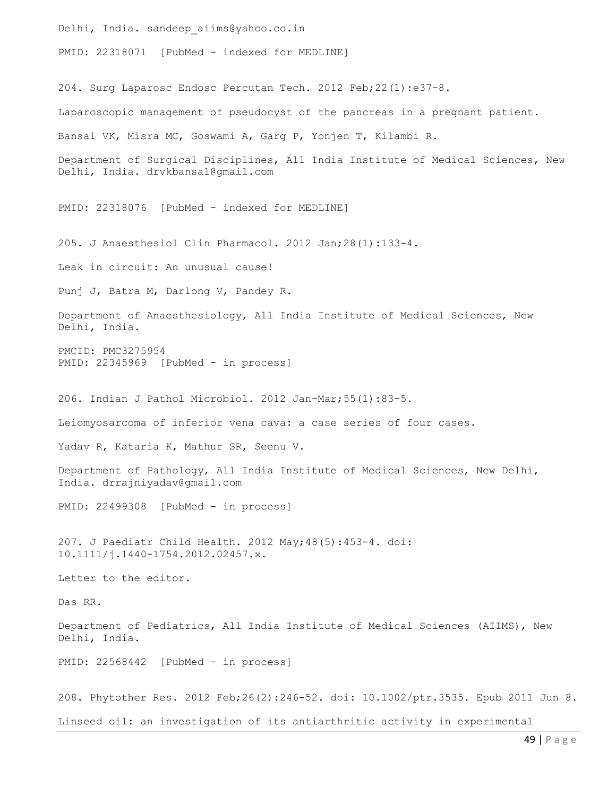Delhi, India. sandeep\_aiims@yahoo.co.in PMID: 22318071 [PubMed - indexed for MEDLINE] 204. Surg Laparosc Endosc Percutan Tech. 2012 Feb;22(1):e37-8. Laparoscopic management of pseudocyst of the pancreas in a pregnant patient. Bansal VK, Misra MC, Goswami A, Garg P, Yonjen T, Kilambi R. Department of Surgical Disciplines, All India Institute of Medical Sciences, New Delhi, India. drvkbansal@gmail.com PMID: 22318076 [PubMed - indexed for MEDLINE] 205. J Anaesthesiol Clin Pharmacol. 2012 Jan;28(1):133-4. Leak in circuit: An unusual cause! Punj J, Batra M, Darlong V, Pandey R. Department of Anaesthesiology, All India Institute of Medical Sciences, New Delhi, India. PMCID: PMC3275954 PMID: 22345969 [PubMed - in process] 206. Indian J Pathol Microbiol. 2012 Jan-Mar;55(1):83-5. Leiomyosarcoma of inferior vena cava: a case series of four cases. Yadav R, Kataria K, Mathur SR, Seenu V. Department of Pathology, All India Institute of Medical Sciences, New Delhi, India. drrajniyadav@gmail.com PMID: 22499308 [PubMed - in process] 207. J Paediatr Child Health. 2012 May;48(5):453-4. doi: 10.1111/j.1440-1754.2012.02457.x. Letter to the editor. Das RR. Department of Pediatrics, All India Institute of Medical Sciences (AIIMS), New Delhi, India. PMID: 22568442 [PubMed - in process] 208. Phytother Res. 2012 Feb;26(2):246-52. doi: 10.1002/ptr.3535. Epub 2011 Jun 8.

Linseed oil: an investigation of its antiarthritic activity in experimental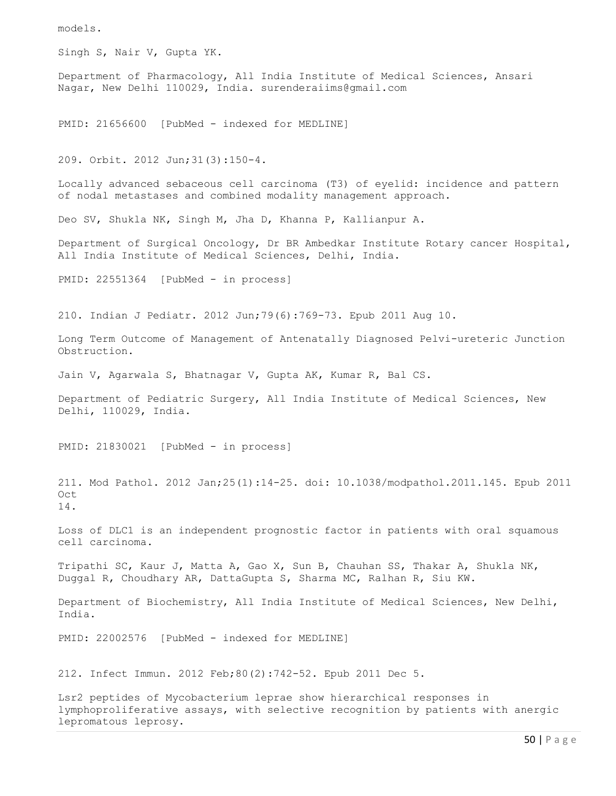models.

Singh S, Nair V, Gupta YK.

Department of Pharmacology, All India Institute of Medical Sciences, Ansari Nagar, New Delhi 110029, India. surenderaiims@gmail.com

PMID: 21656600 [PubMed - indexed for MEDLINE]

209. Orbit. 2012 Jun;31(3):150-4.

Locally advanced sebaceous cell carcinoma (T3) of eyelid: incidence and pattern of nodal metastases and combined modality management approach.

Deo SV, Shukla NK, Singh M, Jha D, Khanna P, Kallianpur A.

Department of Surgical Oncology, Dr BR Ambedkar Institute Rotary cancer Hospital, All India Institute of Medical Sciences, Delhi, India.

PMID: 22551364 [PubMed - in process]

210. Indian J Pediatr. 2012 Jun;79(6):769-73. Epub 2011 Aug 10.

Long Term Outcome of Management of Antenatally Diagnosed Pelvi-ureteric Junction Obstruction.

Jain V, Agarwala S, Bhatnagar V, Gupta AK, Kumar R, Bal CS.

Department of Pediatric Surgery, All India Institute of Medical Sciences, New Delhi, 110029, India.

PMID: 21830021 [PubMed - in process]

211. Mod Pathol. 2012 Jan;25(1):14-25. doi: 10.1038/modpathol.2011.145. Epub 2011 Oct 14.

Loss of DLC1 is an independent prognostic factor in patients with oral squamous cell carcinoma.

Tripathi SC, Kaur J, Matta A, Gao X, Sun B, Chauhan SS, Thakar A, Shukla NK, Duggal R, Choudhary AR, DattaGupta S, Sharma MC, Ralhan R, Siu KW.

Department of Biochemistry, All India Institute of Medical Sciences, New Delhi, India.

PMID: 22002576 [PubMed - indexed for MEDLINE]

212. Infect Immun. 2012 Feb;80(2):742-52. Epub 2011 Dec 5.

Lsr2 peptides of Mycobacterium leprae show hierarchical responses in lymphoproliferative assays, with selective recognition by patients with anergic lepromatous leprosy.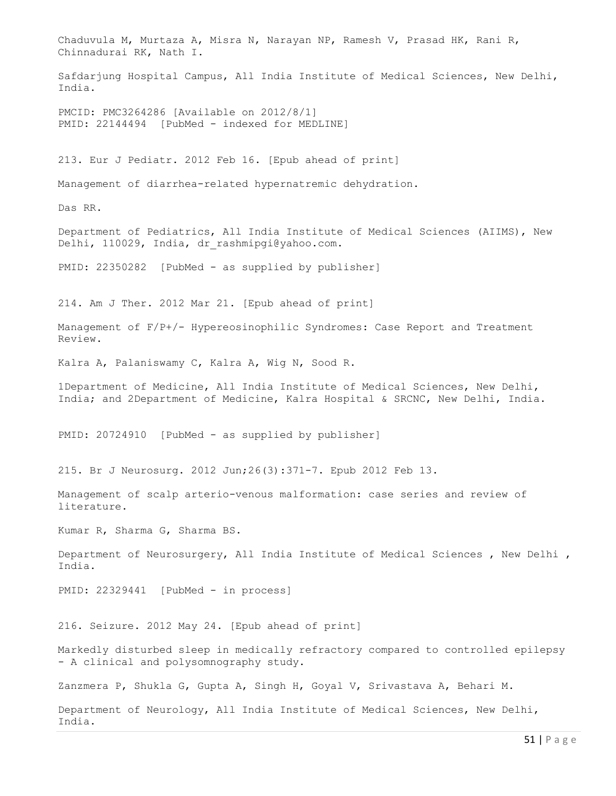Chaduvula M, Murtaza A, Misra N, Narayan NP, Ramesh V, Prasad HK, Rani R, Chinnadurai RK, Nath I. Safdarjung Hospital Campus, All India Institute of Medical Sciences, New Delhi, India. PMCID: PMC3264286 [Available on 2012/8/1] PMID: 22144494 [PubMed - indexed for MEDLINE] 213. Eur J Pediatr. 2012 Feb 16. [Epub ahead of print] Management of diarrhea-related hypernatremic dehydration. Das RR. Department of Pediatrics, All India Institute of Medical Sciences (AIIMS), New Delhi, 110029, India, dr\_rashmipgi@yahoo.com. PMID: 22350282 [PubMed - as supplied by publisher] 214. Am J Ther. 2012 Mar 21. [Epub ahead of print] Management of F/P+/- Hypereosinophilic Syndromes: Case Report and Treatment Review. Kalra A, Palaniswamy C, Kalra A, Wig N, Sood R. 1Department of Medicine, All India Institute of Medical Sciences, New Delhi, India; and 2Department of Medicine, Kalra Hospital & SRCNC, New Delhi, India. PMID: 20724910 [PubMed - as supplied by publisher] 215. Br J Neurosurg. 2012 Jun;26(3):371-7. Epub 2012 Feb 13. Management of scalp arterio-venous malformation: case series and review of literature. Kumar R, Sharma G, Sharma BS. Department of Neurosurgery, All India Institute of Medical Sciences , New Delhi , India. PMID: 22329441 [PubMed - in process] 216. Seizure. 2012 May 24. [Epub ahead of print] Markedly disturbed sleep in medically refractory compared to controlled epilepsy - A clinical and polysomnography study. Zanzmera P, Shukla G, Gupta A, Singh H, Goyal V, Srivastava A, Behari M. Department of Neurology, All India Institute of Medical Sciences, New Delhi, India.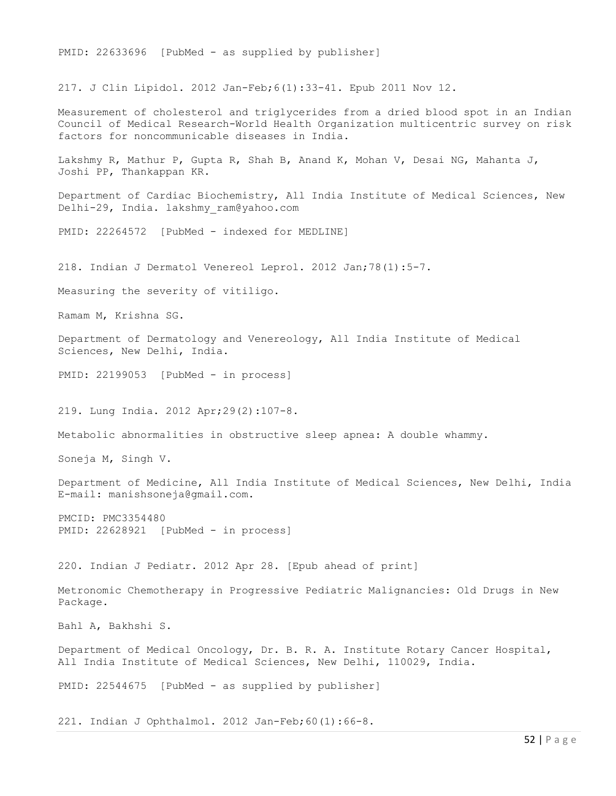PMID: 22633696 [PubMed - as supplied by publisher]

217. J Clin Lipidol. 2012 Jan-Feb;6(1):33-41. Epub 2011 Nov 12.

Measurement of cholesterol and triglycerides from a dried blood spot in an Indian Council of Medical Research-World Health Organization multicentric survey on risk factors for noncommunicable diseases in India.

Lakshmy R, Mathur P, Gupta R, Shah B, Anand K, Mohan V, Desai NG, Mahanta J, Joshi PP, Thankappan KR.

Department of Cardiac Biochemistry, All India Institute of Medical Sciences, New Delhi-29, India. lakshmy\_ram@yahoo.com

PMID: 22264572 [PubMed - indexed for MEDLINE]

218. Indian J Dermatol Venereol Leprol. 2012 Jan;78(1):5-7.

Measuring the severity of vitiligo.

Ramam M, Krishna SG.

Department of Dermatology and Venereology, All India Institute of Medical Sciences, New Delhi, India.

PMID: 22199053 [PubMed - in process]

219. Lung India. 2012 Apr;29(2):107-8.

Metabolic abnormalities in obstructive sleep apnea: A double whammy.

Soneja M, Singh V.

Department of Medicine, All India Institute of Medical Sciences, New Delhi, India E-mail: manishsoneja@gmail.com.

PMCID: PMC3354480 PMID: 22628921 [PubMed - in process]

220. Indian J Pediatr. 2012 Apr 28. [Epub ahead of print]

Metronomic Chemotherapy in Progressive Pediatric Malignancies: Old Drugs in New Package.

Bahl A, Bakhshi S.

Department of Medical Oncology, Dr. B. R. A. Institute Rotary Cancer Hospital, All India Institute of Medical Sciences, New Delhi, 110029, India.

PMID: 22544675 [PubMed - as supplied by publisher]

221. Indian J Ophthalmol. 2012 Jan-Feb;60(1):66-8.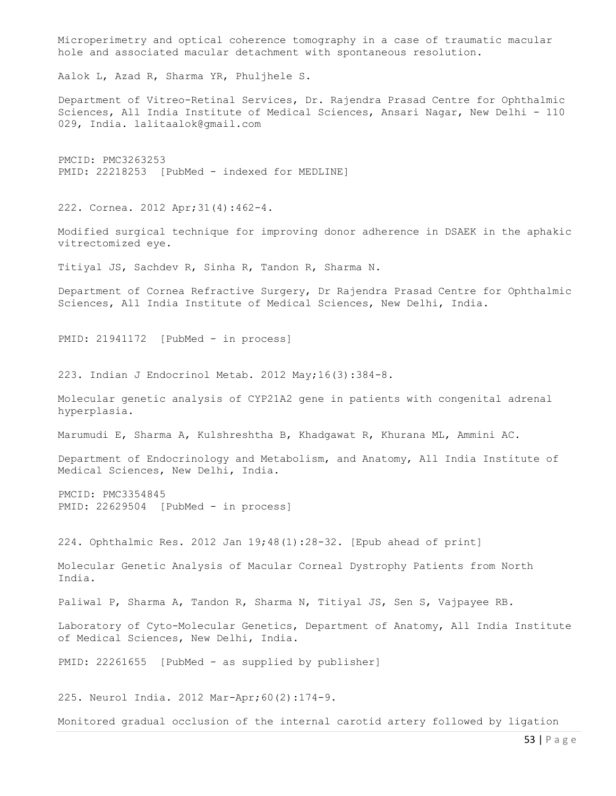Microperimetry and optical coherence tomography in a case of traumatic macular hole and associated macular detachment with spontaneous resolution. Aalok L, Azad R, Sharma YR, Phuljhele S. Department of Vitreo-Retinal Services, Dr. Rajendra Prasad Centre for Ophthalmic Sciences, All India Institute of Medical Sciences, Ansari Nagar, New Delhi - 110 029, India. lalitaalok@gmail.com PMCID: PMC3263253 PMID: 22218253 [PubMed - indexed for MEDLINE] 222. Cornea. 2012 Apr;31(4):462-4. Modified surgical technique for improving donor adherence in DSAEK in the aphakic vitrectomized eye. Titiyal JS, Sachdev R, Sinha R, Tandon R, Sharma N. Department of Cornea Refractive Surgery, Dr Rajendra Prasad Centre for Ophthalmic Sciences, All India Institute of Medical Sciences, New Delhi, India. PMID: 21941172 [PubMed - in process] 223. Indian J Endocrinol Metab. 2012 May;16(3):384-8. Molecular genetic analysis of CYP21A2 gene in patients with congenital adrenal hyperplasia. Marumudi E, Sharma A, Kulshreshtha B, Khadgawat R, Khurana ML, Ammini AC. Department of Endocrinology and Metabolism, and Anatomy, All India Institute of Medical Sciences, New Delhi, India. PMCID: PMC3354845 PMID: 22629504 [PubMed - in process] 224. Ophthalmic Res. 2012 Jan 19;48(1):28-32. [Epub ahead of print] Molecular Genetic Analysis of Macular Corneal Dystrophy Patients from North India. Paliwal P, Sharma A, Tandon R, Sharma N, Titiyal JS, Sen S, Vajpayee RB. Laboratory of Cyto-Molecular Genetics, Department of Anatomy, All India Institute of Medical Sciences, New Delhi, India. PMID: 22261655 [PubMed - as supplied by publisher] 225. Neurol India. 2012 Mar-Apr;60(2):174-9. Monitored gradual occlusion of the internal carotid artery followed by ligation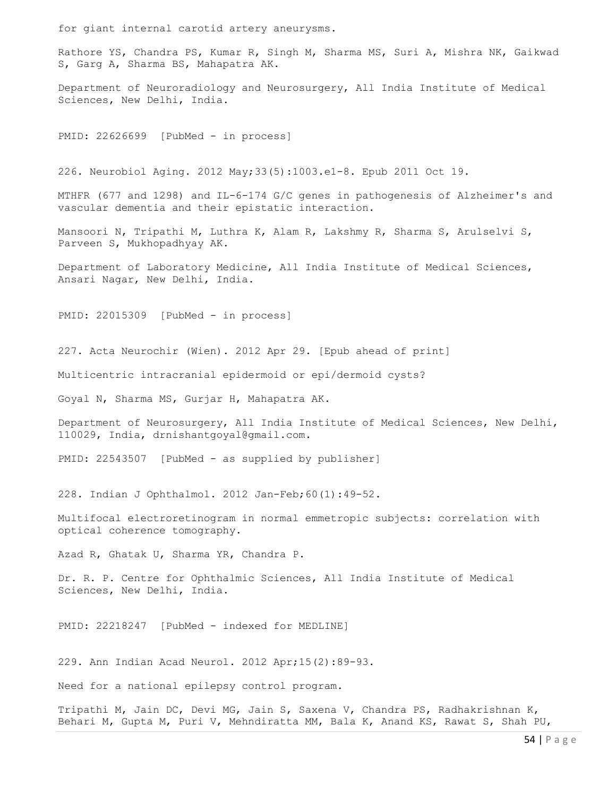for giant internal carotid artery aneurysms.

Rathore YS, Chandra PS, Kumar R, Singh M, Sharma MS, Suri A, Mishra NK, Gaikwad S, Garg A, Sharma BS, Mahapatra AK.

Department of Neuroradiology and Neurosurgery, All India Institute of Medical Sciences, New Delhi, India.

PMID: 22626699 [PubMed - in process]

226. Neurobiol Aging. 2012 May;33(5):1003.e1-8. Epub 2011 Oct 19.

MTHFR (677 and 1298) and IL-6-174 G/C genes in pathogenesis of Alzheimer's and vascular dementia and their epistatic interaction.

Mansoori N, Tripathi M, Luthra K, Alam R, Lakshmy R, Sharma S, Arulselvi S, Parveen S, Mukhopadhyay AK.

Department of Laboratory Medicine, All India Institute of Medical Sciences, Ansari Nagar, New Delhi, India.

PMID: 22015309 [PubMed - in process]

227. Acta Neurochir (Wien). 2012 Apr 29. [Epub ahead of print]

Multicentric intracranial epidermoid or epi/dermoid cysts?

Goyal N, Sharma MS, Gurjar H, Mahapatra AK.

Department of Neurosurgery, All India Institute of Medical Sciences, New Delhi, 110029, India, drnishantgoyal@gmail.com.

PMID: 22543507 [PubMed - as supplied by publisher]

228. Indian J Ophthalmol. 2012 Jan-Feb;60(1):49-52.

Multifocal electroretinogram in normal emmetropic subjects: correlation with optical coherence tomography.

Azad R, Ghatak U, Sharma YR, Chandra P.

Dr. R. P. Centre for Ophthalmic Sciences, All India Institute of Medical Sciences, New Delhi, India.

PMID: 22218247 [PubMed - indexed for MEDLINE]

229. Ann Indian Acad Neurol. 2012 Apr;15(2):89-93.

Need for a national epilepsy control program.

Tripathi M, Jain DC, Devi MG, Jain S, Saxena V, Chandra PS, Radhakrishnan K, Behari M, Gupta M, Puri V, Mehndiratta MM, Bala K, Anand KS, Rawat S, Shah PU,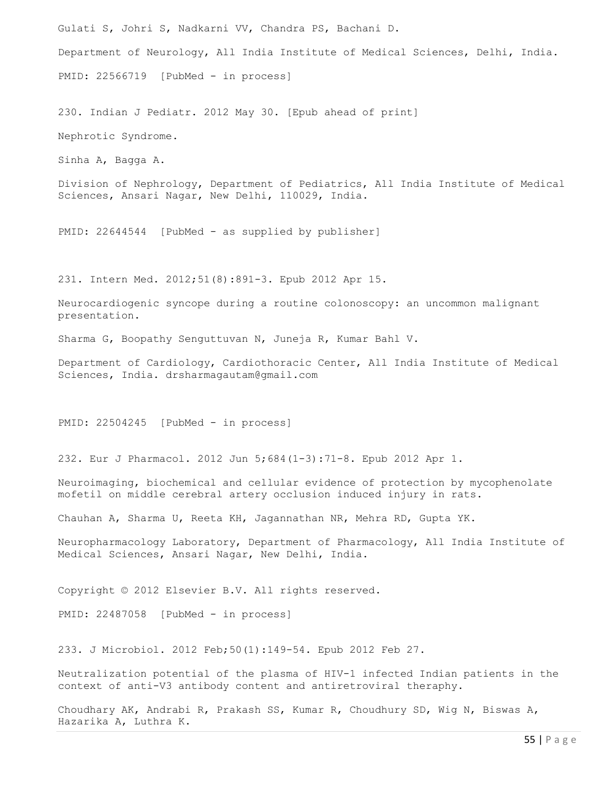Gulati S, Johri S, Nadkarni VV, Chandra PS, Bachani D. Department of Neurology, All India Institute of Medical Sciences, Delhi, India. PMID: 22566719 [PubMed - in process]

230. Indian J Pediatr. 2012 May 30. [Epub ahead of print] Nephrotic Syndrome.

Sinha A, Bagga A.

Division of Nephrology, Department of Pediatrics, All India Institute of Medical Sciences, Ansari Nagar, New Delhi, 110029, India.

PMID: 22644544 [PubMed - as supplied by publisher]

231. Intern Med. 2012;51(8):891-3. Epub 2012 Apr 15.

Neurocardiogenic syncope during a routine colonoscopy: an uncommon malignant presentation.

Sharma G, Boopathy Senguttuvan N, Juneja R, Kumar Bahl V.

Department of Cardiology, Cardiothoracic Center, All India Institute of Medical Sciences, India. drsharmagautam@gmail.com

PMID: 22504245 [PubMed - in process]

232. Eur J Pharmacol. 2012 Jun 5;684(1-3):71-8. Epub 2012 Apr 1.

Neuroimaging, biochemical and cellular evidence of protection by mycophenolate mofetil on middle cerebral artery occlusion induced injury in rats.

Chauhan A, Sharma U, Reeta KH, Jagannathan NR, Mehra RD, Gupta YK.

Neuropharmacology Laboratory, Department of Pharmacology, All India Institute of Medical Sciences, Ansari Nagar, New Delhi, India.

Copyright © 2012 Elsevier B.V. All rights reserved.

PMID: 22487058 [PubMed - in process]

233. J Microbiol. 2012 Feb;50(1):149-54. Epub 2012 Feb 27.

Neutralization potential of the plasma of HIV-1 infected Indian patients in the context of anti-V3 antibody content and antiretroviral theraphy.

Choudhary AK, Andrabi R, Prakash SS, Kumar R, Choudhury SD, Wig N, Biswas A, Hazarika A, Luthra K.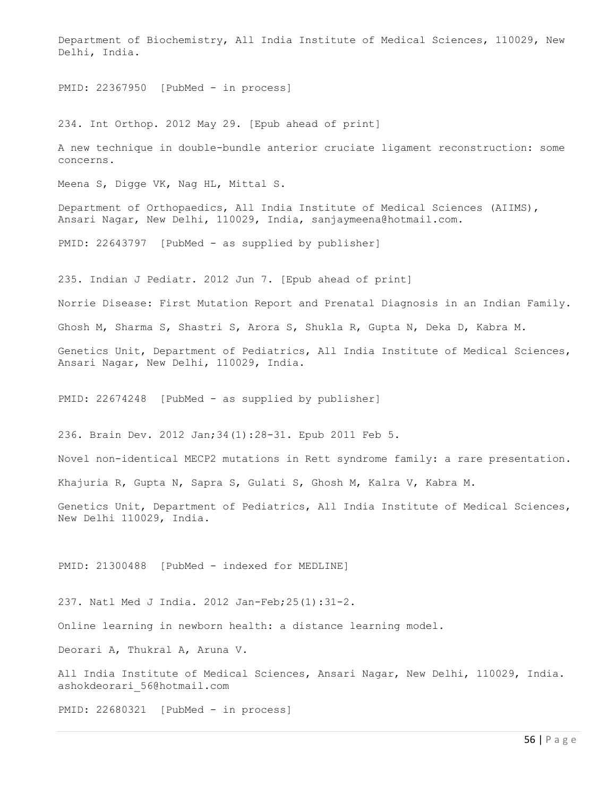Department of Biochemistry, All India Institute of Medical Sciences, 110029, New Delhi, India.

PMID: 22367950 [PubMed - in process]

234. Int Orthop. 2012 May 29. [Epub ahead of print]

A new technique in double-bundle anterior cruciate ligament reconstruction: some concerns.

Meena S, Digge VK, Nag HL, Mittal S.

Department of Orthopaedics, All India Institute of Medical Sciences (AIIMS), Ansari Nagar, New Delhi, 110029, India, sanjaymeena@hotmail.com.

PMID: 22643797 [PubMed - as supplied by publisher]

235. Indian J Pediatr. 2012 Jun 7. [Epub ahead of print]

Norrie Disease: First Mutation Report and Prenatal Diagnosis in an Indian Family.

Ghosh M, Sharma S, Shastri S, Arora S, Shukla R, Gupta N, Deka D, Kabra M.

Genetics Unit, Department of Pediatrics, All India Institute of Medical Sciences, Ansari Nagar, New Delhi, 110029, India.

PMID: 22674248 [PubMed - as supplied by publisher]

236. Brain Dev. 2012 Jan;34(1):28-31. Epub 2011 Feb 5.

Novel non-identical MECP2 mutations in Rett syndrome family: a rare presentation.

Khajuria R, Gupta N, Sapra S, Gulati S, Ghosh M, Kalra V, Kabra M.

Genetics Unit, Department of Pediatrics, All India Institute of Medical Sciences, New Delhi 110029, India.

PMID: 21300488 [PubMed - indexed for MEDLINE]

237. Natl Med J India. 2012 Jan-Feb;25(1):31-2.

Online learning in newborn health: a distance learning model.

Deorari A, Thukral A, Aruna V.

All India Institute of Medical Sciences, Ansari Nagar, New Delhi, 110029, India. ashokdeorari\_56@hotmail.com

PMID: 22680321 [PubMed - in process]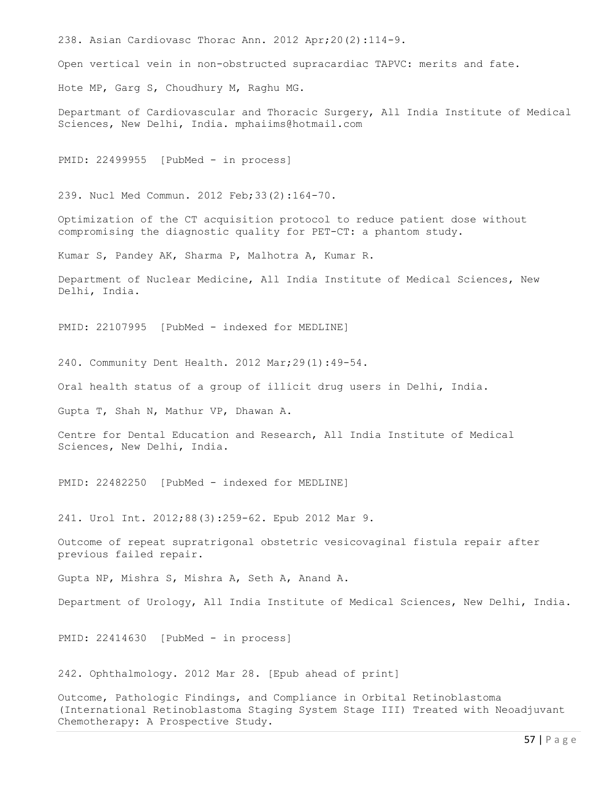238. Asian Cardiovasc Thorac Ann. 2012 Apr;20(2):114-9.

Open vertical vein in non-obstructed supracardiac TAPVC: merits and fate.

Hote MP, Garg S, Choudhury M, Raghu MG.

Departmant of Cardiovascular and Thoracic Surgery, All India Institute of Medical Sciences, New Delhi, India. mphaiims@hotmail.com

PMID: 22499955 [PubMed - in process]

239. Nucl Med Commun. 2012 Feb;33(2):164-70.

Optimization of the CT acquisition protocol to reduce patient dose without compromising the diagnostic quality for PET-CT: a phantom study.

Kumar S, Pandey AK, Sharma P, Malhotra A, Kumar R.

Department of Nuclear Medicine, All India Institute of Medical Sciences, New Delhi, India.

PMID: 22107995 [PubMed - indexed for MEDLINE]

240. Community Dent Health. 2012 Mar;29(1):49-54.

Oral health status of a group of illicit drug users in Delhi, India.

Gupta T, Shah N, Mathur VP, Dhawan A.

Centre for Dental Education and Research, All India Institute of Medical Sciences, New Delhi, India.

PMID: 22482250 [PubMed - indexed for MEDLINE]

241. Urol Int. 2012;88(3):259-62. Epub 2012 Mar 9.

Outcome of repeat supratrigonal obstetric vesicovaginal fistula repair after previous failed repair.

Gupta NP, Mishra S, Mishra A, Seth A, Anand A.

Department of Urology, All India Institute of Medical Sciences, New Delhi, India.

PMID: 22414630 [PubMed - in process]

242. Ophthalmology. 2012 Mar 28. [Epub ahead of print]

Outcome, Pathologic Findings, and Compliance in Orbital Retinoblastoma (International Retinoblastoma Staging System Stage III) Treated with Neoadjuvant Chemotherapy: A Prospective Study.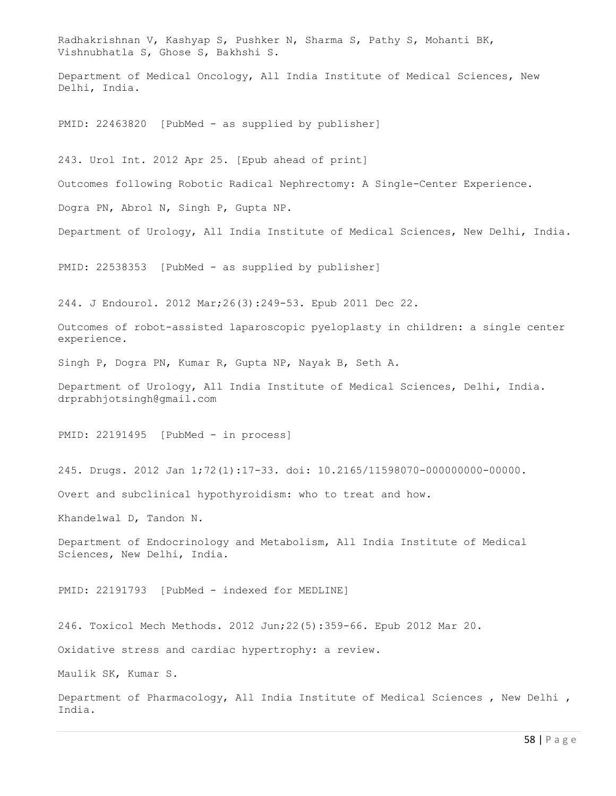Radhakrishnan V, Kashyap S, Pushker N, Sharma S, Pathy S, Mohanti BK, Vishnubhatla S, Ghose S, Bakhshi S. Department of Medical Oncology, All India Institute of Medical Sciences, New Delhi, India. PMID: 22463820 [PubMed - as supplied by publisher] 243. Urol Int. 2012 Apr 25. [Epub ahead of print] Outcomes following Robotic Radical Nephrectomy: A Single-Center Experience. Dogra PN, Abrol N, Singh P, Gupta NP. Department of Urology, All India Institute of Medical Sciences, New Delhi, India. PMID: 22538353 [PubMed - as supplied by publisher] 244. J Endourol. 2012 Mar;26(3):249-53. Epub 2011 Dec 22. Outcomes of robot-assisted laparoscopic pyeloplasty in children: a single center experience. Singh P, Dogra PN, Kumar R, Gupta NP, Nayak B, Seth A. Department of Urology, All India Institute of Medical Sciences, Delhi, India. drprabhjotsingh@gmail.com PMID: 22191495 [PubMed - in process] 245. Drugs. 2012 Jan 1;72(1):17-33. doi: 10.2165/11598070-000000000-00000. Overt and subclinical hypothyroidism: who to treat and how. Khandelwal D, Tandon N. Department of Endocrinology and Metabolism, All India Institute of Medical Sciences, New Delhi, India. PMID: 22191793 [PubMed - indexed for MEDLINE] 246. Toxicol Mech Methods. 2012 Jun;22(5):359-66. Epub 2012 Mar 20. Oxidative stress and cardiac hypertrophy: a review. Maulik SK, Kumar S. Department of Pharmacology, All India Institute of Medical Sciences , New Delhi , India.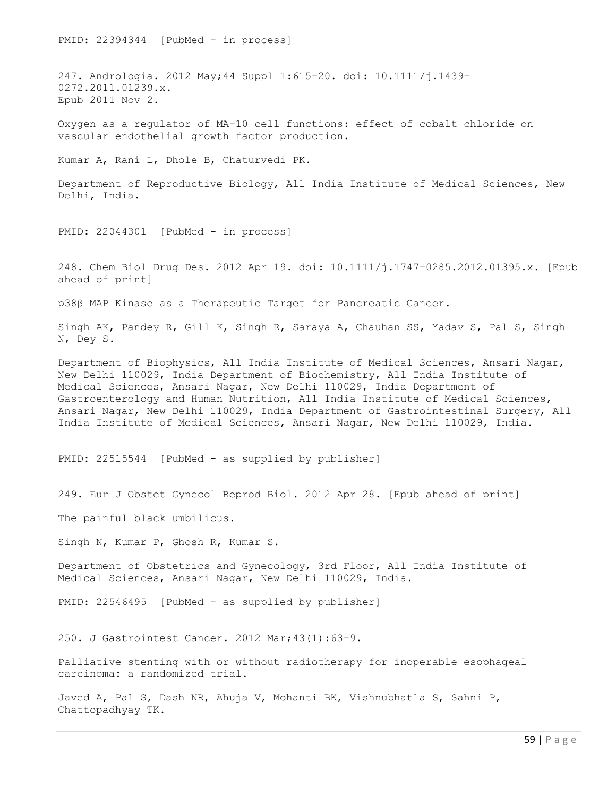PMID: 22394344 [PubMed - in process] 247. Andrologia. 2012 May;44 Suppl 1:615-20. doi: 10.1111/j.1439- 0272.2011.01239.x. Epub 2011 Nov 2. Oxygen as a regulator of MA-10 cell functions: effect of cobalt chloride on vascular endothelial growth factor production. Kumar A, Rani L, Dhole B, Chaturvedi PK. Department of Reproductive Biology, All India Institute of Medical Sciences, New Delhi, India. PMID: 22044301 [PubMed - in process] 248. Chem Biol Drug Des. 2012 Apr 19. doi: 10.1111/j.1747-0285.2012.01395.x. [Epub ahead of print] p38β MAP Kinase as a Therapeutic Target for Pancreatic Cancer. Singh AK, Pandey R, Gill K, Singh R, Saraya A, Chauhan SS, Yadav S, Pal S, Singh N, Dey S. Department of Biophysics, All India Institute of Medical Sciences, Ansari Nagar, New Delhi 110029, India Department of Biochemistry, All India Institute of Medical Sciences, Ansari Nagar, New Delhi 110029, India Department of Gastroenterology and Human Nutrition, All India Institute of Medical Sciences, Ansari Nagar, New Delhi 110029, India Department of Gastrointestinal Surgery, All India Institute of Medical Sciences, Ansari Nagar, New Delhi 110029, India. PMID: 22515544 [PubMed - as supplied by publisher] 249. Eur J Obstet Gynecol Reprod Biol. 2012 Apr 28. [Epub ahead of print] The painful black umbilicus. Singh N, Kumar P, Ghosh R, Kumar S. Department of Obstetrics and Gynecology, 3rd Floor, All India Institute of Medical Sciences, Ansari Nagar, New Delhi 110029, India. PMID: 22546495 [PubMed - as supplied by publisher] 250. J Gastrointest Cancer. 2012 Mar;43(1):63-9. Palliative stenting with or without radiotherapy for inoperable esophageal carcinoma: a randomized trial. Javed A, Pal S, Dash NR, Ahuja V, Mohanti BK, Vishnubhatla S, Sahni P, Chattopadhyay TK.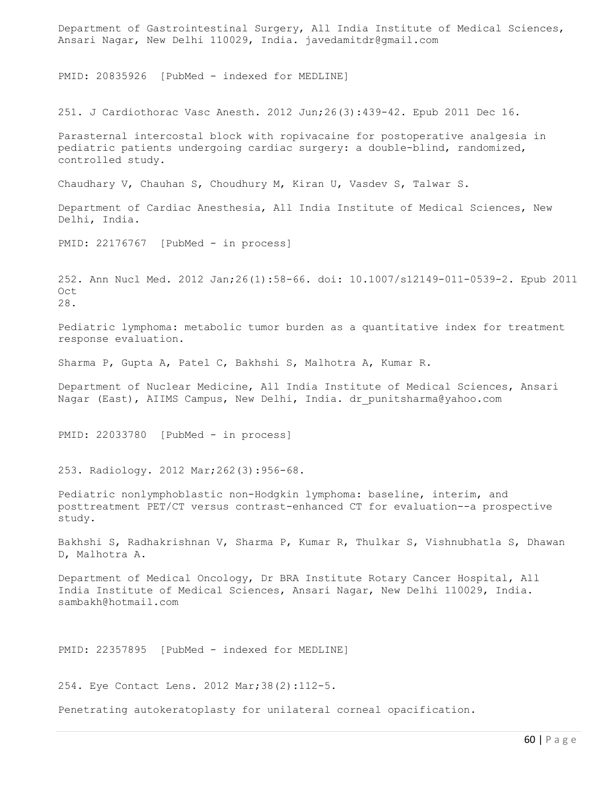Department of Gastrointestinal Surgery, All India Institute of Medical Sciences, Ansari Nagar, New Delhi 110029, India. javedamitdr@gmail.com

PMID: 20835926 [PubMed - indexed for MEDLINE]

251. J Cardiothorac Vasc Anesth. 2012 Jun;26(3):439-42. Epub 2011 Dec 16.

Parasternal intercostal block with ropivacaine for postoperative analgesia in pediatric patients undergoing cardiac surgery: a double-blind, randomized, controlled study.

Chaudhary V, Chauhan S, Choudhury M, Kiran U, Vasdev S, Talwar S.

Department of Cardiac Anesthesia, All India Institute of Medical Sciences, New Delhi, India.

PMID: 22176767 [PubMed - in process]

252. Ann Nucl Med. 2012 Jan;26(1):58-66. doi: 10.1007/s12149-011-0539-2. Epub 2011 Oct 28.

Pediatric lymphoma: metabolic tumor burden as a quantitative index for treatment response evaluation.

Sharma P, Gupta A, Patel C, Bakhshi S, Malhotra A, Kumar R.

Department of Nuclear Medicine, All India Institute of Medical Sciences, Ansari Nagar (East), AIIMS Campus, New Delhi, India. dr punitsharma@yahoo.com

PMID: 22033780 [PubMed - in process]

253. Radiology. 2012 Mar;262(3):956-68.

Pediatric nonlymphoblastic non-Hodgkin lymphoma: baseline, interim, and posttreatment PET/CT versus contrast-enhanced CT for evaluation--a prospective study.

Bakhshi S, Radhakrishnan V, Sharma P, Kumar R, Thulkar S, Vishnubhatla S, Dhawan D, Malhotra A.

Department of Medical Oncology, Dr BRA Institute Rotary Cancer Hospital, All India Institute of Medical Sciences, Ansari Nagar, New Delhi 110029, India. sambakh@hotmail.com

PMID: 22357895 [PubMed - indexed for MEDLINE]

254. Eye Contact Lens. 2012 Mar;38(2):112-5.

Penetrating autokeratoplasty for unilateral corneal opacification.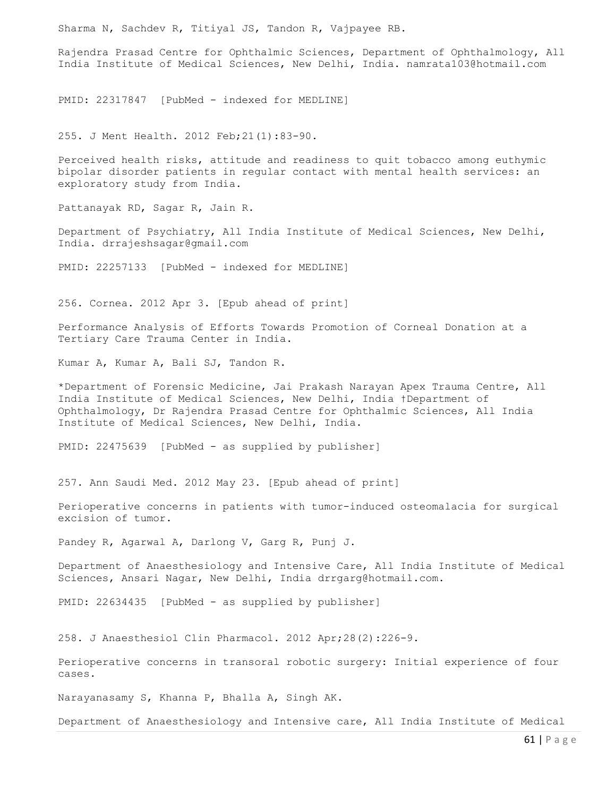Sharma N, Sachdev R, Titiyal JS, Tandon R, Vajpayee RB.

Rajendra Prasad Centre for Ophthalmic Sciences, Department of Ophthalmology, All India Institute of Medical Sciences, New Delhi, India. namrata103@hotmail.com

PMID: 22317847 [PubMed - indexed for MEDLINE]

255. J Ment Health. 2012 Feb;21(1):83-90.

Perceived health risks, attitude and readiness to quit tobacco among euthymic bipolar disorder patients in regular contact with mental health services: an exploratory study from India.

Pattanayak RD, Sagar R, Jain R.

Department of Psychiatry, All India Institute of Medical Sciences, New Delhi, India. drrajeshsagar@gmail.com

PMID: 22257133 [PubMed - indexed for MEDLINE]

256. Cornea. 2012 Apr 3. [Epub ahead of print]

Performance Analysis of Efforts Towards Promotion of Corneal Donation at a Tertiary Care Trauma Center in India.

Kumar A, Kumar A, Bali SJ, Tandon R.

\*Department of Forensic Medicine, Jai Prakash Narayan Apex Trauma Centre, All India Institute of Medical Sciences, New Delhi, India †Department of Ophthalmology, Dr Rajendra Prasad Centre for Ophthalmic Sciences, All India Institute of Medical Sciences, New Delhi, India.

PMID: 22475639 [PubMed - as supplied by publisher]

257. Ann Saudi Med. 2012 May 23. [Epub ahead of print]

Perioperative concerns in patients with tumor-induced osteomalacia for surgical excision of tumor.

Pandey R, Agarwal A, Darlong V, Garg R, Punj J.

Department of Anaesthesiology and Intensive Care, All India Institute of Medical Sciences, Ansari Nagar, New Delhi, India drrgarg@hotmail.com.

PMID: 22634435 [PubMed - as supplied by publisher]

258. J Anaesthesiol Clin Pharmacol. 2012 Apr;28(2):226-9.

Perioperative concerns in transoral robotic surgery: Initial experience of four cases.

Narayanasamy S, Khanna P, Bhalla A, Singh AK.

Department of Anaesthesiology and Intensive care, All India Institute of Medical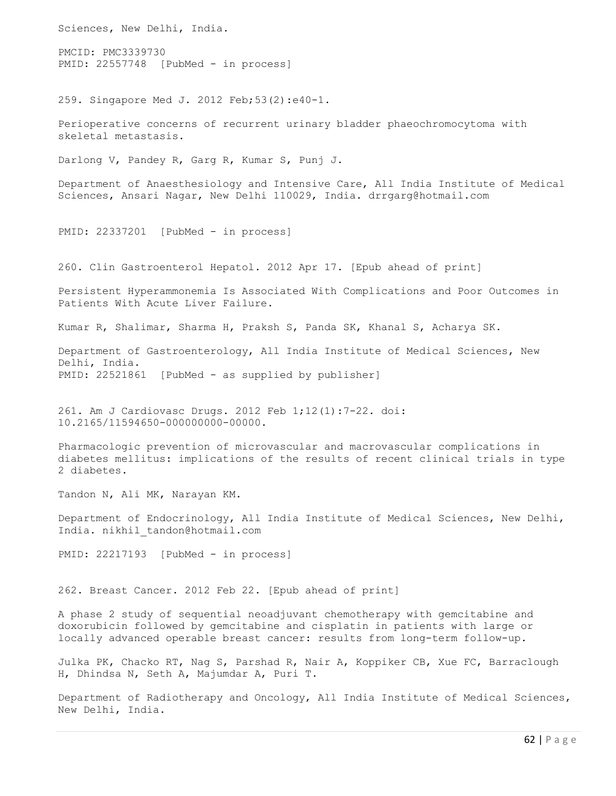Sciences, New Delhi, India. PMCID: PMC3339730 PMID: 22557748 [PubMed - in process] 259. Singapore Med J. 2012 Feb;53(2):e40-1. Perioperative concerns of recurrent urinary bladder phaeochromocytoma with skeletal metastasis. Darlong V, Pandey R, Garg R, Kumar S, Punj J. Department of Anaesthesiology and Intensive Care, All India Institute of Medical Sciences, Ansari Nagar, New Delhi 110029, India. drrgarg@hotmail.com PMID: 22337201 [PubMed - in process] 260. Clin Gastroenterol Hepatol. 2012 Apr 17. [Epub ahead of print] Persistent Hyperammonemia Is Associated With Complications and Poor Outcomes in Patients With Acute Liver Failure. Kumar R, Shalimar, Sharma H, Praksh S, Panda SK, Khanal S, Acharya SK. Department of Gastroenterology, All India Institute of Medical Sciences, New Delhi, India. PMID: 22521861 [PubMed - as supplied by publisher] 261. Am J Cardiovasc Drugs. 2012 Feb 1;12(1):7-22. doi: 10.2165/11594650-000000000-00000. Pharmacologic prevention of microvascular and macrovascular complications in diabetes mellitus: implications of the results of recent clinical trials in type 2 diabetes. Tandon N, Ali MK, Narayan KM. Department of Endocrinology, All India Institute of Medical Sciences, New Delhi, India. nikhil\_tandon@hotmail.com PMID: 22217193 [PubMed - in process] 262. Breast Cancer. 2012 Feb 22. [Epub ahead of print] A phase 2 study of sequential neoadjuvant chemotherapy with gemcitabine and doxorubicin followed by gemcitabine and cisplatin in patients with large or locally advanced operable breast cancer: results from long-term follow-up. Julka PK, Chacko RT, Nag S, Parshad R, Nair A, Koppiker CB, Xue FC, Barraclough H, Dhindsa N, Seth A, Majumdar A, Puri T.

Department of Radiotherapy and Oncology, All India Institute of Medical Sciences, New Delhi, India.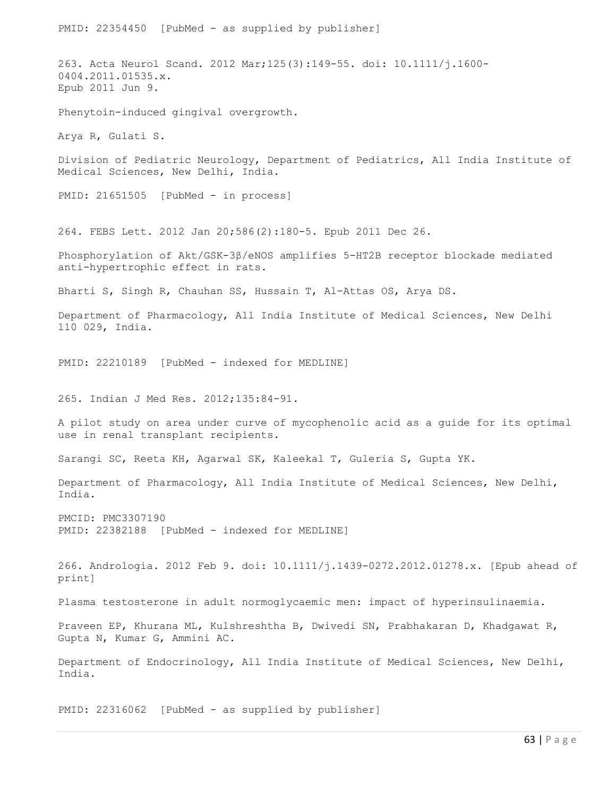PMID: 22354450 [PubMed - as supplied by publisher] 263. Acta Neurol Scand. 2012 Mar;125(3):149-55. doi: 10.1111/j.1600- 0404.2011.01535.x. Epub 2011 Jun 9. Phenytoin-induced gingival overgrowth. Arya R, Gulati S. Division of Pediatric Neurology, Department of Pediatrics, All India Institute of Medical Sciences, New Delhi, India. PMID: 21651505 [PubMed - in process] 264. FEBS Lett. 2012 Jan 20;586(2):180-5. Epub 2011 Dec 26. Phosphorylation of Akt/GSK-3β/eNOS amplifies 5-HT2B receptor blockade mediated anti-hypertrophic effect in rats. Bharti S, Singh R, Chauhan SS, Hussain T, Al-Attas OS, Arya DS. Department of Pharmacology, All India Institute of Medical Sciences, New Delhi 110 029, India. PMID: 22210189 [PubMed - indexed for MEDLINE] 265. Indian J Med Res. 2012;135:84-91. A pilot study on area under curve of mycophenolic acid as a guide for its optimal use in renal transplant recipients. Sarangi SC, Reeta KH, Agarwal SK, Kaleekal T, Guleria S, Gupta YK. Department of Pharmacology, All India Institute of Medical Sciences, New Delhi, India. PMCID: PMC3307190 PMID: 22382188 [PubMed - indexed for MEDLINE] 266. Andrologia. 2012 Feb 9. doi: 10.1111/j.1439-0272.2012.01278.x. [Epub ahead of print] Plasma testosterone in adult normoglycaemic men: impact of hyperinsulinaemia. Praveen EP, Khurana ML, Kulshreshtha B, Dwivedi SN, Prabhakaran D, Khadgawat R, Gupta N, Kumar G, Ammini AC. Department of Endocrinology, All India Institute of Medical Sciences, New Delhi, India.

PMID: 22316062 [PubMed - as supplied by publisher]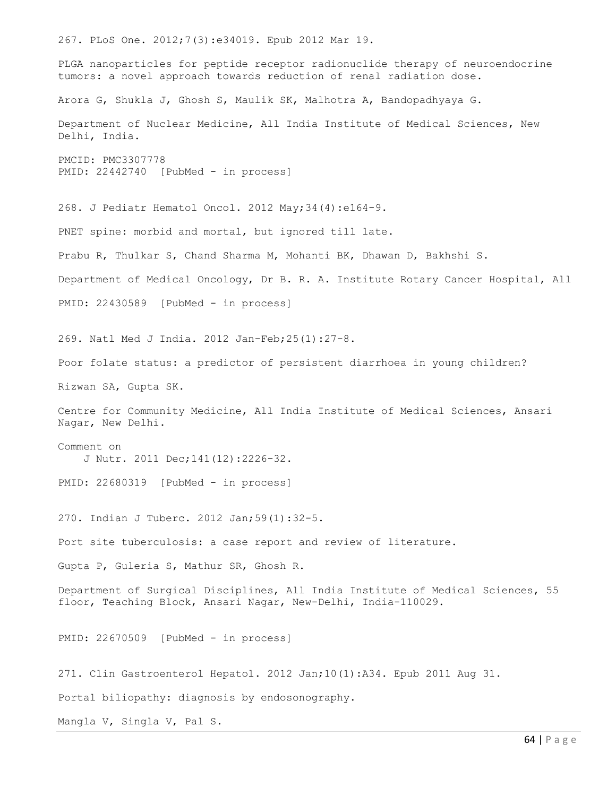267. PLoS One. 2012;7(3):e34019. Epub 2012 Mar 19. PLGA nanoparticles for peptide receptor radionuclide therapy of neuroendocrine tumors: a novel approach towards reduction of renal radiation dose. Arora G, Shukla J, Ghosh S, Maulik SK, Malhotra A, Bandopadhyaya G. Department of Nuclear Medicine, All India Institute of Medical Sciences, New Delhi, India. PMCID: PMC3307778 PMID: 22442740 [PubMed - in process] 268. J Pediatr Hematol Oncol. 2012 May;34(4):e164-9. PNET spine: morbid and mortal, but ignored till late. Prabu R, Thulkar S, Chand Sharma M, Mohanti BK, Dhawan D, Bakhshi S. Department of Medical Oncology, Dr B. R. A. Institute Rotary Cancer Hospital, All PMID: 22430589 [PubMed - in process] 269. Natl Med J India. 2012 Jan-Feb;25(1):27-8. Poor folate status: a predictor of persistent diarrhoea in young children? Rizwan SA, Gupta SK. Centre for Community Medicine, All India Institute of Medical Sciences, Ansari Nagar, New Delhi. Comment on J Nutr. 2011 Dec;141(12):2226-32. PMID: 22680319 [PubMed - in process] 270. Indian J Tuberc. 2012 Jan;59(1):32-5. Port site tuberculosis: a case report and review of literature. Gupta P, Guleria S, Mathur SR, Ghosh R. Department of Surgical Disciplines, All India Institute of Medical Sciences, 55 floor, Teaching Block, Ansari Nagar, New-Delhi, India-110029. PMID: 22670509 [PubMed - in process] 271. Clin Gastroenterol Hepatol. 2012 Jan;10(1):A34. Epub 2011 Aug 31. Portal biliopathy: diagnosis by endosonography. Mangla V, Singla V, Pal S.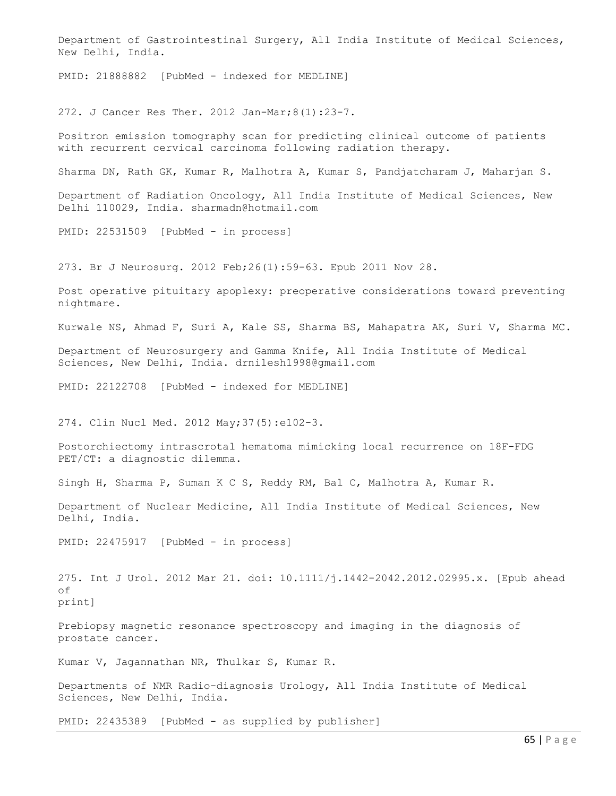Department of Gastrointestinal Surgery, All India Institute of Medical Sciences, New Delhi, India.

PMID: 21888882 [PubMed - indexed for MEDLINE]

272. J Cancer Res Ther. 2012 Jan-Mar;8(1):23-7.

Positron emission tomography scan for predicting clinical outcome of patients with recurrent cervical carcinoma following radiation therapy.

Sharma DN, Rath GK, Kumar R, Malhotra A, Kumar S, Pandjatcharam J, Maharjan S.

Department of Radiation Oncology, All India Institute of Medical Sciences, New Delhi 110029, India. sharmadn@hotmail.com

PMID: 22531509 [PubMed - in process]

273. Br J Neurosurg. 2012 Feb;26(1):59-63. Epub 2011 Nov 28.

Post operative pituitary apoplexy: preoperative considerations toward preventing nightmare.

Kurwale NS, Ahmad F, Suri A, Kale SS, Sharma BS, Mahapatra AK, Suri V, Sharma MC.

Department of Neurosurgery and Gamma Knife, All India Institute of Medical Sciences, New Delhi, India. drnilesh1998@gmail.com

PMID: 22122708 [PubMed - indexed for MEDLINE]

274. Clin Nucl Med. 2012 May;37(5):e102-3.

Postorchiectomy intrascrotal hematoma mimicking local recurrence on 18F-FDG PET/CT: a diagnostic dilemma.

Singh H, Sharma P, Suman K C S, Reddy RM, Bal C, Malhotra A, Kumar R.

Department of Nuclear Medicine, All India Institute of Medical Sciences, New Delhi, India.

PMID: 22475917 [PubMed - in process]

275. Int J Urol. 2012 Mar 21. doi: 10.1111/j.1442-2042.2012.02995.x. [Epub ahead of print]

Prebiopsy magnetic resonance spectroscopy and imaging in the diagnosis of prostate cancer.

Kumar V, Jagannathan NR, Thulkar S, Kumar R.

Departments of NMR Radio-diagnosis Urology, All India Institute of Medical Sciences, New Delhi, India.

PMID: 22435389 [PubMed - as supplied by publisher]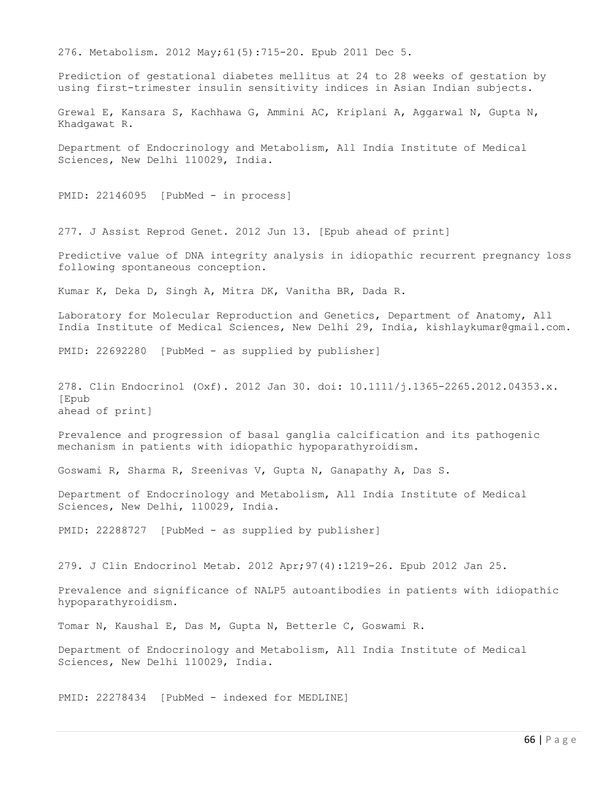276. Metabolism. 2012 May;61(5):715-20. Epub 2011 Dec 5.

Prediction of gestational diabetes mellitus at 24 to 28 weeks of gestation by using first-trimester insulin sensitivity indices in Asian Indian subjects.

Grewal E, Kansara S, Kachhawa G, Ammini AC, Kriplani A, Aggarwal N, Gupta N, Khadgawat R.

Department of Endocrinology and Metabolism, All India Institute of Medical Sciences, New Delhi 110029, India.

PMID: 22146095 [PubMed - in process]

277. J Assist Reprod Genet. 2012 Jun 13. [Epub ahead of print]

Predictive value of DNA integrity analysis in idiopathic recurrent pregnancy loss following spontaneous conception.

Kumar K, Deka D, Singh A, Mitra DK, Vanitha BR, Dada R.

Laboratory for Molecular Reproduction and Genetics, Department of Anatomy, All India Institute of Medical Sciences, New Delhi 29, India, kishlaykumar@gmail.com.

PMID: 22692280 [PubMed - as supplied by publisher]

278. Clin Endocrinol (Oxf). 2012 Jan 30. doi: 10.1111/j.1365-2265.2012.04353.x. [Epub ahead of print]

Prevalence and progression of basal ganglia calcification and its pathogenic mechanism in patients with idiopathic hypoparathyroidism.

Goswami R, Sharma R, Sreenivas V, Gupta N, Ganapathy A, Das S.

Department of Endocrinology and Metabolism, All India Institute of Medical Sciences, New Delhi, 110029, India.

PMID: 22288727 [PubMed - as supplied by publisher]

279. J Clin Endocrinol Metab. 2012 Apr;97(4):1219-26. Epub 2012 Jan 25.

Prevalence and significance of NALP5 autoantibodies in patients with idiopathic hypoparathyroidism.

Tomar N, Kaushal E, Das M, Gupta N, Betterle C, Goswami R.

Department of Endocrinology and Metabolism, All India Institute of Medical Sciences, New Delhi 110029, India.

PMID: 22278434 [PubMed - indexed for MEDLINE]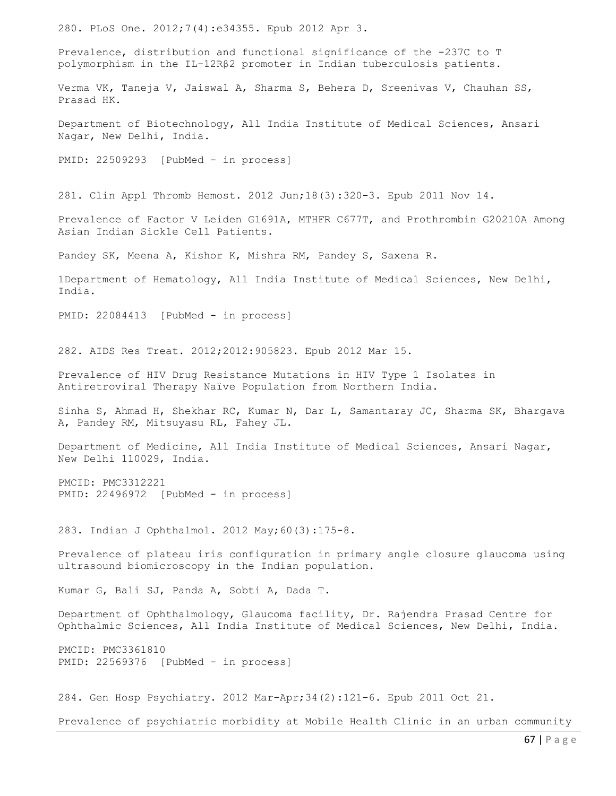280. PLoS One. 2012;7(4):e34355. Epub 2012 Apr 3. Prevalence, distribution and functional significance of the -237C to T polymorphism in the IL-12Rβ2 promoter in Indian tuberculosis patients. Verma VK, Taneja V, Jaiswal A, Sharma S, Behera D, Sreenivas V, Chauhan SS, Prasad HK. Department of Biotechnology, All India Institute of Medical Sciences, Ansari Nagar, New Delhi, India. PMID: 22509293 [PubMed - in process] 281. Clin Appl Thromb Hemost. 2012 Jun;18(3):320-3. Epub 2011 Nov 14. Prevalence of Factor V Leiden G1691A, MTHFR C677T, and Prothrombin G20210A Among Asian Indian Sickle Cell Patients. Pandey SK, Meena A, Kishor K, Mishra RM, Pandey S, Saxena R. 1Department of Hematology, All India Institute of Medical Sciences, New Delhi, India. PMID: 22084413 [PubMed - in process] 282. AIDS Res Treat. 2012;2012:905823. Epub 2012 Mar 15. Prevalence of HIV Drug Resistance Mutations in HIV Type 1 Isolates in Antiretroviral Therapy Naïve Population from Northern India. Sinha S, Ahmad H, Shekhar RC, Kumar N, Dar L, Samantaray JC, Sharma SK, Bhargava A, Pandey RM, Mitsuyasu RL, Fahey JL. Department of Medicine, All India Institute of Medical Sciences, Ansari Nagar, New Delhi 110029, India. PMCID: PMC3312221 PMID: 22496972 [PubMed - in process] 283. Indian J Ophthalmol. 2012 May;60(3):175-8. Prevalence of plateau iris configuration in primary angle closure glaucoma using ultrasound biomicroscopy in the Indian population. Kumar G, Bali SJ, Panda A, Sobti A, Dada T. Department of Ophthalmology, Glaucoma facility, Dr. Rajendra Prasad Centre for Ophthalmic Sciences, All India Institute of Medical Sciences, New Delhi, India. PMCID: PMC3361810 PMID: 22569376 [PubMed - in process] 284. Gen Hosp Psychiatry. 2012 Mar-Apr;34(2):121-6. Epub 2011 Oct 21. Prevalence of psychiatric morbidity at Mobile Health Clinic in an urban community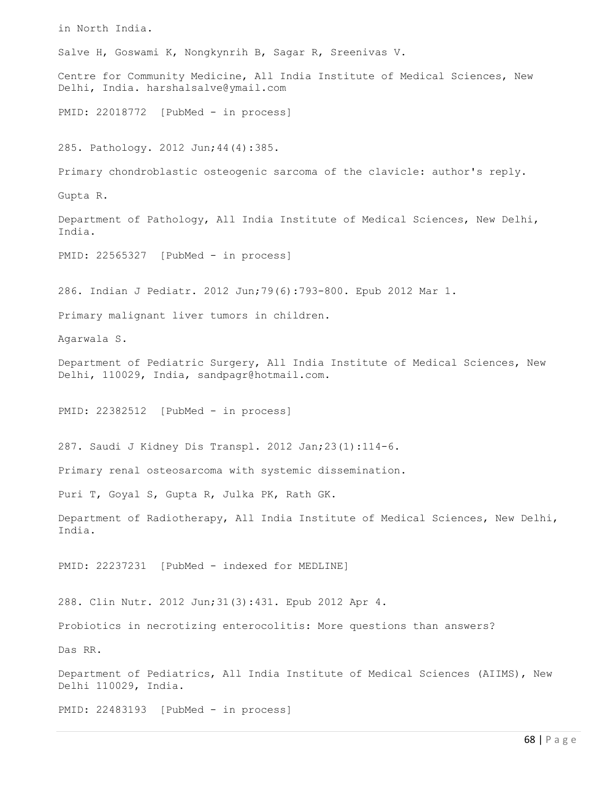in North India. Salve H, Goswami K, Nongkynrih B, Sagar R, Sreenivas V. Centre for Community Medicine, All India Institute of Medical Sciences, New Delhi, India. harshalsalve@ymail.com PMID: 22018772 [PubMed - in process] 285. Pathology. 2012 Jun;44(4):385. Primary chondroblastic osteogenic sarcoma of the clavicle: author's reply. Gupta R. Department of Pathology, All India Institute of Medical Sciences, New Delhi, India. PMID: 22565327 [PubMed - in process] 286. Indian J Pediatr. 2012 Jun;79(6):793-800. Epub 2012 Mar 1. Primary malignant liver tumors in children. Agarwala S. Department of Pediatric Surgery, All India Institute of Medical Sciences, New Delhi, 110029, India, sandpagr@hotmail.com. PMID: 22382512 [PubMed - in process] 287. Saudi J Kidney Dis Transpl. 2012 Jan;23(1):114-6. Primary renal osteosarcoma with systemic dissemination. Puri T, Goyal S, Gupta R, Julka PK, Rath GK. Department of Radiotherapy, All India Institute of Medical Sciences, New Delhi, India. PMID: 22237231 [PubMed - indexed for MEDLINE] 288. Clin Nutr. 2012 Jun;31(3):431. Epub 2012 Apr 4. Probiotics in necrotizing enterocolitis: More questions than answers? Das RR. Department of Pediatrics, All India Institute of Medical Sciences (AIIMS), New Delhi 110029, India. PMID: 22483193 [PubMed - in process]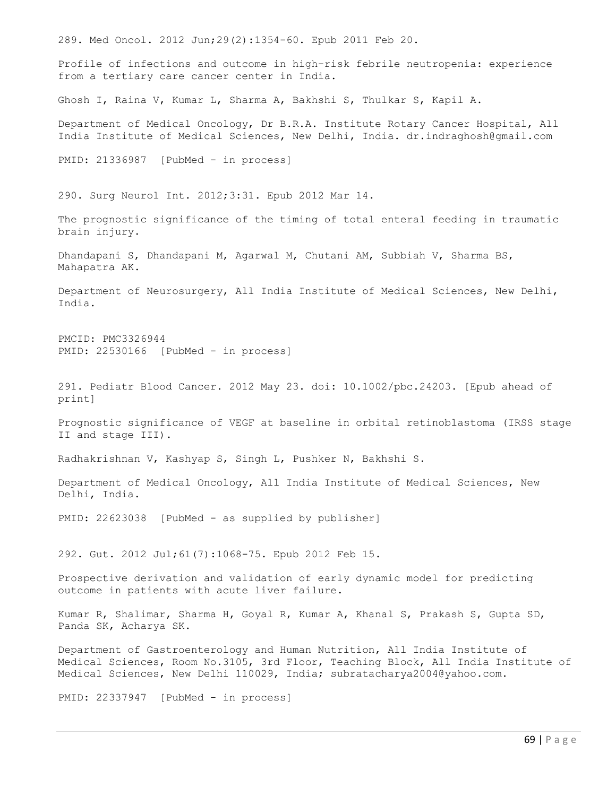289. Med Oncol. 2012 Jun;29(2):1354-60. Epub 2011 Feb 20. Profile of infections and outcome in high-risk febrile neutropenia: experience from a tertiary care cancer center in India. Ghosh I, Raina V, Kumar L, Sharma A, Bakhshi S, Thulkar S, Kapil A. Department of Medical Oncology, Dr B.R.A. Institute Rotary Cancer Hospital, All India Institute of Medical Sciences, New Delhi, India. dr.indraghosh@gmail.com PMID: 21336987 [PubMed - in process] 290. Surg Neurol Int. 2012;3:31. Epub 2012 Mar 14. The prognostic significance of the timing of total enteral feeding in traumatic brain injury. Dhandapani S, Dhandapani M, Agarwal M, Chutani AM, Subbiah V, Sharma BS, Mahapatra AK. Department of Neurosurgery, All India Institute of Medical Sciences, New Delhi, India. PMCID: PMC3326944 PMID: 22530166 [PubMed - in process] 291. Pediatr Blood Cancer. 2012 May 23. doi: 10.1002/pbc.24203. [Epub ahead of print] Prognostic significance of VEGF at baseline in orbital retinoblastoma (IRSS stage II and stage III). Radhakrishnan V, Kashyap S, Singh L, Pushker N, Bakhshi S. Department of Medical Oncology, All India Institute of Medical Sciences, New Delhi, India. PMID: 22623038 [PubMed - as supplied by publisher] 292. Gut. 2012 Jul;61(7):1068-75. Epub 2012 Feb 15. Prospective derivation and validation of early dynamic model for predicting outcome in patients with acute liver failure. Kumar R, Shalimar, Sharma H, Goyal R, Kumar A, Khanal S, Prakash S, Gupta SD, Panda SK, Acharya SK. Department of Gastroenterology and Human Nutrition, All India Institute of Medical Sciences, Room No.3105, 3rd Floor, Teaching Block, All India Institute of Medical Sciences, New Delhi 110029, India; subratacharya2004@yahoo.com. PMID: 22337947 [PubMed - in process]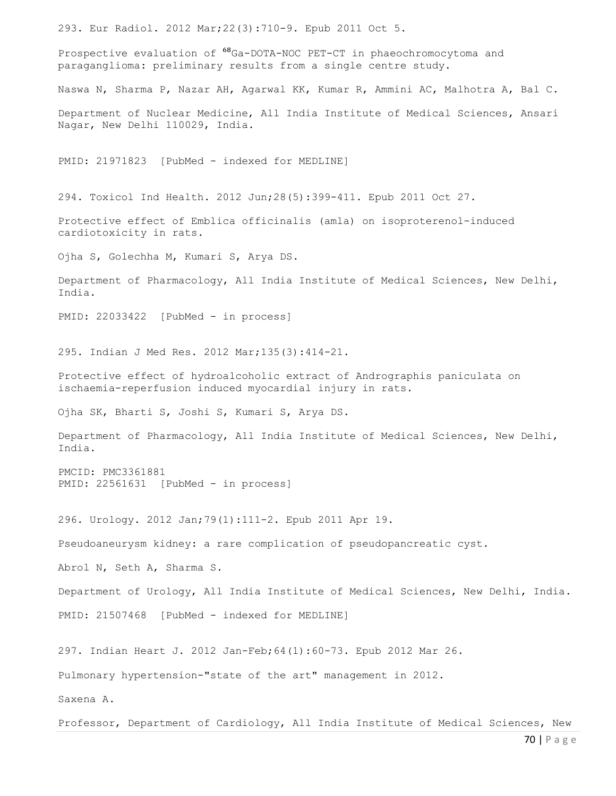293. Eur Radiol. 2012 Mar;22(3):710-9. Epub 2011 Oct 5.

Prospective evaluation of  $^{68}$ Ga-DOTA-NOC PET-CT in phaeochromocytoma and paraganglioma: preliminary results from a single centre study.

Naswa N, Sharma P, Nazar AH, Agarwal KK, Kumar R, Ammini AC, Malhotra A, Bal C.

Department of Nuclear Medicine, All India Institute of Medical Sciences, Ansari Nagar, New Delhi 110029, India.

PMID: 21971823 [PubMed - indexed for MEDLINE]

294. Toxicol Ind Health. 2012 Jun;28(5):399-411. Epub 2011 Oct 27.

Protective effect of Emblica officinalis (amla) on isoproterenol-induced cardiotoxicity in rats.

Ojha S, Golechha M, Kumari S, Arya DS.

Department of Pharmacology, All India Institute of Medical Sciences, New Delhi, India.

PMID: 22033422 [PubMed - in process]

295. Indian J Med Res. 2012 Mar;135(3):414-21.

Protective effect of hydroalcoholic extract of Andrographis paniculata on ischaemia-reperfusion induced myocardial injury in rats.

Ojha SK, Bharti S, Joshi S, Kumari S, Arya DS.

Department of Pharmacology, All India Institute of Medical Sciences, New Delhi, India.

PMCID: PMC3361881 PMID: 22561631 [PubMed - in process]

296. Urology. 2012 Jan;79(1):111-2. Epub 2011 Apr 19.

Pseudoaneurysm kidney: a rare complication of pseudopancreatic cyst.

Abrol N, Seth A, Sharma S.

Department of Urology, All India Institute of Medical Sciences, New Delhi, India. PMID: 21507468 [PubMed - indexed for MEDLINE]

297. Indian Heart J. 2012 Jan-Feb;64(1):60-73. Epub 2012 Mar 26.

Pulmonary hypertension-"state of the art" management in 2012.

Saxena A.

Professor, Department of Cardiology, All India Institute of Medical Sciences, New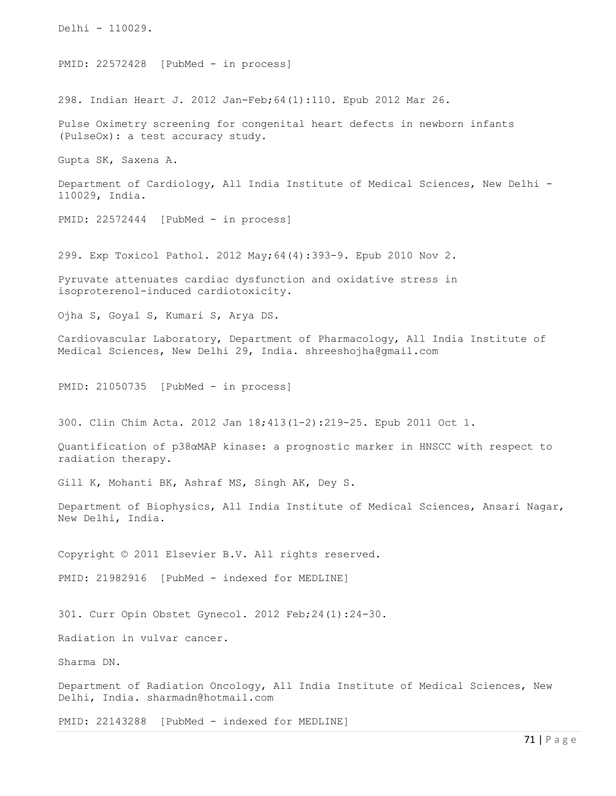Delhi - 110029. PMID: 22572428 [PubMed - in process] 298. Indian Heart J. 2012 Jan-Feb;64(1):110. Epub 2012 Mar 26. Pulse Oximetry screening for congenital heart defects in newborn infants (PulseOx): a test accuracy study. Gupta SK, Saxena A. Department of Cardiology, All India Institute of Medical Sciences, New Delhi - 110029, India. PMID: 22572444 [PubMed - in process] 299. Exp Toxicol Pathol. 2012 May;64(4):393-9. Epub 2010 Nov 2. Pyruvate attenuates cardiac dysfunction and oxidative stress in isoproterenol-induced cardiotoxicity. Ojha S, Goyal S, Kumari S, Arya DS. Cardiovascular Laboratory, Department of Pharmacology, All India Institute of Medical Sciences, New Delhi 29, India. shreeshojha@gmail.com PMID: 21050735 [PubMed - in process] 300. Clin Chim Acta. 2012 Jan 18;413(1-2):219-25. Epub 2011 Oct 1. Quantification of p38αMAP kinase: a prognostic marker in HNSCC with respect to radiation therapy. Gill K, Mohanti BK, Ashraf MS, Singh AK, Dey S. Department of Biophysics, All India Institute of Medical Sciences, Ansari Nagar, New Delhi, India. Copyright © 2011 Elsevier B.V. All rights reserved. PMID: 21982916 [PubMed - indexed for MEDLINE] 301. Curr Opin Obstet Gynecol. 2012 Feb;24(1):24-30. Radiation in vulvar cancer. Sharma DN. Department of Radiation Oncology, All India Institute of Medical Sciences, New Delhi, India. sharmadn@hotmail.com PMID: 22143288 [PubMed - indexed for MEDLINE]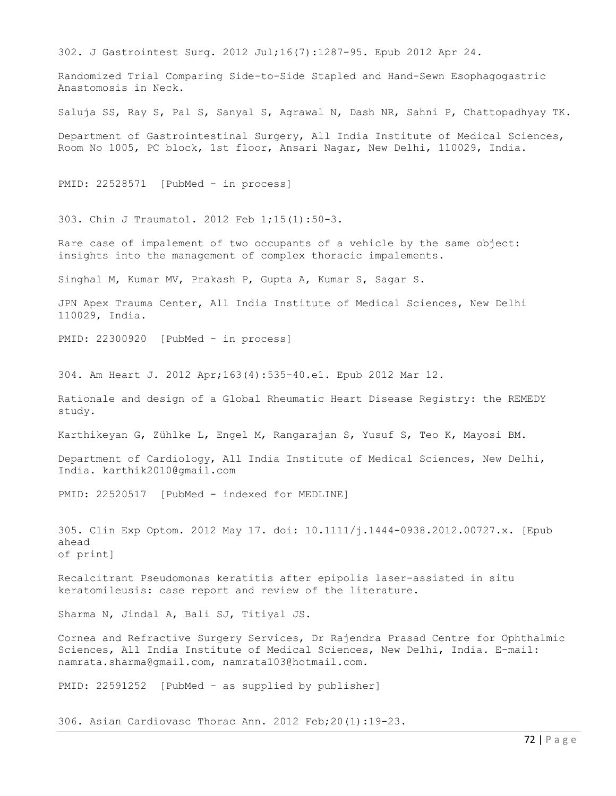302. J Gastrointest Surg. 2012 Jul;16(7):1287-95. Epub 2012 Apr 24.

Randomized Trial Comparing Side-to-Side Stapled and Hand-Sewn Esophagogastric Anastomosis in Neck.

Saluja SS, Ray S, Pal S, Sanyal S, Agrawal N, Dash NR, Sahni P, Chattopadhyay TK.

Department of Gastrointestinal Surgery, All India Institute of Medical Sciences, Room No 1005, PC block, 1st floor, Ansari Nagar, New Delhi, 110029, India.

PMID: 22528571 [PubMed - in process]

303. Chin J Traumatol. 2012 Feb 1;15(1):50-3.

Rare case of impalement of two occupants of a vehicle by the same object: insights into the management of complex thoracic impalements.

Singhal M, Kumar MV, Prakash P, Gupta A, Kumar S, Sagar S.

JPN Apex Trauma Center, All India Institute of Medical Sciences, New Delhi 110029, India.

PMID: 22300920 [PubMed - in process]

304. Am Heart J. 2012 Apr;163(4):535-40.e1. Epub 2012 Mar 12.

Rationale and design of a Global Rheumatic Heart Disease Registry: the REMEDY study.

Karthikeyan G, Zühlke L, Engel M, Rangarajan S, Yusuf S, Teo K, Mayosi BM.

Department of Cardiology, All India Institute of Medical Sciences, New Delhi, India. karthik2010@gmail.com

PMID: 22520517 [PubMed - indexed for MEDLINE]

305. Clin Exp Optom. 2012 May 17. doi: 10.1111/j.1444-0938.2012.00727.x. [Epub ahead of print]

Recalcitrant Pseudomonas keratitis after epipolis laser-assisted in situ keratomileusis: case report and review of the literature.

Sharma N, Jindal A, Bali SJ, Titiyal JS.

Cornea and Refractive Surgery Services, Dr Rajendra Prasad Centre for Ophthalmic Sciences, All India Institute of Medical Sciences, New Delhi, India. E-mail: namrata.sharma@gmail.com, namrata103@hotmail.com.

PMID: 22591252 [PubMed - as supplied by publisher]

306. Asian Cardiovasc Thorac Ann. 2012 Feb;20(1):19-23.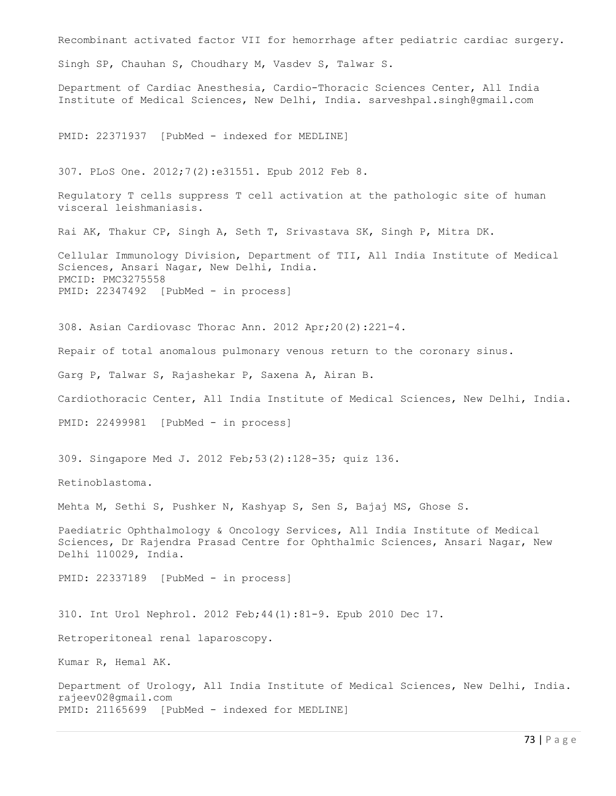Recombinant activated factor VII for hemorrhage after pediatric cardiac surgery. Singh SP, Chauhan S, Choudhary M, Vasdev S, Talwar S. Department of Cardiac Anesthesia, Cardio-Thoracic Sciences Center, All India Institute of Medical Sciences, New Delhi, India. sarveshpal.singh@gmail.com PMID: 22371937 [PubMed - indexed for MEDLINE] 307. PLoS One. 2012;7(2):e31551. Epub 2012 Feb 8. Regulatory T cells suppress T cell activation at the pathologic site of human visceral leishmaniasis. Rai AK, Thakur CP, Singh A, Seth T, Srivastava SK, Singh P, Mitra DK. Cellular Immunology Division, Department of TII, All India Institute of Medical Sciences, Ansari Nagar, New Delhi, India. PMCID: PMC3275558 PMID: 22347492 [PubMed - in process] 308. Asian Cardiovasc Thorac Ann. 2012 Apr;20(2):221-4. Repair of total anomalous pulmonary venous return to the coronary sinus. Garg P, Talwar S, Rajashekar P, Saxena A, Airan B. Cardiothoracic Center, All India Institute of Medical Sciences, New Delhi, India. PMID: 22499981 [PubMed - in process] 309. Singapore Med J. 2012 Feb;53(2):128-35; quiz 136. Retinoblastoma. Mehta M, Sethi S, Pushker N, Kashyap S, Sen S, Bajaj MS, Ghose S. Paediatric Ophthalmology & Oncology Services, All India Institute of Medical Sciences, Dr Rajendra Prasad Centre for Ophthalmic Sciences, Ansari Nagar, New Delhi 110029, India. PMID: 22337189 [PubMed - in process] 310. Int Urol Nephrol. 2012 Feb;44(1):81-9. Epub 2010 Dec 17. Retroperitoneal renal laparoscopy. Kumar R, Hemal AK. Department of Urology, All India Institute of Medical Sciences, New Delhi, India. rajeev02@gmail.com PMID: 21165699 [PubMed - indexed for MEDLINE]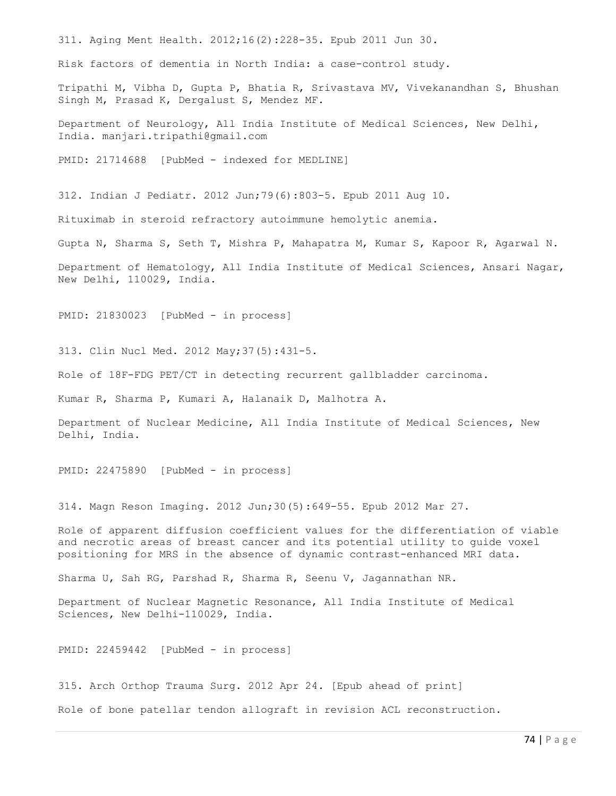311. Aging Ment Health. 2012;16(2):228-35. Epub 2011 Jun 30.

Risk factors of dementia in North India: a case-control study.

Tripathi M, Vibha D, Gupta P, Bhatia R, Srivastava MV, Vivekanandhan S, Bhushan Singh M, Prasad K, Dergalust S, Mendez MF.

Department of Neurology, All India Institute of Medical Sciences, New Delhi, India. manjari.tripathi@gmail.com

PMID: 21714688 [PubMed - indexed for MEDLINE]

312. Indian J Pediatr. 2012 Jun;79(6):803-5. Epub 2011 Aug 10.

Rituximab in steroid refractory autoimmune hemolytic anemia.

Gupta N, Sharma S, Seth T, Mishra P, Mahapatra M, Kumar S, Kapoor R, Agarwal N.

Department of Hematology, All India Institute of Medical Sciences, Ansari Nagar, New Delhi, 110029, India.

PMID: 21830023 [PubMed - in process]

313. Clin Nucl Med. 2012 May;37(5):431-5.

Role of 18F-FDG PET/CT in detecting recurrent gallbladder carcinoma.

Kumar R, Sharma P, Kumari A, Halanaik D, Malhotra A.

Department of Nuclear Medicine, All India Institute of Medical Sciences, New Delhi, India.

PMID: 22475890 [PubMed - in process]

314. Magn Reson Imaging. 2012 Jun;30(5):649-55. Epub 2012 Mar 27.

Role of apparent diffusion coefficient values for the differentiation of viable and necrotic areas of breast cancer and its potential utility to guide voxel positioning for MRS in the absence of dynamic contrast-enhanced MRI data.

Sharma U, Sah RG, Parshad R, Sharma R, Seenu V, Jagannathan NR.

Department of Nuclear Magnetic Resonance, All India Institute of Medical Sciences, New Delhi-110029, India.

PMID: 22459442 [PubMed - in process]

315. Arch Orthop Trauma Surg. 2012 Apr 24. [Epub ahead of print] Role of bone patellar tendon allograft in revision ACL reconstruction.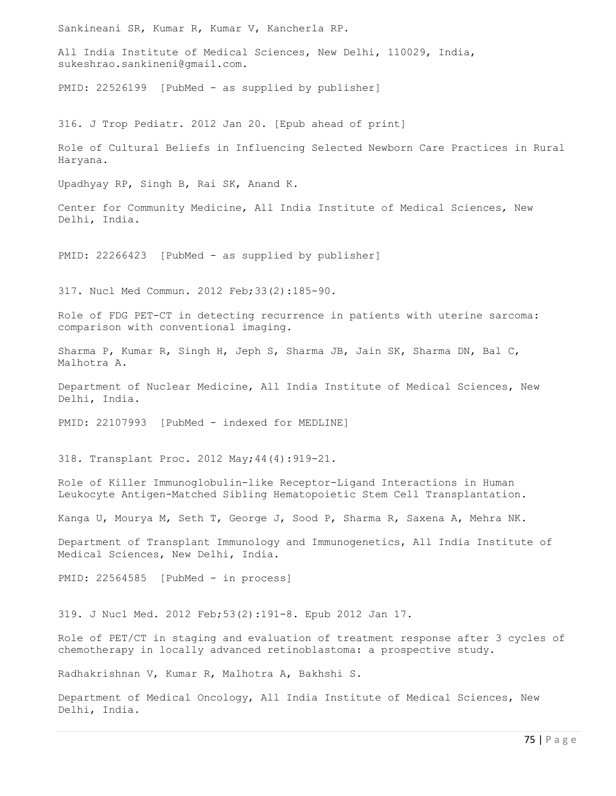Sankineani SR, Kumar R, Kumar V, Kancherla RP.

All India Institute of Medical Sciences, New Delhi, 110029, India, sukeshrao.sankineni@gmail.com.

PMID: 22526199 [PubMed - as supplied by publisher]

316. J Trop Pediatr. 2012 Jan 20. [Epub ahead of print]

Role of Cultural Beliefs in Influencing Selected Newborn Care Practices in Rural Haryana.

Upadhyay RP, Singh B, Rai SK, Anand K.

Center for Community Medicine, All India Institute of Medical Sciences, New Delhi, India.

PMID: 22266423 [PubMed - as supplied by publisher]

317. Nucl Med Commun. 2012 Feb;33(2):185-90.

Role of FDG PET-CT in detecting recurrence in patients with uterine sarcoma: comparison with conventional imaging.

Sharma P, Kumar R, Singh H, Jeph S, Sharma JB, Jain SK, Sharma DN, Bal C, Malhotra A.

Department of Nuclear Medicine, All India Institute of Medical Sciences, New Delhi, India.

PMID: 22107993 [PubMed - indexed for MEDLINE]

318. Transplant Proc. 2012 May;44(4):919-21.

Role of Killer Immunoglobulin-like Receptor-Ligand Interactions in Human Leukocyte Antigen-Matched Sibling Hematopoietic Stem Cell Transplantation.

Kanga U, Mourya M, Seth T, George J, Sood P, Sharma R, Saxena A, Mehra NK.

Department of Transplant Immunology and Immunogenetics, All India Institute of Medical Sciences, New Delhi, India.

PMID: 22564585 [PubMed - in process]

319. J Nucl Med. 2012 Feb;53(2):191-8. Epub 2012 Jan 17.

Role of PET/CT in staging and evaluation of treatment response after 3 cycles of chemotherapy in locally advanced retinoblastoma: a prospective study.

Radhakrishnan V, Kumar R, Malhotra A, Bakhshi S.

Department of Medical Oncology, All India Institute of Medical Sciences, New Delhi, India.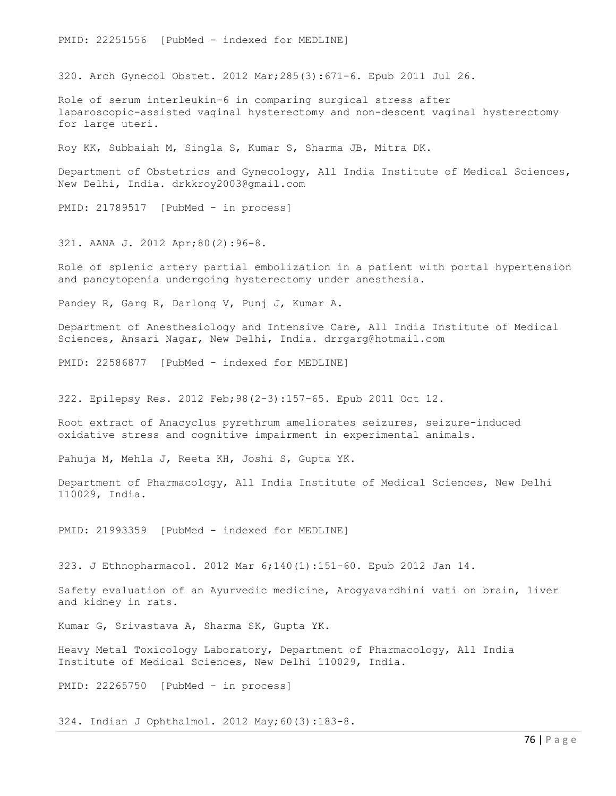PMID: 22251556 [PubMed - indexed for MEDLINE]

320. Arch Gynecol Obstet. 2012 Mar;285(3):671-6. Epub 2011 Jul 26.

Role of serum interleukin-6 in comparing surgical stress after laparoscopic-assisted vaginal hysterectomy and non-descent vaginal hysterectomy for large uteri.

Roy KK, Subbaiah M, Singla S, Kumar S, Sharma JB, Mitra DK.

Department of Obstetrics and Gynecology, All India Institute of Medical Sciences, New Delhi, India. drkkroy2003@gmail.com

PMID: 21789517 [PubMed - in process]

321. AANA J. 2012 Apr;80(2):96-8.

Role of splenic artery partial embolization in a patient with portal hypertension and pancytopenia undergoing hysterectomy under anesthesia.

Pandey R, Garg R, Darlong V, Punj J, Kumar A.

Department of Anesthesiology and Intensive Care, All India Institute of Medical Sciences, Ansari Nagar, New Delhi, India. drrgarg@hotmail.com

PMID: 22586877 [PubMed - indexed for MEDLINE]

322. Epilepsy Res. 2012 Feb;98(2-3):157-65. Epub 2011 Oct 12.

Root extract of Anacyclus pyrethrum ameliorates seizures, seizure-induced oxidative stress and cognitive impairment in experimental animals.

Pahuja M, Mehla J, Reeta KH, Joshi S, Gupta YK.

Department of Pharmacology, All India Institute of Medical Sciences, New Delhi 110029, India.

PMID: 21993359 [PubMed - indexed for MEDLINE]

323. J Ethnopharmacol. 2012 Mar 6;140(1):151-60. Epub 2012 Jan 14.

Safety evaluation of an Ayurvedic medicine, Arogyavardhini vati on brain, liver and kidney in rats.

Kumar G, Srivastava A, Sharma SK, Gupta YK.

Heavy Metal Toxicology Laboratory, Department of Pharmacology, All India Institute of Medical Sciences, New Delhi 110029, India.

PMID: 22265750 [PubMed - in process]

324. Indian J Ophthalmol. 2012 May;60(3):183-8.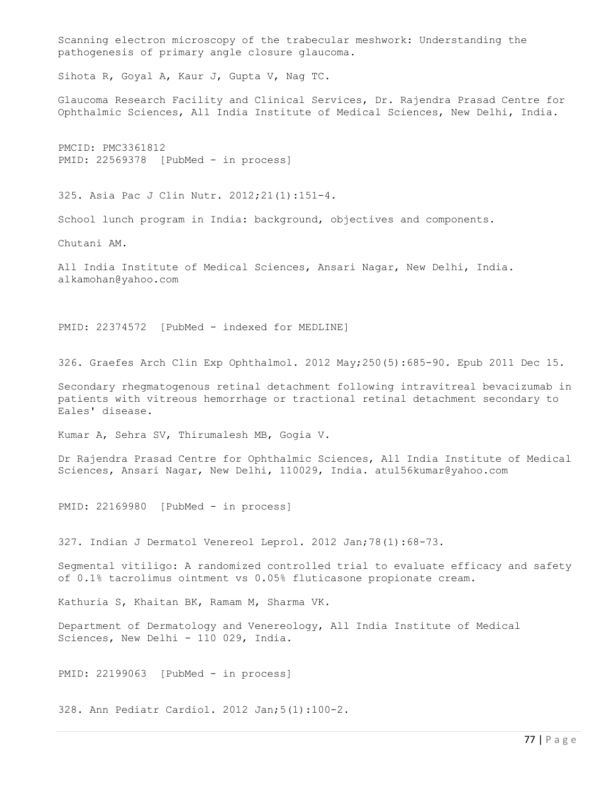Scanning electron microscopy of the trabecular meshwork: Understanding the pathogenesis of primary angle closure glaucoma.

Sihota R, Goyal A, Kaur J, Gupta V, Nag TC.

Glaucoma Research Facility and Clinical Services, Dr. Rajendra Prasad Centre for Ophthalmic Sciences, All India Institute of Medical Sciences, New Delhi, India.

PMCID: PMC3361812 PMID: 22569378 [PubMed - in process]

325. Asia Pac J Clin Nutr. 2012;21(1):151-4.

School lunch program in India: background, objectives and components.

Chutani AM.

All India Institute of Medical Sciences, Ansari Nagar, New Delhi, India. alkamohan@yahoo.com

PMID: 22374572 [PubMed - indexed for MEDLINE]

326. Graefes Arch Clin Exp Ophthalmol. 2012 May;250(5):685-90. Epub 2011 Dec 15.

Secondary rhegmatogenous retinal detachment following intravitreal bevacizumab in patients with vitreous hemorrhage or tractional retinal detachment secondary to Eales' disease.

Kumar A, Sehra SV, Thirumalesh MB, Gogia V.

Dr Rajendra Prasad Centre for Ophthalmic Sciences, All India Institute of Medical Sciences, Ansari Nagar, New Delhi, 110029, India. atul56kumar@yahoo.com

PMID: 22169980 [PubMed - in process]

327. Indian J Dermatol Venereol Leprol. 2012 Jan;78(1):68-73.

Segmental vitiligo: A randomized controlled trial to evaluate efficacy and safety of 0.1% tacrolimus ointment vs 0.05% fluticasone propionate cream.

Kathuria S, Khaitan BK, Ramam M, Sharma VK.

Department of Dermatology and Venereology, All India Institute of Medical Sciences, New Delhi - 110 029, India.

PMID: 22199063 [PubMed - in process]

328. Ann Pediatr Cardiol. 2012 Jan;5(1):100-2.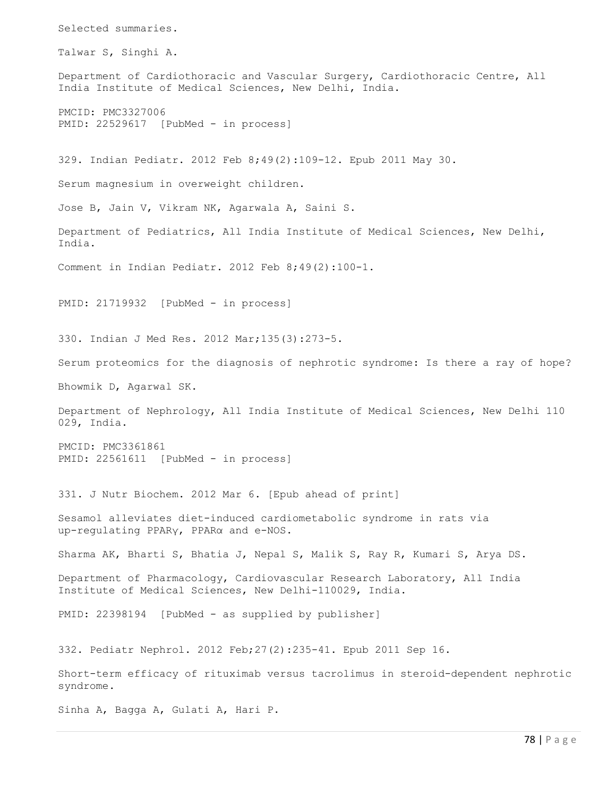Selected summaries. Talwar S, Singhi A. Department of Cardiothoracic and Vascular Surgery, Cardiothoracic Centre, All India Institute of Medical Sciences, New Delhi, India. PMCID: PMC3327006 PMID: 22529617 [PubMed - in process] 329. Indian Pediatr. 2012 Feb 8;49(2):109-12. Epub 2011 May 30. Serum magnesium in overweight children. Jose B, Jain V, Vikram NK, Agarwala A, Saini S. Department of Pediatrics, All India Institute of Medical Sciences, New Delhi, India. Comment in Indian Pediatr. 2012 Feb 8;49(2):100-1. PMID: 21719932 [PubMed - in process] 330. Indian J Med Res. 2012 Mar;135(3):273-5. Serum proteomics for the diagnosis of nephrotic syndrome: Is there a ray of hope? Bhowmik D, Agarwal SK. Department of Nephrology, All India Institute of Medical Sciences, New Delhi 110 029, India. PMCID: PMC3361861 PMID: 22561611 [PubMed - in process] 331. J Nutr Biochem. 2012 Mar 6. [Epub ahead of print] Sesamol alleviates diet-induced cardiometabolic syndrome in rats via up-regulating PPARγ, PPARα and e-NOS. Sharma AK, Bharti S, Bhatia J, Nepal S, Malik S, Ray R, Kumari S, Arya DS. Department of Pharmacology, Cardiovascular Research Laboratory, All India Institute of Medical Sciences, New Delhi-110029, India. PMID: 22398194 [PubMed - as supplied by publisher] 332. Pediatr Nephrol. 2012 Feb;27(2):235-41. Epub 2011 Sep 16. Short-term efficacy of rituximab versus tacrolimus in steroid-dependent nephrotic syndrome. Sinha A, Bagga A, Gulati A, Hari P.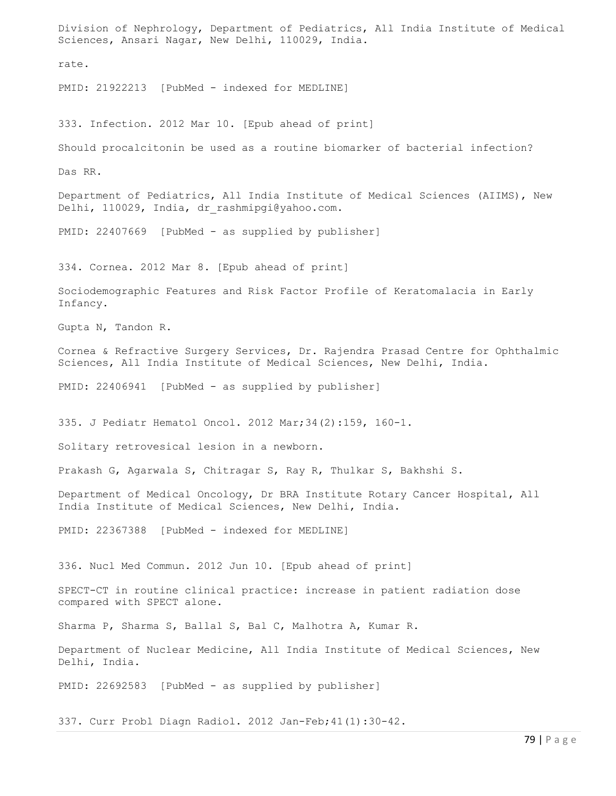Division of Nephrology, Department of Pediatrics, All India Institute of Medical Sciences, Ansari Nagar, New Delhi, 110029, India. rate. PMID: 21922213 [PubMed - indexed for MEDLINE] 333. Infection. 2012 Mar 10. [Epub ahead of print] Should procalcitonin be used as a routine biomarker of bacterial infection? Das RR. Department of Pediatrics, All India Institute of Medical Sciences (AIIMS), New Delhi, 110029, India, dr\_rashmipgi@yahoo.com. PMID: 22407669 [PubMed - as supplied by publisher] 334. Cornea. 2012 Mar 8. [Epub ahead of print] Sociodemographic Features and Risk Factor Profile of Keratomalacia in Early Infancy. Gupta N, Tandon R. Cornea & Refractive Surgery Services, Dr. Rajendra Prasad Centre for Ophthalmic Sciences, All India Institute of Medical Sciences, New Delhi, India. PMID: 22406941 [PubMed - as supplied by publisher] 335. J Pediatr Hematol Oncol. 2012 Mar;34(2):159, 160-1. Solitary retrovesical lesion in a newborn. Prakash G, Agarwala S, Chitragar S, Ray R, Thulkar S, Bakhshi S. Department of Medical Oncology, Dr BRA Institute Rotary Cancer Hospital, All India Institute of Medical Sciences, New Delhi, India. PMID: 22367388 [PubMed - indexed for MEDLINE] 336. Nucl Med Commun. 2012 Jun 10. [Epub ahead of print] SPECT-CT in routine clinical practice: increase in patient radiation dose compared with SPECT alone. Sharma P, Sharma S, Ballal S, Bal C, Malhotra A, Kumar R. Department of Nuclear Medicine, All India Institute of Medical Sciences, New Delhi, India. PMID: 22692583 [PubMed - as supplied by publisher]

337. Curr Probl Diagn Radiol. 2012 Jan-Feb;41(1):30-42.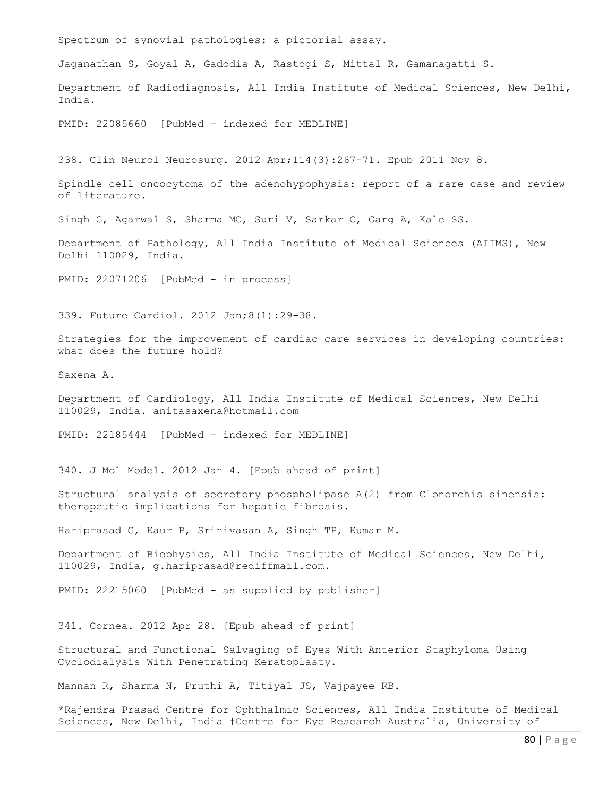80 | P a g e Spectrum of synovial pathologies: a pictorial assay. Jaganathan S, Goyal A, Gadodia A, Rastogi S, Mittal R, Gamanagatti S. Department of Radiodiagnosis, All India Institute of Medical Sciences, New Delhi, India. PMID: 22085660 [PubMed - indexed for MEDLINE] 338. Clin Neurol Neurosurg. 2012 Apr;114(3):267-71. Epub 2011 Nov 8. Spindle cell oncocytoma of the adenohypophysis: report of a rare case and review of literature. Singh G, Agarwal S, Sharma MC, Suri V, Sarkar C, Garg A, Kale SS. Department of Pathology, All India Institute of Medical Sciences (AIIMS), New Delhi 110029, India. PMID: 22071206 [PubMed - in process] 339. Future Cardiol. 2012 Jan;8(1):29-38. Strategies for the improvement of cardiac care services in developing countries: what does the future hold? Saxena A. Department of Cardiology, All India Institute of Medical Sciences, New Delhi 110029, India. anitasaxena@hotmail.com PMID: 22185444 [PubMed - indexed for MEDLINE] 340. J Mol Model. 2012 Jan 4. [Epub ahead of print] Structural analysis of secretory phospholipase A(2) from Clonorchis sinensis: therapeutic implications for hepatic fibrosis. Hariprasad G, Kaur P, Srinivasan A, Singh TP, Kumar M. Department of Biophysics, All India Institute of Medical Sciences, New Delhi, 110029, India, g.hariprasad@rediffmail.com. PMID: 22215060 [PubMed - as supplied by publisher] 341. Cornea. 2012 Apr 28. [Epub ahead of print] Structural and Functional Salvaging of Eyes With Anterior Staphyloma Using Cyclodialysis With Penetrating Keratoplasty. Mannan R, Sharma N, Pruthi A, Titiyal JS, Vajpayee RB. \*Rajendra Prasad Centre for Ophthalmic Sciences, All India Institute of Medical Sciences, New Delhi, India †Centre for Eye Research Australia, University of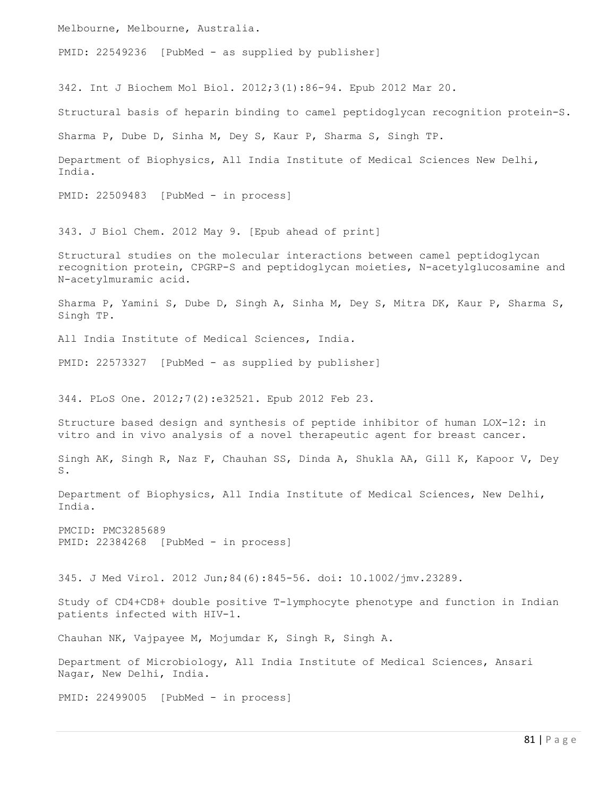Melbourne, Melbourne, Australia.

PMID: 22549236 [PubMed - as supplied by publisher]

342. Int J Biochem Mol Biol. 2012;3(1):86-94. Epub 2012 Mar 20.

Structural basis of heparin binding to camel peptidoglycan recognition protein-S.

Sharma P, Dube D, Sinha M, Dey S, Kaur P, Sharma S, Singh TP.

Department of Biophysics, All India Institute of Medical Sciences New Delhi, India.

PMID: 22509483 [PubMed - in process]

343. J Biol Chem. 2012 May 9. [Epub ahead of print]

Structural studies on the molecular interactions between camel peptidoglycan recognition protein, CPGRP-S and peptidoglycan moieties, N-acetylglucosamine and N-acetylmuramic acid.

Sharma P, Yamini S, Dube D, Singh A, Sinha M, Dey S, Mitra DK, Kaur P, Sharma S, Singh TP.

All India Institute of Medical Sciences, India.

PMID: 22573327 [PubMed - as supplied by publisher]

344. PLoS One. 2012;7(2):e32521. Epub 2012 Feb 23.

Structure based design and synthesis of peptide inhibitor of human LOX-12: in vitro and in vivo analysis of a novel therapeutic agent for breast cancer.

Singh AK, Singh R, Naz F, Chauhan SS, Dinda A, Shukla AA, Gill K, Kapoor V, Dey S.

Department of Biophysics, All India Institute of Medical Sciences, New Delhi, India.

PMCID: PMC3285689 PMID: 22384268 [PubMed - in process]

345. J Med Virol. 2012 Jun;84(6):845-56. doi: 10.1002/jmv.23289.

Study of CD4+CD8+ double positive T-lymphocyte phenotype and function in Indian patients infected with HIV-1.

Chauhan NK, Vajpayee M, Mojumdar K, Singh R, Singh A.

Department of Microbiology, All India Institute of Medical Sciences, Ansari Nagar, New Delhi, India.

PMID: 22499005 [PubMed - in process]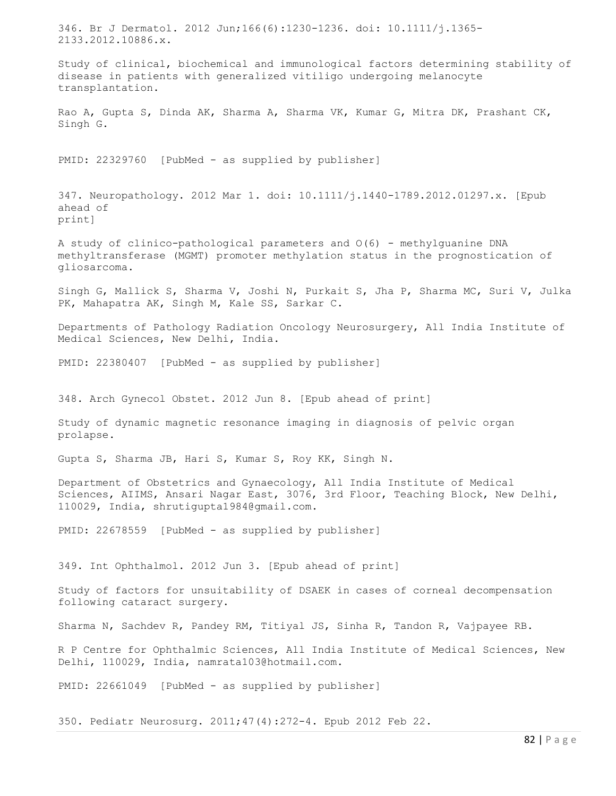346. Br J Dermatol. 2012 Jun;166(6):1230-1236. doi: 10.1111/j.1365- 2133.2012.10886.x. Study of clinical, biochemical and immunological factors determining stability of disease in patients with generalized vitiligo undergoing melanocyte transplantation. Rao A, Gupta S, Dinda AK, Sharma A, Sharma VK, Kumar G, Mitra DK, Prashant CK, Singh G. PMID: 22329760 [PubMed - as supplied by publisher] 347. Neuropathology. 2012 Mar 1. doi: 10.1111/j.1440-1789.2012.01297.x. [Epub ahead of print] A study of clinico-pathological parameters and  $O(6)$  - methylguanine DNA methyltransferase (MGMT) promoter methylation status in the prognostication of gliosarcoma. Singh G, Mallick S, Sharma V, Joshi N, Purkait S, Jha P, Sharma MC, Suri V, Julka PK, Mahapatra AK, Singh M, Kale SS, Sarkar C. Departments of Pathology Radiation Oncology Neurosurgery, All India Institute of Medical Sciences, New Delhi, India. PMID: 22380407 [PubMed - as supplied by publisher] 348. Arch Gynecol Obstet. 2012 Jun 8. [Epub ahead of print] Study of dynamic magnetic resonance imaging in diagnosis of pelvic organ prolapse. Gupta S, Sharma JB, Hari S, Kumar S, Roy KK, Singh N. Department of Obstetrics and Gynaecology, All India Institute of Medical Sciences, AIIMS, Ansari Nagar East, 3076, 3rd Floor, Teaching Block, New Delhi, 110029, India, shrutigupta1984@gmail.com. PMID: 22678559 [PubMed - as supplied by publisher] 349. Int Ophthalmol. 2012 Jun 3. [Epub ahead of print] Study of factors for unsuitability of DSAEK in cases of corneal decompensation following cataract surgery. Sharma N, Sachdev R, Pandey RM, Titiyal JS, Sinha R, Tandon R, Vajpayee RB. R P Centre for Ophthalmic Sciences, All India Institute of Medical Sciences, New Delhi, 110029, India, namrata103@hotmail.com. PMID: 22661049 [PubMed - as supplied by publisher] 350. Pediatr Neurosurg. 2011;47(4):272-4. Epub 2012 Feb 22.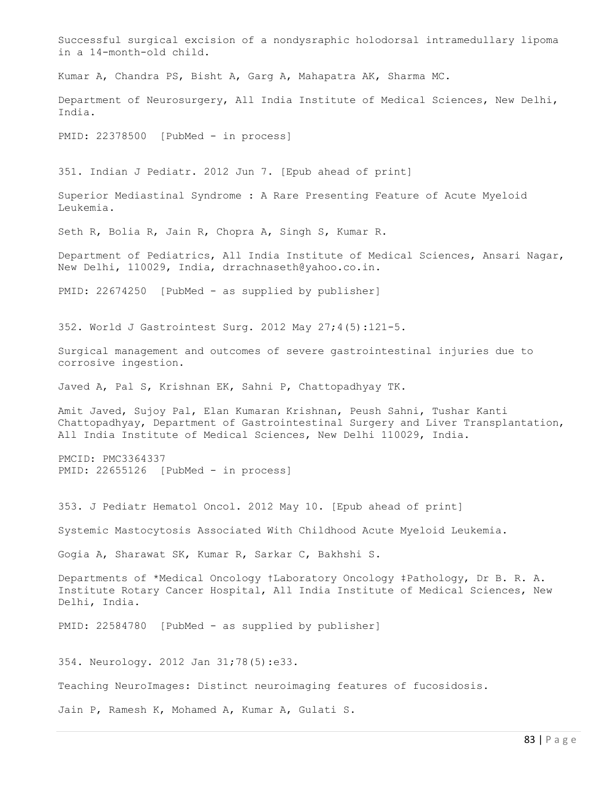Successful surgical excision of a nondysraphic holodorsal intramedullary lipoma in a 14-month-old child. Kumar A, Chandra PS, Bisht A, Garg A, Mahapatra AK, Sharma MC. Department of Neurosurgery, All India Institute of Medical Sciences, New Delhi, India. PMID: 22378500 [PubMed - in process] 351. Indian J Pediatr. 2012 Jun 7. [Epub ahead of print] Superior Mediastinal Syndrome : A Rare Presenting Feature of Acute Myeloid Leukemia. Seth R, Bolia R, Jain R, Chopra A, Singh S, Kumar R. Department of Pediatrics, All India Institute of Medical Sciences, Ansari Nagar, New Delhi, 110029, India, drrachnaseth@yahoo.co.in. PMID: 22674250 [PubMed - as supplied by publisher] 352. World J Gastrointest Surg. 2012 May 27;4(5):121-5. Surgical management and outcomes of severe gastrointestinal injuries due to corrosive ingestion. Javed A, Pal S, Krishnan EK, Sahni P, Chattopadhyay TK. Amit Javed, Sujoy Pal, Elan Kumaran Krishnan, Peush Sahni, Tushar Kanti Chattopadhyay, Department of Gastrointestinal Surgery and Liver Transplantation, All India Institute of Medical Sciences, New Delhi 110029, India. PMCID: PMC3364337 PMID: 22655126 [PubMed - in process] 353. J Pediatr Hematol Oncol. 2012 May 10. [Epub ahead of print] Systemic Mastocytosis Associated With Childhood Acute Myeloid Leukemia. Gogia A, Sharawat SK, Kumar R, Sarkar C, Bakhshi S. Departments of \*Medical Oncology †Laboratory Oncology ‡Pathology, Dr B. R. A. Institute Rotary Cancer Hospital, All India Institute of Medical Sciences, New Delhi, India. PMID: 22584780 [PubMed - as supplied by publisher] 354. Neurology. 2012 Jan 31;78(5):e33. Teaching NeuroImages: Distinct neuroimaging features of fucosidosis. Jain P, Ramesh K, Mohamed A, Kumar A, Gulati S.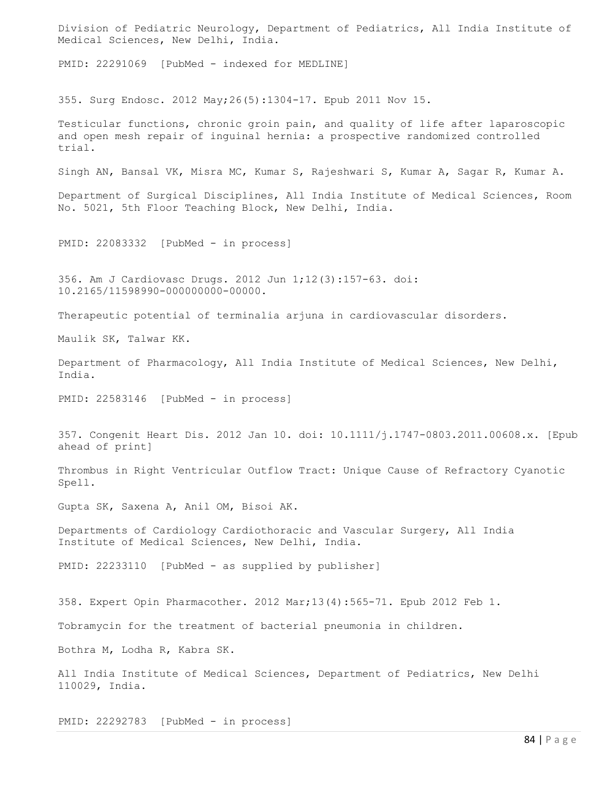Division of Pediatric Neurology, Department of Pediatrics, All India Institute of Medical Sciences, New Delhi, India.

PMID: 22291069 [PubMed - indexed for MEDLINE]

355. Surg Endosc. 2012 May;26(5):1304-17. Epub 2011 Nov 15.

Testicular functions, chronic groin pain, and quality of life after laparoscopic and open mesh repair of inguinal hernia: a prospective randomized controlled trial.

Singh AN, Bansal VK, Misra MC, Kumar S, Rajeshwari S, Kumar A, Sagar R, Kumar A.

Department of Surgical Disciplines, All India Institute of Medical Sciences, Room No. 5021, 5th Floor Teaching Block, New Delhi, India.

PMID: 22083332 [PubMed - in process]

356. Am J Cardiovasc Drugs. 2012 Jun 1;12(3):157-63. doi: 10.2165/11598990-000000000-00000.

Therapeutic potential of terminalia arjuna in cardiovascular disorders.

Maulik SK, Talwar KK.

Department of Pharmacology, All India Institute of Medical Sciences, New Delhi, India.

PMID: 22583146 [PubMed - in process]

357. Congenit Heart Dis. 2012 Jan 10. doi: 10.1111/j.1747-0803.2011.00608.x. [Epub ahead of print]

Thrombus in Right Ventricular Outflow Tract: Unique Cause of Refractory Cyanotic Spell.

Gupta SK, Saxena A, Anil OM, Bisoi AK.

Departments of Cardiology Cardiothoracic and Vascular Surgery, All India Institute of Medical Sciences, New Delhi, India.

PMID: 22233110 [PubMed - as supplied by publisher]

358. Expert Opin Pharmacother. 2012 Mar;13(4):565-71. Epub 2012 Feb 1.

Tobramycin for the treatment of bacterial pneumonia in children.

Bothra M, Lodha R, Kabra SK.

All India Institute of Medical Sciences, Department of Pediatrics, New Delhi 110029, India.

PMID: 22292783 [PubMed - in process]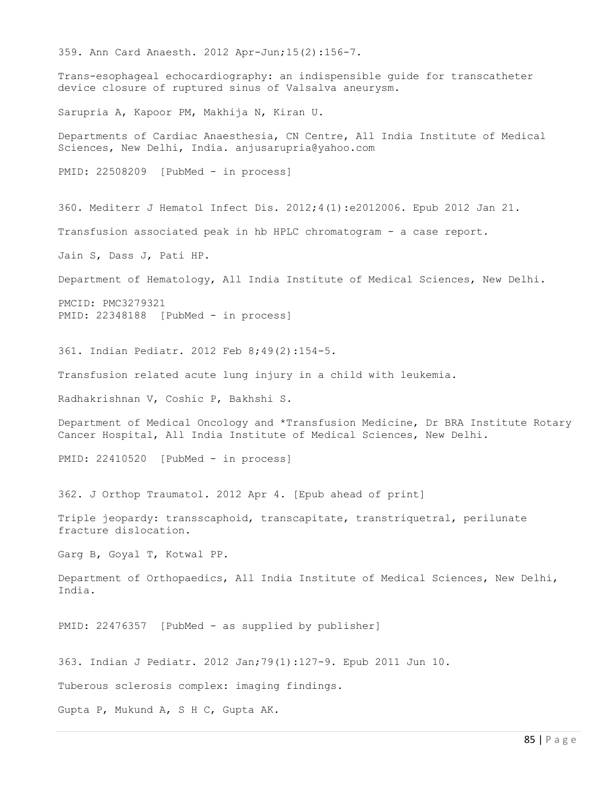359. Ann Card Anaesth. 2012 Apr-Jun;15(2):156-7. Trans-esophageal echocardiography: an indispensible guide for transcatheter device closure of ruptured sinus of Valsalva aneurysm. Sarupria A, Kapoor PM, Makhija N, Kiran U. Departments of Cardiac Anaesthesia, CN Centre, All India Institute of Medical Sciences, New Delhi, India. anjusarupria@yahoo.com PMID: 22508209 [PubMed - in process] 360. Mediterr J Hematol Infect Dis. 2012;4(1):e2012006. Epub 2012 Jan 21. Transfusion associated peak in hb HPLC chromatogram - a case report. Jain S, Dass J, Pati HP. Department of Hematology, All India Institute of Medical Sciences, New Delhi. PMCID: PMC3279321 PMID: 22348188 [PubMed - in process] 361. Indian Pediatr. 2012 Feb 8;49(2):154-5. Transfusion related acute lung injury in a child with leukemia. Radhakrishnan V, Coshic P, Bakhshi S. Department of Medical Oncology and \*Transfusion Medicine, Dr BRA Institute Rotary Cancer Hospital, All India Institute of Medical Sciences, New Delhi. PMID: 22410520 [PubMed - in process] 362. J Orthop Traumatol. 2012 Apr 4. [Epub ahead of print] Triple jeopardy: transscaphoid, transcapitate, transtriquetral, perilunate fracture dislocation. Garg B, Goyal T, Kotwal PP. Department of Orthopaedics, All India Institute of Medical Sciences, New Delhi, India. PMID: 22476357 [PubMed - as supplied by publisher] 363. Indian J Pediatr. 2012 Jan;79(1):127-9. Epub 2011 Jun 10. Tuberous sclerosis complex: imaging findings. Gupta P, Mukund A, S H C, Gupta AK.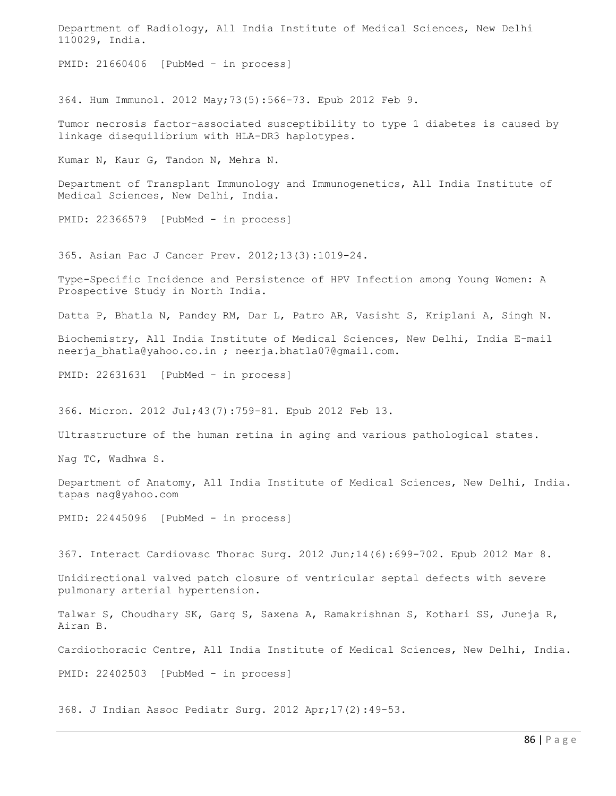Department of Radiology, All India Institute of Medical Sciences, New Delhi 110029, India. PMID: 21660406 [PubMed - in process] 364. Hum Immunol. 2012 May;73(5):566-73. Epub 2012 Feb 9. Tumor necrosis factor-associated susceptibility to type 1 diabetes is caused by linkage disequilibrium with HLA-DR3 haplotypes. Kumar N, Kaur G, Tandon N, Mehra N. Department of Transplant Immunology and Immunogenetics, All India Institute of Medical Sciences, New Delhi, India.

PMID: 22366579 [PubMed - in process]

365. Asian Pac J Cancer Prev. 2012;13(3):1019-24.

Type-Specific Incidence and Persistence of HPV Infection among Young Women: A Prospective Study in North India.

Datta P, Bhatla N, Pandey RM, Dar L, Patro AR, Vasisht S, Kriplani A, Singh N.

Biochemistry, All India Institute of Medical Sciences, New Delhi, India E-mail neerja\_bhatla@yahoo.co.in ; neerja.bhatla07@gmail.com.

PMID: 22631631 [PubMed - in process]

366. Micron. 2012 Jul;43(7):759-81. Epub 2012 Feb 13.

Ultrastructure of the human retina in aging and various pathological states.

Nag TC, Wadhwa S.

Department of Anatomy, All India Institute of Medical Sciences, New Delhi, India. tapas nag@yahoo.com

PMID: 22445096 [PubMed - in process]

367. Interact Cardiovasc Thorac Surg. 2012 Jun;14(6):699-702. Epub 2012 Mar 8.

Unidirectional valved patch closure of ventricular septal defects with severe pulmonary arterial hypertension.

Talwar S, Choudhary SK, Garg S, Saxena A, Ramakrishnan S, Kothari SS, Juneja R, Airan B.

Cardiothoracic Centre, All India Institute of Medical Sciences, New Delhi, India.

PMID: 22402503 [PubMed - in process]

368. J Indian Assoc Pediatr Surg. 2012 Apr;17(2):49-53.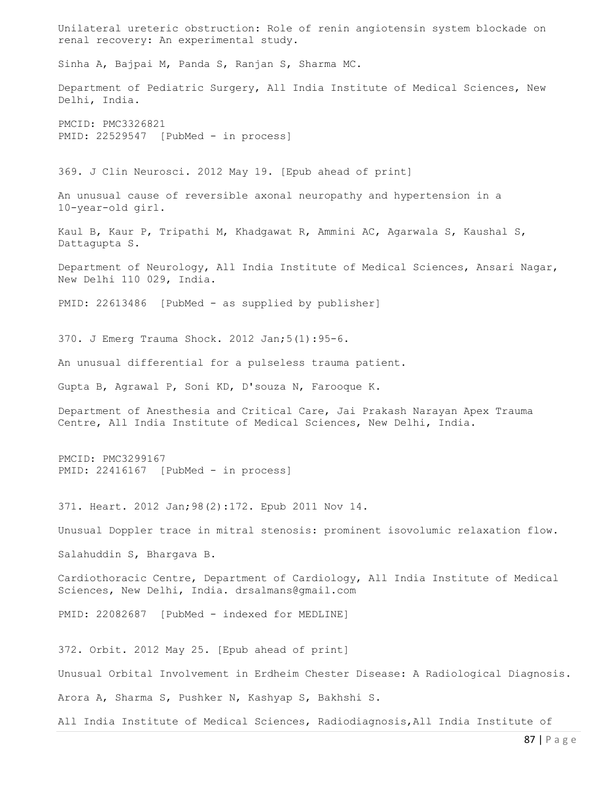Unilateral ureteric obstruction: Role of renin angiotensin system blockade on renal recovery: An experimental study. Sinha A, Bajpai M, Panda S, Ranjan S, Sharma MC. Department of Pediatric Surgery, All India Institute of Medical Sciences, New Delhi, India. PMCID: PMC3326821 PMID: 22529547 [PubMed - in process] 369. J Clin Neurosci. 2012 May 19. [Epub ahead of print] An unusual cause of reversible axonal neuropathy and hypertension in a 10-year-old girl. Kaul B, Kaur P, Tripathi M, Khadgawat R, Ammini AC, Agarwala S, Kaushal S, Dattagupta S. Department of Neurology, All India Institute of Medical Sciences, Ansari Nagar, New Delhi 110 029, India. PMID: 22613486 [PubMed - as supplied by publisher] 370. J Emerg Trauma Shock. 2012 Jan;5(1):95-6. An unusual differential for a pulseless trauma patient. Gupta B, Agrawal P, Soni KD, D'souza N, Farooque K. Department of Anesthesia and Critical Care, Jai Prakash Narayan Apex Trauma Centre, All India Institute of Medical Sciences, New Delhi, India. PMCID: PMC3299167 PMID: 22416167 [PubMed - in process] 371. Heart. 2012 Jan;98(2):172. Epub 2011 Nov 14. Unusual Doppler trace in mitral stenosis: prominent isovolumic relaxation flow. Salahuddin S, Bhargava B. Cardiothoracic Centre, Department of Cardiology, All India Institute of Medical Sciences, New Delhi, India. drsalmans@gmail.com PMID: 22082687 [PubMed - indexed for MEDLINE] 372. Orbit. 2012 May 25. [Epub ahead of print] Unusual Orbital Involvement in Erdheim Chester Disease: A Radiological Diagnosis. Arora A, Sharma S, Pushker N, Kashyap S, Bakhshi S. All India Institute of Medical Sciences, Radiodiagnosis,All India Institute of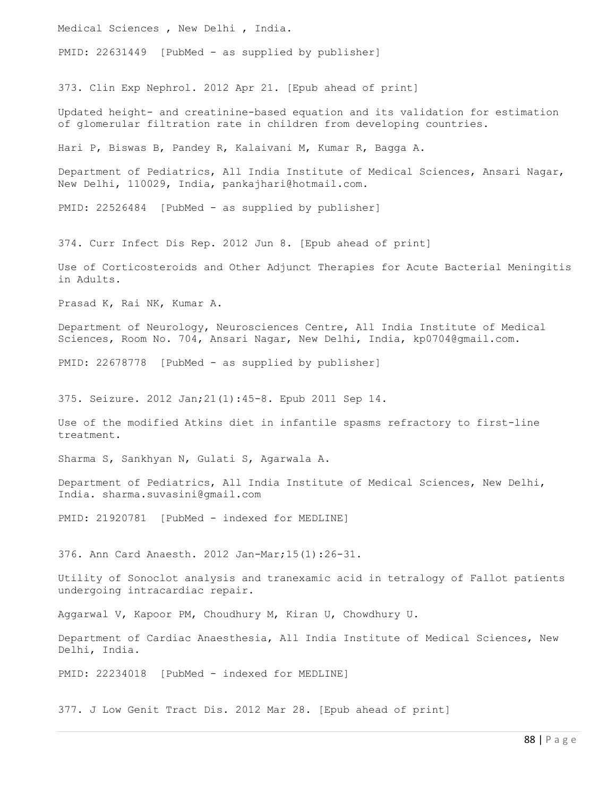Medical Sciences , New Delhi , India.

PMID: 22631449 [PubMed - as supplied by publisher]

373. Clin Exp Nephrol. 2012 Apr 21. [Epub ahead of print]

Updated height- and creatinine-based equation and its validation for estimation of glomerular filtration rate in children from developing countries.

Hari P, Biswas B, Pandey R, Kalaivani M, Kumar R, Bagga A.

Department of Pediatrics, All India Institute of Medical Sciences, Ansari Nagar, New Delhi, 110029, India, pankajhari@hotmail.com.

PMID: 22526484 [PubMed - as supplied by publisher]

374. Curr Infect Dis Rep. 2012 Jun 8. [Epub ahead of print]

Use of Corticosteroids and Other Adjunct Therapies for Acute Bacterial Meningitis in Adults.

Prasad K, Rai NK, Kumar A.

Department of Neurology, Neurosciences Centre, All India Institute of Medical Sciences, Room No. 704, Ansari Nagar, New Delhi, India, kp0704@gmail.com.

PMID: 22678778 [PubMed - as supplied by publisher]

375. Seizure. 2012 Jan;21(1):45-8. Epub 2011 Sep 14.

Use of the modified Atkins diet in infantile spasms refractory to first-line treatment.

Sharma S, Sankhyan N, Gulati S, Agarwala A.

Department of Pediatrics, All India Institute of Medical Sciences, New Delhi, India. sharma.suvasini@gmail.com

PMID: 21920781 [PubMed - indexed for MEDLINE]

376. Ann Card Anaesth. 2012 Jan-Mar;15(1):26-31.

Utility of Sonoclot analysis and tranexamic acid in tetralogy of Fallot patients undergoing intracardiac repair.

Aggarwal V, Kapoor PM, Choudhury M, Kiran U, Chowdhury U.

Department of Cardiac Anaesthesia, All India Institute of Medical Sciences, New Delhi, India.

PMID: 22234018 [PubMed - indexed for MEDLINE]

377. J Low Genit Tract Dis. 2012 Mar 28. [Epub ahead of print]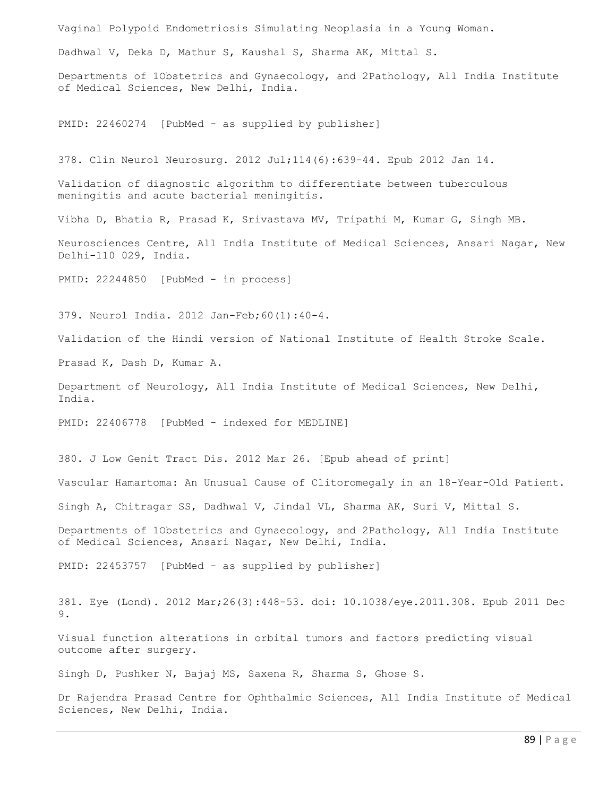Vaginal Polypoid Endometriosis Simulating Neoplasia in a Young Woman. Dadhwal V, Deka D, Mathur S, Kaushal S, Sharma AK, Mittal S. Departments of 1Obstetrics and Gynaecology, and 2Pathology, All India Institute of Medical Sciences, New Delhi, India. PMID: 22460274 [PubMed - as supplied by publisher] 378. Clin Neurol Neurosurg. 2012 Jul;114(6):639-44. Epub 2012 Jan 14. Validation of diagnostic algorithm to differentiate between tuberculous meningitis and acute bacterial meningitis. Vibha D, Bhatia R, Prasad K, Srivastava MV, Tripathi M, Kumar G, Singh MB. Neurosciences Centre, All India Institute of Medical Sciences, Ansari Nagar, New Delhi-110 029, India. PMID: 22244850 [PubMed - in process] 379. Neurol India. 2012 Jan-Feb;60(1):40-4. Validation of the Hindi version of National Institute of Health Stroke Scale. Prasad K, Dash D, Kumar A. Department of Neurology, All India Institute of Medical Sciences, New Delhi, India. PMID: 22406778 [PubMed - indexed for MEDLINE] 380. J Low Genit Tract Dis. 2012 Mar 26. [Epub ahead of print] Vascular Hamartoma: An Unusual Cause of Clitoromegaly in an 18-Year-Old Patient. Singh A, Chitragar SS, Dadhwal V, Jindal VL, Sharma AK, Suri V, Mittal S. Departments of 1Obstetrics and Gynaecology, and 2Pathology, All India Institute of Medical Sciences, Ansari Nagar, New Delhi, India.

PMID: 22453757 [PubMed - as supplied by publisher]

381. Eye (Lond). 2012 Mar;26(3):448-53. doi: 10.1038/eye.2011.308. Epub 2011 Dec 9.

Visual function alterations in orbital tumors and factors predicting visual outcome after surgery.

Singh D, Pushker N, Bajaj MS, Saxena R, Sharma S, Ghose S.

Dr Rajendra Prasad Centre for Ophthalmic Sciences, All India Institute of Medical Sciences, New Delhi, India.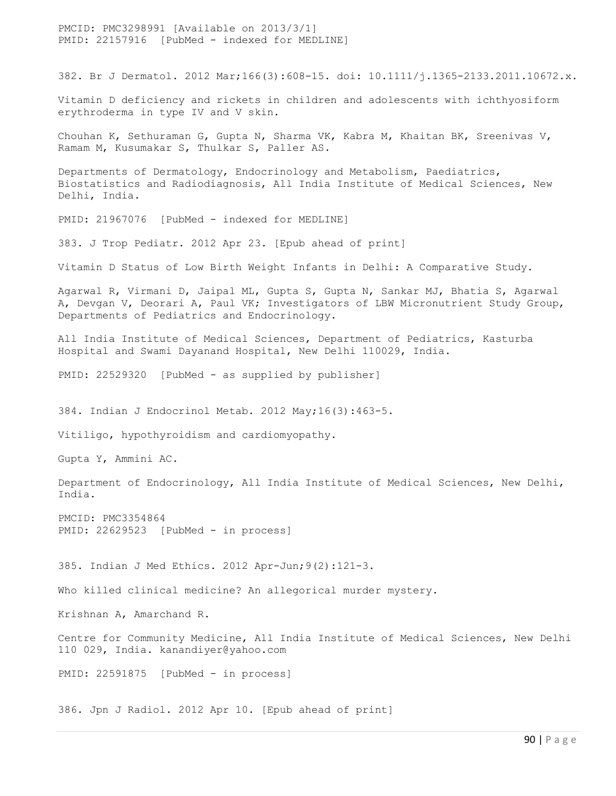PMCID: PMC3298991 [Available on 2013/3/1] PMID: 22157916 [PubMed - indexed for MEDLINE]

382. Br J Dermatol. 2012 Mar;166(3):608-15. doi: 10.1111/j.1365-2133.2011.10672.x.

Vitamin D deficiency and rickets in children and adolescents with ichthyosiform erythroderma in type IV and V skin.

Chouhan K, Sethuraman G, Gupta N, Sharma VK, Kabra M, Khaitan BK, Sreenivas V, Ramam M, Kusumakar S, Thulkar S, Paller AS.

Departments of Dermatology, Endocrinology and Metabolism, Paediatrics, Biostatistics and Radiodiagnosis, All India Institute of Medical Sciences, New Delhi, India.

PMID: 21967076 [PubMed - indexed for MEDLINE]

383. J Trop Pediatr. 2012 Apr 23. [Epub ahead of print]

Vitamin D Status of Low Birth Weight Infants in Delhi: A Comparative Study.

Agarwal R, Virmani D, Jaipal ML, Gupta S, Gupta N, Sankar MJ, Bhatia S, Agarwal A, Devgan V, Deorari A, Paul VK; Investigators of LBW Micronutrient Study Group, Departments of Pediatrics and Endocrinology.

All India Institute of Medical Sciences, Department of Pediatrics, Kasturba Hospital and Swami Dayanand Hospital, New Delhi 110029, India.

PMID: 22529320 [PubMed - as supplied by publisher]

384. Indian J Endocrinol Metab. 2012 May;16(3):463-5.

Vitiligo, hypothyroidism and cardiomyopathy.

Gupta Y, Ammini AC.

Department of Endocrinology, All India Institute of Medical Sciences, New Delhi, India.

PMCID: PMC3354864 PMID: 22629523 [PubMed - in process]

385. Indian J Med Ethics. 2012 Apr-Jun;9(2):121-3.

Who killed clinical medicine? An allegorical murder mystery.

Krishnan A, Amarchand R.

Centre for Community Medicine, All India Institute of Medical Sciences, New Delhi 110 029, India. kanandiyer@yahoo.com

PMID: 22591875 [PubMed - in process]

386. Jpn J Radiol. 2012 Apr 10. [Epub ahead of print]